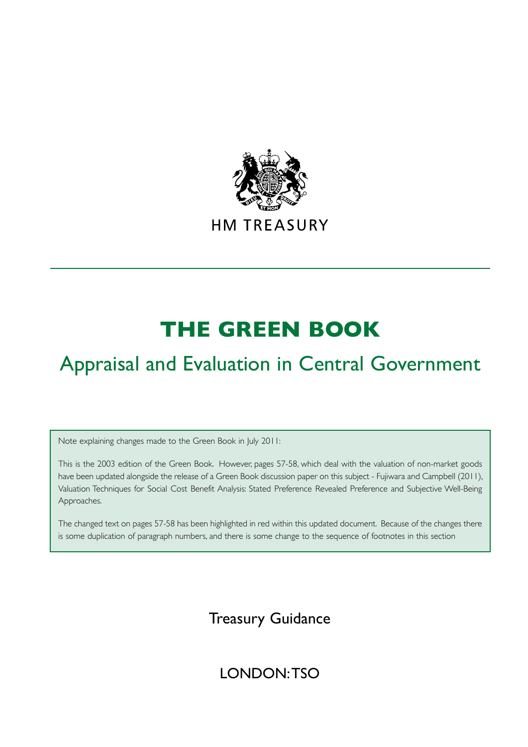

# **THE GREEN BOOK**

# Appraisal and Evaluation in Central Government

Note explaining changes made to the Green Book in July 2011:

This is the 2003 edition of the Green Book. However, pages 57-58, which deal with the valuation of non-market goods have been updated alongside the release of a Green Book discussion paper on this subject - Fujiwara and Campbell (2011), Valuation Techniques for Social Cost Benefit Analysis: Stated Preference Revealed Preference and Subjective Well-Being Approaches.

The changed text on pages 57-58 has been highlighted in red within this updated document. Because of the changes there is some duplication of paragraph numbers, and there is some change to the sequence of footnotes in this section

# Treasury Guidance

# LONDON: TSO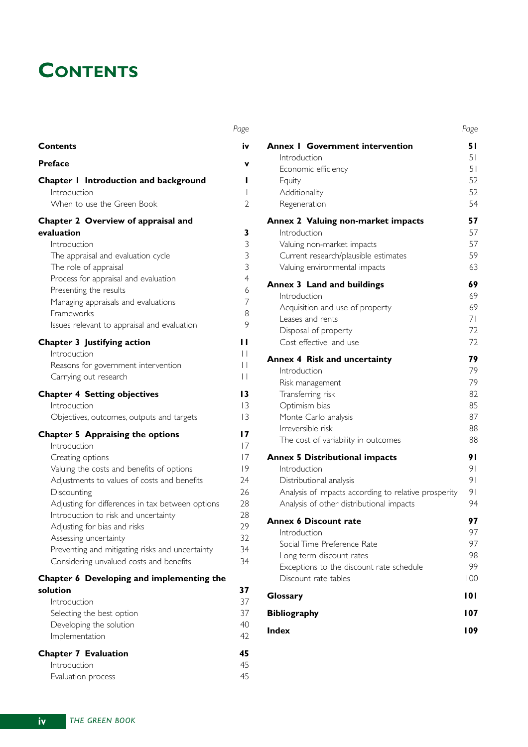# **CONTENTS**

|                                                                 | Page                |
|-----------------------------------------------------------------|---------------------|
| <b>Contents</b>                                                 | iv                  |
| <b>Preface</b>                                                  | v                   |
| Chapter I Introduction and background                           | L                   |
| Introduction                                                    | $\mathbf{I}$        |
| When to use the Green Book                                      | 2                   |
| Chapter 2 Overview of appraisal and                             |                     |
| evaluation                                                      | 3                   |
| Introduction                                                    | 3                   |
| The appraisal and evaluation cycle<br>The role of appraisal     | 3<br>$\overline{3}$ |
| Process for appraisal and evaluation                            | $\overline{4}$      |
| Presenting the results                                          | 6                   |
| Managing appraisals and evaluations                             | 7                   |
| Frameworks                                                      | 8                   |
| Issues relevant to appraisal and evaluation                     | 9                   |
| <b>Chapter 3 Justifying action</b>                              | ''                  |
| Introduction                                                    | $\mathsf{L}$        |
| Reasons for government intervention                             | H                   |
| Carrying out research                                           | $\Box$              |
| <b>Chapter 4 Setting objectives</b>                             | 13                  |
| Introduction                                                    | $\overline{3}$      |
| Objectives, outcomes, outputs and targets                       | 13                  |
| <b>Chapter 5 Appraising the options</b>                         | 17                  |
| Introduction                                                    | 7                   |
| Creating options                                                | 17                  |
| Valuing the costs and benefits of options                       | 9                   |
| Adjustments to values of costs and benefits                     | 24<br>26            |
| Discounting<br>Adjusting for differences in tax between options | 28                  |
| Introduction to risk and uncertainty                            | 28                  |
| Adjusting for bias and risks                                    | 29                  |
| Assessing uncertainty                                           | 32                  |
| Preventing and mitigating risks and uncertainty                 | 34                  |
| Considering unvalued costs and benefits                         | 34                  |
| Chapter 6 Developing and implementing the                       |                     |
| solution                                                        | 37                  |
| Introduction                                                    | 37                  |
| Selecting the best option                                       | 37                  |
| Developing the solution                                         | 40                  |
| Implementation                                                  | 42                  |
| <b>Chapter 7 Evaluation</b>                                     | 45                  |
| Introduction                                                    | 45<br>45            |
| Evaluation process                                              |                     |

|                                                                                                  | Page     |
|--------------------------------------------------------------------------------------------------|----------|
| <b>Annex   Government intervention</b>                                                           | 51       |
| Introduction                                                                                     | 51       |
| Economic efficiency                                                                              | 51       |
| Equity                                                                                           | 52       |
| Additionality<br>Regeneration                                                                    | 52<br>54 |
| Annex 2 Valuing non-market impacts                                                               | 57       |
| Introduction                                                                                     | 57       |
| Valuing non-market impacts                                                                       | 57       |
| Current research/plausible estimates                                                             | 59       |
| Valuing environmental impacts                                                                    | 63       |
| Annex 3 Land and buildings                                                                       | 69       |
| Introduction<br>Acquisition and use of property                                                  | 69<br>69 |
| Leases and rents                                                                                 | 71       |
| Disposal of property                                                                             | 72       |
| Cost effective land use                                                                          | 72       |
| <b>Annex 4 Risk and uncertainty</b>                                                              | 79       |
| Introduction                                                                                     | 79       |
| Risk management                                                                                  | 79       |
| Transferring risk                                                                                | 82<br>85 |
| Optimism bias<br>Monte Carlo analysis                                                            | 87       |
| Irreversible risk                                                                                | 88       |
| The cost of variability in outcomes                                                              | 88       |
| <b>Annex 5 Distributional impacts</b>                                                            | 91       |
| Introduction                                                                                     | 91       |
| Distributional analysis                                                                          | 91       |
| Analysis of impacts according to relative prosperity<br>Analysis of other distributional impacts | 91<br>94 |
| Annex 6 Discount rate                                                                            | 97       |
| Introduction                                                                                     | 97       |
| Social Time Preference Rate                                                                      | 97       |
| Long term discount rates                                                                         | 98<br>99 |
| Exceptions to the discount rate schedule<br>Discount rate tables                                 | 100      |
| Glossary                                                                                         | 101      |
| <b>Bibliography</b>                                                                              | 107      |
| <b>Index</b>                                                                                     | 109      |
|                                                                                                  |          |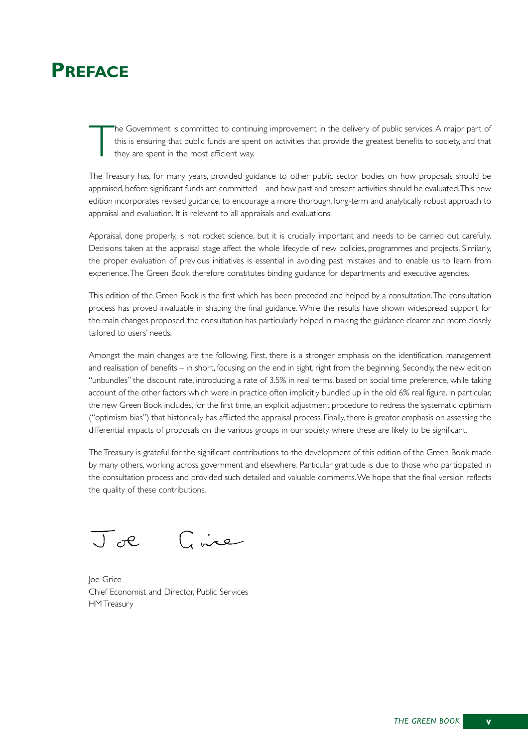# **PREFACE**

The Government is committed to continuing improvement in the delivery of public services. A major part of this is ensuring that public funds are spent on activities that provide the greatest benefits to society, and that t this is ensuring that public funds are spent on activities that provide the greatest benefits to society, and that they are spent in the most efficient way.

The Treasury has, for many years, provided guidance to other public sector bodies on how proposals should be appraised, before significant funds are committed – and how past and present activities should be evaluated.This new edition incorporates revised guidance, to encourage a more thorough, long-term and analytically robust approach to appraisal and evaluation. It is relevant to all appraisals and evaluations.

Appraisal, done properly, is not rocket science, but it is crucially important and needs to be carried out carefully. Decisions taken at the appraisal stage affect the whole lifecycle of new policies, programmes and projects. Similarly, the proper evaluation of previous initiatives is essential in avoiding past mistakes and to enable us to learn from experience.The Green Book therefore constitutes binding guidance for departments and executive agencies.

This edition of the Green Book is the first which has been preceded and helped by a consultation.The consultation process has proved invaluable in shaping the final guidance. While the results have shown widespread support for the main changes proposed, the consultation has particularly helped in making the guidance clearer and more closely tailored to users' needs.

Amongst the main changes are the following. First, there is a stronger emphasis on the identification, management and realisation of benefits – in short, focusing on the end in sight, right from the beginning. Secondly, the new edition "unbundles" the discount rate, introducing a rate of 3.5% in real terms, based on social time preference, while taking account of the other factors which were in practice often implicitly bundled up in the old 6% real figure. In particular, the new Green Book includes, for the first time, an explicit adjustment procedure to redress the systematic optimism ("optimism bias") that historically has afflicted the appraisal process. Finally, there is greater emphasis on assessing the differential impacts of proposals on the various groups in our society, where these are likely to be significant.

The Treasury is grateful for the significant contributions to the development of this edition of the Green Book made by many others, working across government and elsewhere. Particular gratitude is due to those who participated in the consultation process and provided such detailed and valuable comments.We hope that the final version reflects the quality of these contributions.

Circ  $\overline{\mathcal{A}}$ 

Joe Grice Chief Economist and Director, Public Services HM Treasury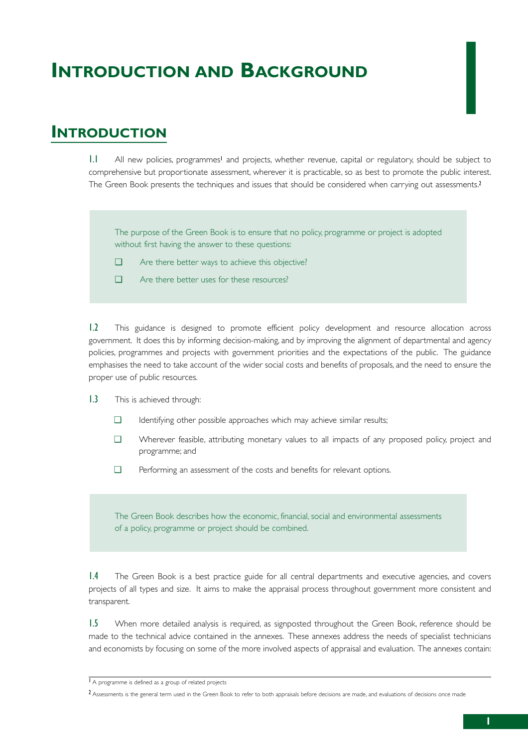# **INTRODUCTION AND BACKGROUND**

## **INTRODUCTION**

1.1 All new policies, programmes<sup>1</sup> and projects, whether revenue, capital or regulatory, should be subject to comprehensive but proportionate assessment, wherever it is practicable, so as best to promote the public interest. The Green Book presents the techniques and issues that should be considered when carrying out assessments.<sup>2</sup>

The purpose of the Green Book is to ensure that no policy, programme or project is adopted without first having the answer to these questions:

- ❑ Are there better ways to achieve this objective?
- ❑ Are there better uses for these resources?

1.2 This guidance is designed to promote efficient policy development and resource allocation across government. It does this by informing decision-making, and by improving the alignment of departmental and agency policies, programmes and projects with government priorities and the expectations of the public. The guidance emphasises the need to take account of the wider social costs and benefits of proposals, and the need to ensure the proper use of public resources.

- 1.3 This is achieved through:
	- ❑ Identifying other possible approaches which may achieve similar results;
	- ❑ Wherever feasible, attributing monetary values to all impacts of any proposed policy, project and programme; and
	- ❑ Performing an assessment of the costs and benefits for relevant options.

The Green Book describes how the economic, financial, social and environmental assessments of a policy, programme or project should be combined.

1.4 The Green Book is a best practice guide for all central departments and executive agencies, and covers projects of all types and size. It aims to make the appraisal process throughout government more consistent and transparent.

1.5 When more detailed analysis is required, as signposted throughout the Green Book, reference should be made to the technical advice contained in the annexes. These annexes address the needs of specialist technicians and economists by focusing on some of the more involved aspects of appraisal and evaluation. The annexes contain:

1

<sup>1</sup> A programme is defined as a group of related projects

<sup>&</sup>lt;sup>2</sup> Assessments is the general term used in the Green Book to refer to both appraisals before decisions are made, and evaluations of decisions once made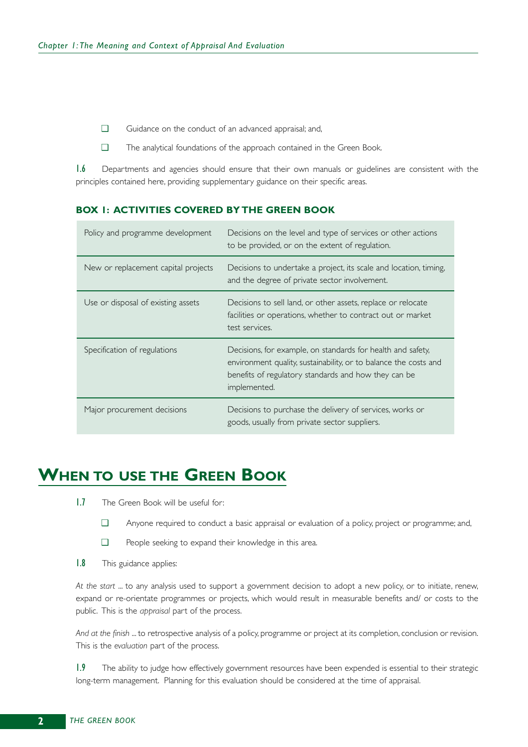- ❑ Guidance on the conduct of an advanced appraisal; and,
- ❑ The analytical foundations of the approach contained in the Green Book.

1.6 Departments and agencies should ensure that their own manuals or guidelines are consistent with the principles contained here, providing supplementary guidance on their specific areas.

#### **BOX 1: ACTIVITIES COVERED BY THE GREEN BOOK**

| Policy and programme development    | Decisions on the level and type of services or other actions<br>to be provided, or on the extent of regulation.                                                                                         |
|-------------------------------------|---------------------------------------------------------------------------------------------------------------------------------------------------------------------------------------------------------|
| New or replacement capital projects | Decisions to undertake a project, its scale and location, timing,<br>and the degree of private sector involvement.                                                                                      |
| Use or disposal of existing assets  | Decisions to sell land, or other assets, replace or relocate<br>facilities or operations, whether to contract out or market<br>test services.                                                           |
| Specification of regulations        | Decisions, for example, on standards for health and safety,<br>environment quality, sustainability, or to balance the costs and<br>benefits of regulatory standards and how they can be<br>implemented. |
| Major procurement decisions         | Decisions to purchase the delivery of services, works or<br>goods, usually from private sector suppliers.                                                                                               |

# **WHEN TO USE THE GREEN BOOK**

- 1.7 The Green Book will be useful for:
	- ❑ Anyone required to conduct a basic appraisal or evaluation of a policy, project or programme; and,
	- ❑ People seeking to expand their knowledge in this area.
- 1.8 This guidance applies:

*At the start* ... to any analysis used to support a government decision to adopt a new policy, or to initiate, renew, expand or re-orientate programmes or projects, which would result in measurable benefits and/ or costs to the public. This is the *appraisal* part of the process.

*And at the finish* ... to retrospective analysis of a policy, programme or project at its completion, conclusion or revision. This is the *evaluation* part of the process.

1.9 The ability to judge how effectively government resources have been expended is essential to their strategic long-term management. Planning for this evaluation should be considered at the time of appraisal.

**2**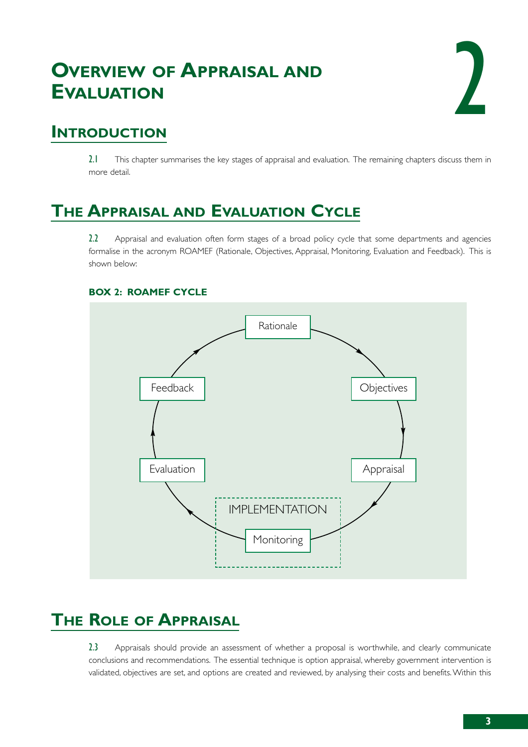# **OVERVIEW OF APPRAISAL AND EVALUATION**



# **INTRODUCTION**

2.1 This chapter summarises the key stages of appraisal and evaluation. The remaining chapters discuss them in more detail.

# **THE APPRAISAL AND EVALUATION CYCLE**

2.2 Appraisal and evaluation often form stages of a broad policy cycle that some departments and agencies formalise in the acronym ROAMEF (Rationale, Objectives, Appraisal, Monitoring, Evaluation and Feedback). This is shown below:



#### **BOX 2: ROAMEF CYCLE**

# **THE ROLE OF APPRAISAL**

2.3 Appraisals should provide an assessment of whether a proposal is worthwhile, and clearly communicate conclusions and recommendations. The essential technique is option appraisal, whereby government intervention is validated, objectives are set, and options are created and reviewed, by analysing their costs and benefits.Within this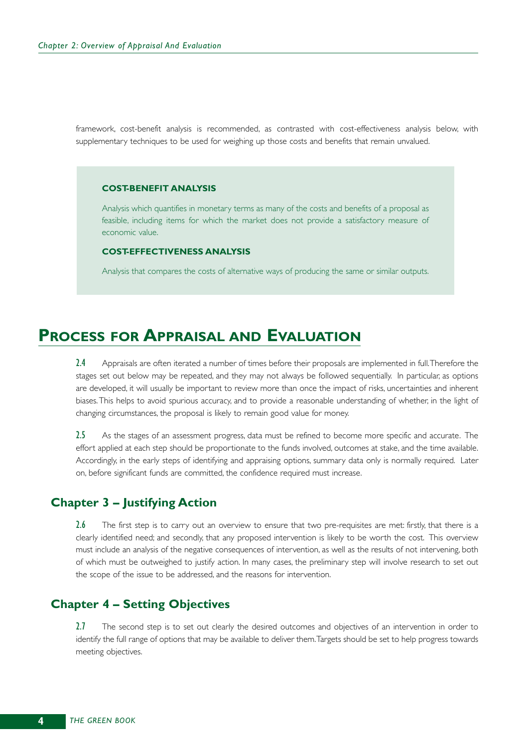framework, cost-benefit analysis is recommended, as contrasted with cost-effectiveness analysis below, with supplementary techniques to be used for weighing up those costs and benefits that remain unvalued.

#### **COST-BENEFIT ANALYSIS**

Analysis which quantifies in monetary terms as many of the costs and benefits of a proposal as feasible, including items for which the market does not provide a satisfactory measure of economic value.

#### **COST-EFFECTIVENESS ANALYSIS**

Analysis that compares the costs of alternative ways of producing the same or similar outputs.

## **PROCESS FOR APPRAISAL AND EVALUATION**

2.4 Appraisals are often iterated a number of times before their proposals are implemented in full. Therefore the stages set out below may be repeated, and they may not always be followed sequentially. In particular, as options are developed, it will usually be important to review more than once the impact of risks, uncertainties and inherent biases.This helps to avoid spurious accuracy, and to provide a reasonable understanding of whether, in the light of changing circumstances, the proposal is likely to remain good value for money.

2.5 As the stages of an assessment progress, data must be refined to become more specific and accurate. The effort applied at each step should be proportionate to the funds involved, outcomes at stake, and the time available. Accordingly, in the early steps of identifying and appraising options, summary data only is normally required. Later on, before significant funds are committed, the confidence required must increase.

### **Chapter 3 – Justifying Action**

2.6 The first step is to carry out an overview to ensure that two pre-requisites are met: firstly, that there is a clearly identified need; and secondly, that any proposed intervention is likely to be worth the cost. This overview must include an analysis of the negative consequences of intervention, as well as the results of not intervening, both of which must be outweighed to justify action. In many cases, the preliminary step will involve research to set out the scope of the issue to be addressed, and the reasons for intervention.

### **Chapter 4 – Setting Objectives**

2.7 The second step is to set out clearly the desired outcomes and objectives of an intervention in order to identify the full range of options that may be available to deliver them.Targets should be set to help progress towards meeting objectives.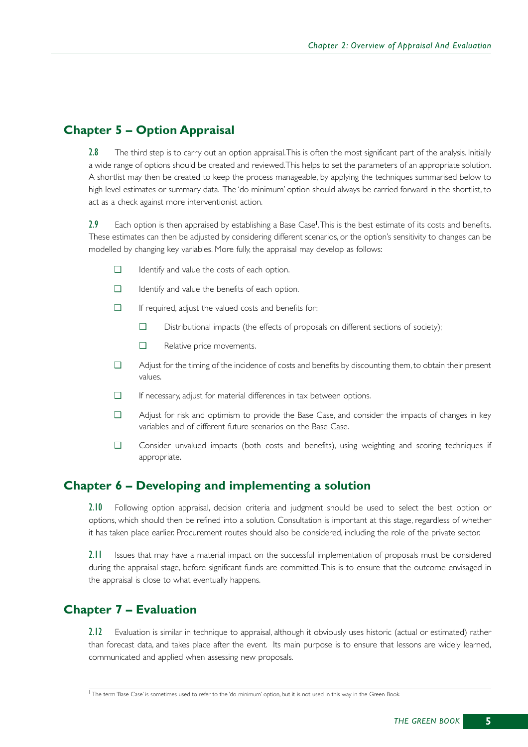### **Chapter 5 – Option Appraisal**

2.8 The third step is to carry out an option appraisal. This is often the most significant part of the analysis. Initially a wide range of options should be created and reviewed.This helps to set the parameters of an appropriate solution. A shortlist may then be created to keep the process manageable, by applying the techniques summarised below to high level estimates or summary data. The 'do minimum' option should always be carried forward in the shortlist, to act as a check against more interventionist action.

2.9 Each option is then appraised by establishing a Base Case<sup>1</sup>. This is the best estimate of its costs and benefits. These estimates can then be adjusted by considering different scenarios, or the option's sensitivity to changes can be modelled by changing key variables. More fully, the appraisal may develop as follows:

- ❑ Identify and value the costs of each option.
- ❑ Identify and value the benefits of each option.
- ❑ If required, adjust the valued costs and benefits for:
	- ❑ Distributional impacts (the effects of proposals on different sections of society);
	- ❑ Relative price movements.
- ❑ Adjust for the timing of the incidence of costs and benefits by discounting them, to obtain their present values.
- ❑ If necessary, adjust for material differences in tax between options.
- ❑ Adjust for risk and optimism to provide the Base Case, and consider the impacts of changes in key variables and of different future scenarios on the Base Case.
- ❑ Consider unvalued impacts (both costs and benefits), using weighting and scoring techniques if appropriate.

### **Chapter 6 – Developing and implementing a solution**

2.10 Following option appraisal, decision criteria and judgment should be used to select the best option or options, which should then be refined into a solution. Consultation is important at this stage, regardless of whether it has taken place earlier. Procurement routes should also be considered, including the role of the private sector.

2.11 Issues that may have a material impact on the successful implementation of proposals must be considered during the appraisal stage, before significant funds are committed.This is to ensure that the outcome envisaged in the appraisal is close to what eventually happens.

### **Chapter 7 – Evaluation**

2.12 Evaluation is similar in technique to appraisal, although it obviously uses historic (actual or estimated) rather than forecast data, and takes place after the event. Its main purpose is to ensure that lessons are widely learned, communicated and applied when assessing new proposals.

<sup>1</sup> The term 'Base Case' is sometimes used to refer to the 'do minimum' option, but it is not used in this way in the Green Book.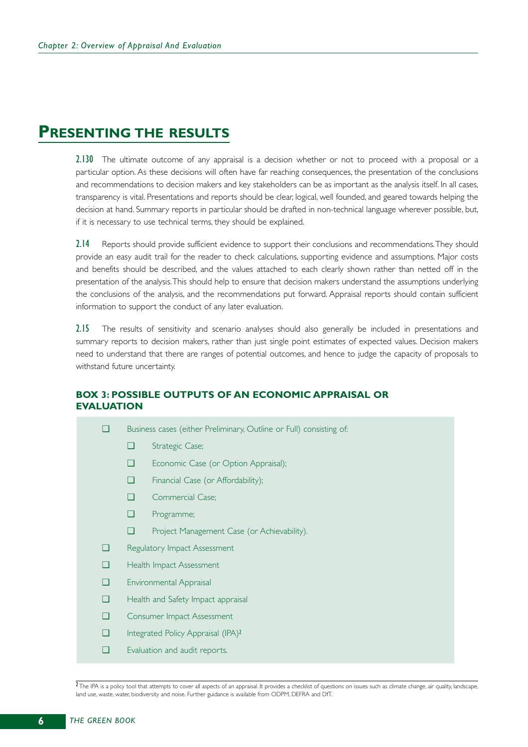## **PRESENTING THE RESULTS**

2.130 The ultimate outcome of any appraisal is a decision whether or not to proceed with a proposal or a particular option. As these decisions will often have far reaching consequences, the presentation of the conclusions and recommendations to decision makers and key stakeholders can be as important as the analysis itself. In all cases, transparency is vital. Presentations and reports should be clear, logical, well founded, and geared towards helping the decision at hand. Summary reports in particular should be drafted in non-technical language wherever possible, but, if it is necessary to use technical terms, they should be explained.

2.14 Reports should provide sufficient evidence to support their conclusions and recommendations. They should provide an easy audit trail for the reader to check calculations, supporting evidence and assumptions. Major costs and benefits should be described, and the values attached to each clearly shown rather than netted off in the presentation of the analysis.This should help to ensure that decision makers understand the assumptions underlying the conclusions of the analysis, and the recommendations put forward. Appraisal reports should contain sufficient information to support the conduct of any later evaluation.

2.15 The results of sensitivity and scenario analyses should also generally be included in presentations and summary reports to decision makers, rather than just single point estimates of expected values. Decision makers need to understand that there are ranges of potential outcomes, and hence to judge the capacity of proposals to withstand future uncertainty.

### **BOX 3: POSSIBLE OUTPUTS OF AN ECONOMIC APPRAISAL OR EVALUATION**

- ❑ Business cases (either Preliminary, Outline or Full) consisting of:
	- ❑ Strategic Case;
	- ❑ Economic Case (or Option Appraisal);
	- ❑ Financial Case (or Affordability);
	- ❑ Commercial Case;
	- ❑ Programme;
	- ❑ Project Management Case (or Achievability).
- ❑ Regulatory Impact Assessment
- ❑ Health Impact Assessment
- ❑ Environmental Appraisal
- ❑ Health and Safety Impact appraisal
- ❑ Consumer Impact Assessment
- □ Integrated Policy Appraisal (IPA)<sup>2</sup>
- ❑ Evaluation and audit reports.

The IPA is a policy tool that attempts to cover all aspects of an appraisal. It provides a checklist of questions on issues such as climate change, air quality, landscape, land use, waste, water, biodiversity and noise. Further guidance is available from ODPM, DEFRA and DfT.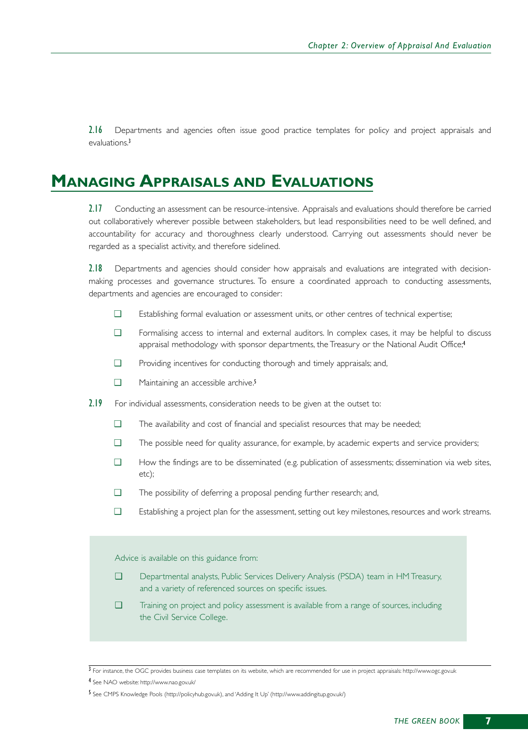2.16 Departments and agencies often issue good practice templates for policy and project appraisals and evaluations.<sup>3</sup>

## **MANAGING APPRAISALS AND EVALUATIONS**

2.17 Conducting an assessment can be resource-intensive. Appraisals and evaluations should therefore be carried out collaboratively wherever possible between stakeholders, but lead responsibilities need to be well defined, and accountability for accuracy and thoroughness clearly understood. Carrying out assessments should never be regarded as a specialist activity, and therefore sidelined.

2.18 Departments and agencies should consider how appraisals and evaluations are integrated with decisionmaking processes and governance structures. To ensure a coordinated approach to conducting assessments, departments and agencies are encouraged to consider:

- ❑ Establishing formal evaluation or assessment units, or other centres of technical expertise;
- ❑ Formalising access to internal and external auditors. In complex cases, it may be helpful to discuss appraisal methodology with sponsor departments, the Treasury or the National Audit Office;<sup>4</sup>
- ❑ Providing incentives for conducting thorough and timely appraisals; and,
- □ Maintaining an accessible archive.<sup>5</sup>
- 2.19 For individual assessments, consideration needs to be given at the outset to:
	- ❑ The availability and cost of financial and specialist resources that may be needed;
	- ❑ The possible need for quality assurance, for example, by academic experts and service providers;
	- ❑ How the findings are to be disseminated (e.g. publication of assessments; dissemination via web sites, etc);
	- ❑ The possibility of deferring a proposal pending further research; and,
	- ❑ Establishing a project plan for the assessment, setting out key milestones, resources and work streams.

#### Advice is available on this guidance from:

- ❑ Departmental analysts, Public Services Delivery Analysis (PSDA) team in HM Treasury, and a variety of referenced sources on specific issues.
- ❑ Training on project and policy assessment is available from a range of sources, including the Civil Service College.

 $\overline{3}$  For instance, the OGC provides business case templates on its website, which are recommended for use in project appraisals: http://www.ogc.gov.uk

<sup>4</sup> See NAO website: http://www.nao.gov.uk/

<sup>5</sup> See CMPS Knowledge Pools (http://policyhub.gov.uk), and 'Adding It Up' (http://www.addingitup.gov.uk/)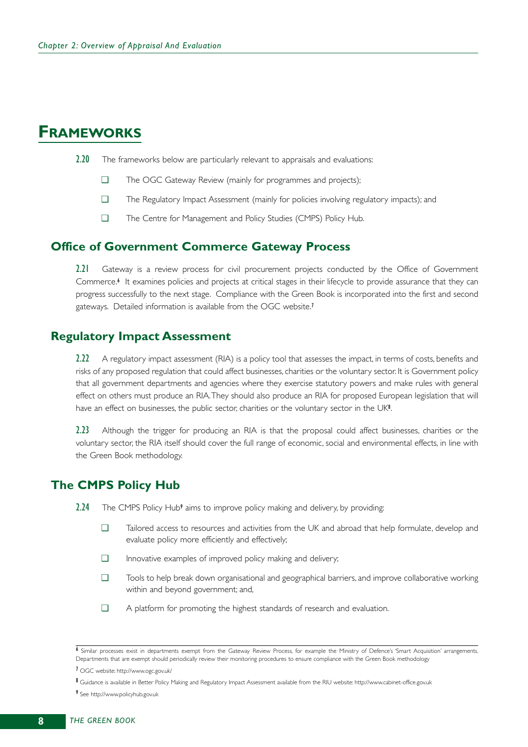## **FRAMEWORKS**

- 2.20 The frameworks below are particularly relevant to appraisals and evaluations:
	- ❑ The OGC Gateway Review (mainly for programmes and projects);
	- ❑ The Regulatory Impact Assessment (mainly for policies involving regulatory impacts); and
	- ❑ The Centre for Management and Policy Studies (CMPS) Policy Hub.

### **Office of Government Commerce Gateway Process**

2.21 Gateway is a review process for civil procurement projects conducted by the Office of Government Commerce.<sup>6</sup> It examines policies and projects at critical stages in their lifecycle to provide assurance that they can progress successfully to the next stage. Compliance with the Green Book is incorporated into the first and second gateways. Detailed information is available from the OGC website.<sup>7</sup>

### **Regulatory Impact Assessment**

2.22 A regulatory impact assessment (RIA) is a policy tool that assesses the impact, in terms of costs, benefits and risks of any proposed regulation that could affect businesses, charities or the voluntary sector. It is Government policy that all government departments and agencies where they exercise statutory powers and make rules with general effect on others must produce an RIA.They should also produce an RIA for proposed European legislation that will have an effect on businesses, the public sector, charities or the voluntary sector in the  $UK<sup>8</sup>$ .

2.23 Although the trigger for producing an RIA is that the proposal could affect businesses, charities or the voluntary sector, the RIA itself should cover the full range of economic, social and environmental effects, in line with the Green Book methodology.

### **The CMPS Policy Hub**

- 2.24 The CMPS Policy Hub<sup>9</sup> aims to improve policy making and delivery, by providing:
	- ❑ Tailored access to resources and activities from the UK and abroad that help formulate, develop and evaluate policy more efficiently and effectively;
	- ❑ Innovative examples of improved policy making and delivery;
	- ❑ Tools to help break down organisational and geographical barriers, and improve collaborative working within and beyond government; and,
	- ❑ A platform for promoting the highest standards of research and evaluation.

<sup>6</sup> Similar processes exist in departments exempt from the Gateway Review Process, for example the Ministry of Defence's 'Smart Acquisition' arrangements. Departments that are exempt should periodically review their monitoring procedures to ensure compliance with the Green Book methodology

<sup>7</sup> OGC website: http://www.ogc.gov.uk/

<sup>8</sup> Guidance is available in Better Policy Making and Regulatory Impact Assessment available from the RIU website: http://www.cabinet-office.gov.uk

<sup>9</sup> See http://www.policyhub.gov.uk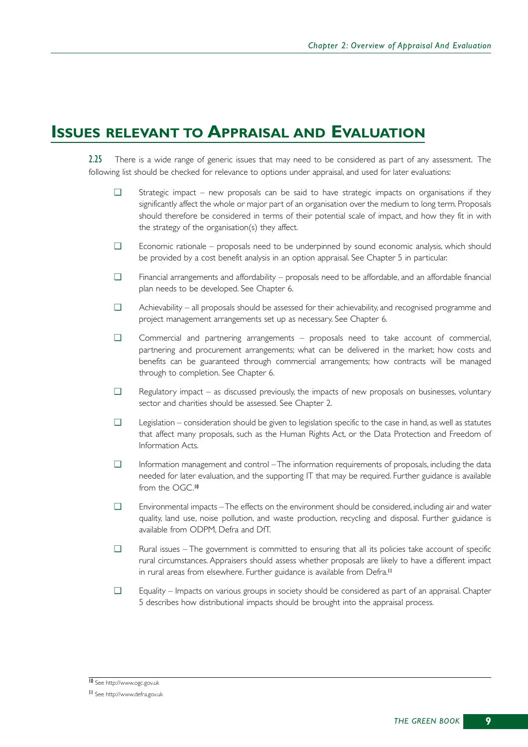# **ISSUES RELEVANT TO APPRAISAL AND EVALUATION**

2.25 There is a wide range of generic issues that may need to be considered as part of any assessment. The following list should be checked for relevance to options under appraisal, and used for later evaluations:

- ❑ Strategic impact new proposals can be said to have strategic impacts on organisations if they significantly affect the whole or major part of an organisation over the medium to long term. Proposals should therefore be considered in terms of their potential scale of impact, and how they fit in with the strategy of the organisation(s) they affect.
- ❑ Economic rationale proposals need to be underpinned by sound economic analysis, which should be provided by a cost benefit analysis in an option appraisal. See Chapter 5 in particular.
- ❑ Financial arrangements and affordability proposals need to be affordable, and an affordable financial plan needs to be developed. See Chapter 6.
- ❑ Achievability all proposals should be assessed for their achievability, and recognised programme and project management arrangements set up as necessary. See Chapter 6.
- ❑ Commercial and partnering arrangements proposals need to take account of commercial, partnering and procurement arrangements; what can be delivered in the market; how costs and benefits can be guaranteed through commercial arrangements; how contracts will be managed through to completion. See Chapter 6.
- $\Box$  Regulatory impact as discussed previously, the impacts of new proposals on businesses, voluntary sector and charities should be assessed. See Chapter 2.
- ❑ Legislation consideration should be given to legislation specific to the case in hand, as well as statutes that affect many proposals, such as the Human Rights Act, or the Data Protection and Freedom of Information Acts.
- ❑ Information management and control The information requirements of proposals, including the data needed for later evaluation, and the supporting IT that may be required. Further guidance is available from the OGC.<sup>10</sup>
- ❑ Environmental impacts The effects on the environment should be considered, including air and water quality, land use, noise pollution, and waste production, recycling and disposal. Further guidance is available from ODPM, Defra and DfT.
- ❑ Rural issues The government is committed to ensuring that all its policies take account of specific rural circumstances. Appraisers should assess whether proposals are likely to have a different impact in rural areas from elsewhere. Further guidance is available from Defra.<sup>11</sup>
- ❑ Equality Impacts on various groups in society should be considered as part of an appraisal. Chapter 5 describes how distributional impacts should be brought into the appraisal process.

<sup>10</sup> See http://www.ogc.gov.uk

<sup>11</sup> See http://www.defra.gov.uk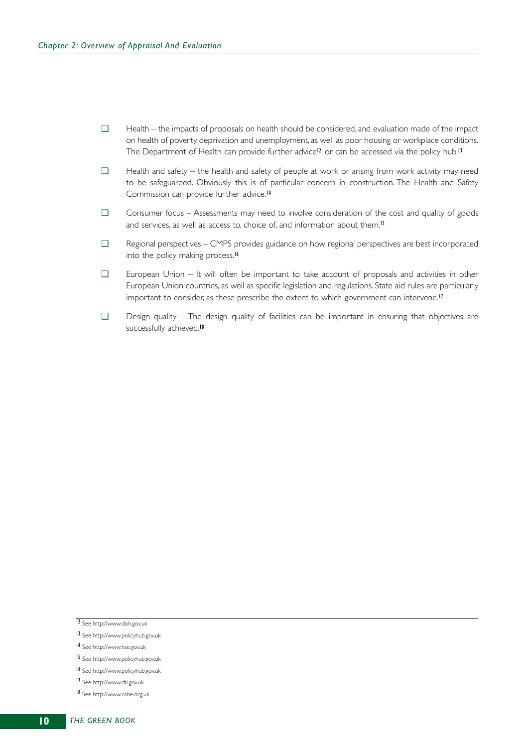- ❑ Health the impacts of proposals on health should be considered, and evaluation made of the impact on health of poverty, deprivation and unemployment, as well as poor housing or workplace conditions. The Department of Health can provide further advice<sup>12</sup>, or can be accessed via the policy hub.<sup>13</sup>
- ❑ Health and safety the health and safety of people at work or arising from work activity may need to be safeguarded. Obviously this is of particular concern in construction. The Health and Safety Commission can provide further advice.<sup>14</sup>
- ❑ Consumer focus Assessments may need to involve consideration of the cost and quality of goods and services, as well as access to, choice of, and information about them.<sup>15</sup>
- ❑ Regional perspectives CMPS provides guidance on how regional perspectives are best incorporated into the policy making process.<sup>16</sup>
- ❑ European Union It will often be important to take account of proposals and activities in other European Union countries, as well as specific legislation and regulations. State aid rules are particularly important to consider, as these prescribe the extent to which government can intervene.<sup>17</sup>
- ❑ Design quality The design quality of facilities can be important in ensuring that objectives are successfully achieved.<sup>18</sup>

15 See http://www.policyhub.gov.uk

- 17 See http://www.dti.gov.uk
- 18 See http://www.cabe.org.uk

<sup>12</sup> See http://www.doh.gov.uk

<sup>13</sup> See http://www.policyhub.gov.uk

<sup>14</sup> See http://www.hse.gov.uk

<sup>16</sup> See http://www.policyhub.gov.uk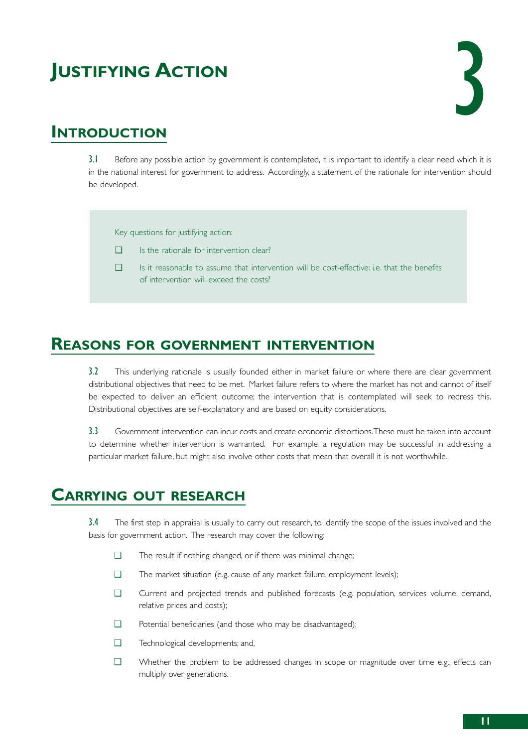# **JUSTIFYING ACTION**



# **INTRODUCTION**

3.1 Before any possible action by government is contemplated, it is important to identify a clear need which it is in the national interest for government to address. Accordingly, a statement of the rationale for intervention should be developed.

Key questions for justifying action:

- ❑ Is the rationale for intervention clear?
- ❑ Is it reasonable to assume that intervention will be cost-effective: i.e. that the benefits of intervention will exceed the costs?

## **REASONS FOR GOVERNMENT INTERVENTION**

3.2 This underlying rationale is usually founded either in market failure or where there are clear government distributional objectives that need to be met. Market failure refers to where the market has not and cannot of itself be expected to deliver an efficient outcome; the intervention that is contemplated will seek to redress this. Distributional objectives are self-explanatory and are based on equity considerations.

3.3 Government intervention can incur costs and create economic distortions.These must be taken into account to determine whether intervention is warranted. For example, a regulation may be successful in addressing a particular market failure, but might also involve other costs that mean that overall it is not worthwhile.

# **CARRYING OUT RESEARCH**

3.4 The first step in appraisal is usually to carry out research, to identify the scope of the issues involved and the basis for government action. The research may cover the following:

- ❑ The result if nothing changed, or if there was minimal change;
- ❑ The market situation (e.g. cause of any market failure, employment levels);
- ❑ Current and projected trends and published forecasts (e.g. population, services volume, demand, relative prices and costs);
- ❑ Potential beneficiaries (and those who may be disadvantaged);
- ❑ Technological developments; and,
- ❑ Whether the problem to be addressed changes in scope or magnitude over time e.g., effects can multiply over generations.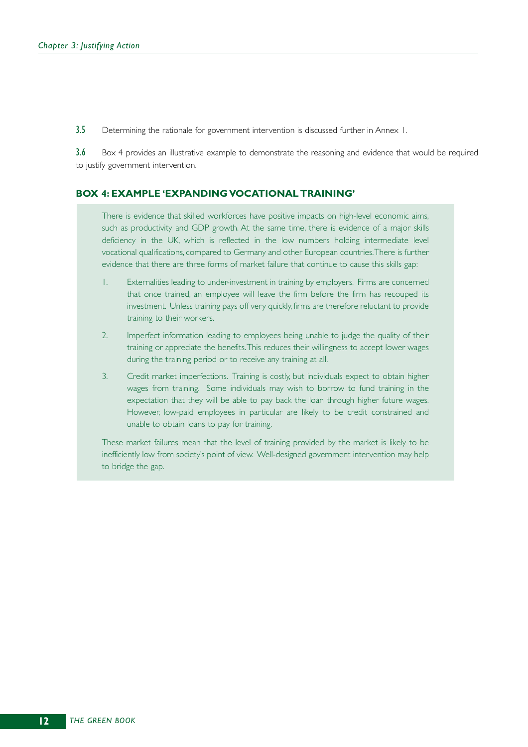3.5 Determining the rationale for government intervention is discussed further in Annex 1.

3.6 Box 4 provides an illustrative example to demonstrate the reasoning and evidence that would be required to justify government intervention.

#### **BOX 4: EXAMPLE 'EXPANDING VOCATIONAL TRAINING'**

There is evidence that skilled workforces have positive impacts on high-level economic aims, such as productivity and GDP growth. At the same time, there is evidence of a major skills deficiency in the UK, which is reflected in the low numbers holding intermediate level vocational qualifications, compared to Germany and other European countries.There is further evidence that there are three forms of market failure that continue to cause this skills gap:

- 1. Externalities leading to under-investment in training by employers. Firms are concerned that once trained, an employee will leave the firm before the firm has recouped its investment. Unless training pays off very quickly, firms are therefore reluctant to provide training to their workers.
- 2. Imperfect information leading to employees being unable to judge the quality of their training or appreciate the benefits.This reduces their willingness to accept lower wages during the training period or to receive any training at all.
- 3. Credit market imperfections. Training is costly, but individuals expect to obtain higher wages from training. Some individuals may wish to borrow to fund training in the expectation that they will be able to pay back the loan through higher future wages. However, low-paid employees in particular are likely to be credit constrained and unable to obtain loans to pay for training.

These market failures mean that the level of training provided by the market is likely to be inefficiently low from society's point of view. Well-designed government intervention may help to bridge the gap.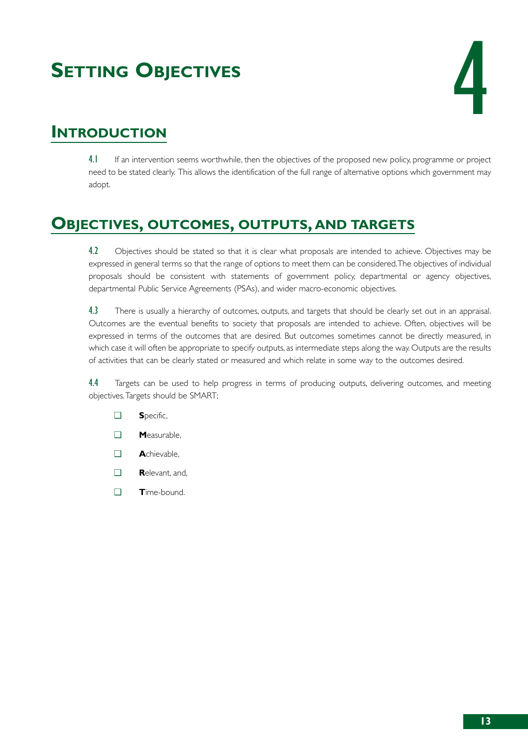# **SETTING OBJECTIVES**



# **INTRODUCTION**

4.1 If an intervention seems worthwhile, then the objectives of the proposed new policy, programme or project need to be stated clearly. This allows the identification of the full range of alternative options which government may adopt.

# **OBJECTIVES, OUTCOMES, OUTPUTS, AND TARGETS**

4.2 Objectives should be stated so that it is clear what proposals are intended to achieve. Objectives may be expressed in general terms so that the range of options to meet them can be considered.The objectives of individual proposals should be consistent with statements of government policy, departmental or agency objectives, departmental Public Service Agreements (PSAs), and wider macro-economic objectives.

4.3 There is usually a hierarchy of outcomes, outputs, and targets that should be clearly set out in an appraisal. Outcomes are the eventual benefits to society that proposals are intended to achieve. Often, objectives will be expressed in terms of the outcomes that are desired. But outcomes sometimes cannot be directly measured, in which case it will often be appropriate to specify outputs, as intermediate steps along the way. Outputs are the results of activities that can be clearly stated or measured and which relate in some way to the outcomes desired.

4.4 Targets can be used to help progress in terms of producing outputs, delivering outcomes, and meeting objectives.Targets should be SMART;

- ❑ **S**pecific,
- ❑ **M**easurable,
- ❑ **A**chievable,
- ❑ **R**elevant, and,
- ❑ **T**ime-bound.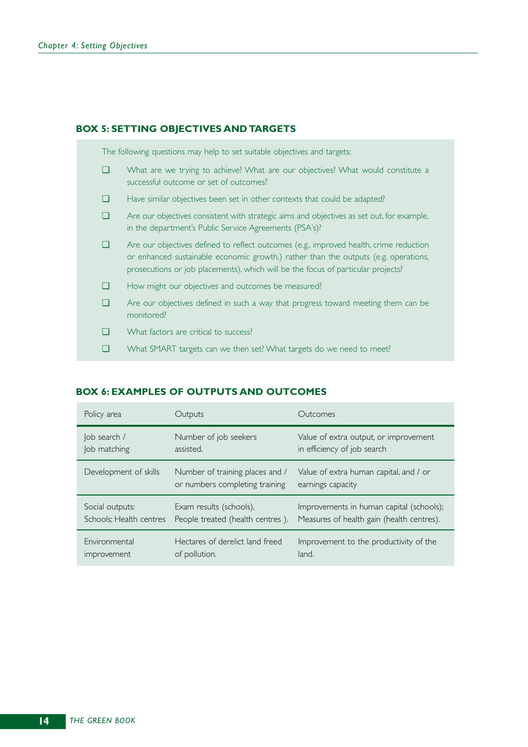#### **BOX 5: SETTING OBJECTIVES AND TARGETS**

The following questions may help to set suitable objectives and targets:

- ❑ What are we trying to achieve? What are our objectives? What would constitute a successful outcome or set of outcomes?
- ❑ Have similar objectives been set in other contexts that could be adapted?
- ❑ Are our objectives consistent with strategic aims and objectives as set out, for example, in the department's Public Service Agreements (PSA's)?
- ❑ Are our objectives defined to reflect outcomes (e.g., improved health, crime reduction or enhanced sustainable economic growth,) rather than the outputs (e.g. operations, prosecutions or job placements), which will be the focus of particular projects?
- ❑ How might our objectives and outcomes be measured?
- ❑ Are our objectives defined in such a way that progress toward meeting them can be monitored?
- ❑ What factors are critical to success?
- ❑ What SMART targets can we then set? What targets do we need to meet?

#### **BOX 6: EXAMPLES OF OUTPUTS AND OUTCOMES**

| Policy area             | Outputs                                                           | Outcomes                                                    |
|-------------------------|-------------------------------------------------------------------|-------------------------------------------------------------|
| Job search /            | Number of job seekers                                             | Value of extra output, or improvement                       |
| Job matching            | assisted.                                                         | in efficiency of job search                                 |
| Development of skills   | Number of training places and /<br>or numbers completing training | Value of extra human capital, and / or<br>earnings capacity |
| Social outputs:         | Exam results (schools),                                           | Improvements in human capital (schools);                    |
| Schools; Health centres | People treated (health centres).                                  | Measures of health gain (health centres).                   |
| Environmental           | Hectares of derelict land freed                                   | Improvement to the productivity of the                      |
| improvement             | of pollution.                                                     | land.                                                       |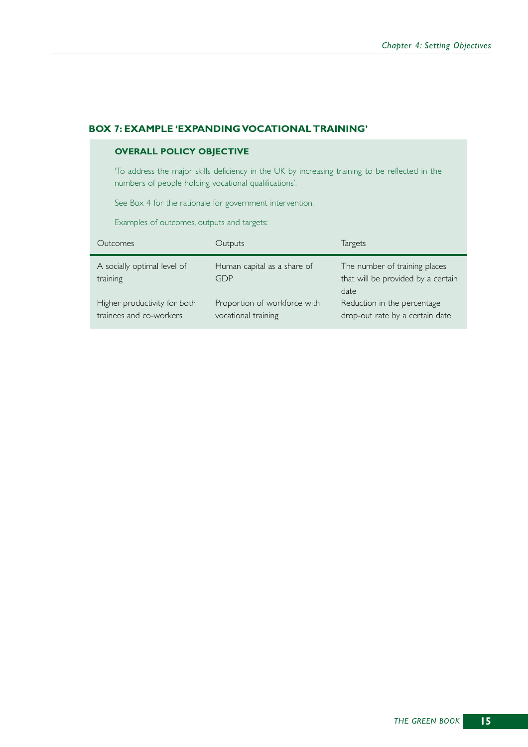#### **BOX 7: EXAMPLE 'EXPANDING VOCATIONAL TRAINING'**

#### **OVERALL POLICY OBJECTIVE**

'To address the major skills deficiency in the UK by increasing training to be reflected in the numbers of people holding vocational qualifications'.

See Box 4 for the rationale for government intervention.

Examples of outcomes, outputs and targets:

| Qutcomes                                                | Outputs                                             | <b>Targets</b>                                                              |
|---------------------------------------------------------|-----------------------------------------------------|-----------------------------------------------------------------------------|
| A socially optimal level of<br>training                 | Human capital as a share of<br>GDP                  | The number of training places<br>that will be provided by a certain<br>date |
| Higher productivity for both<br>trainees and co-workers | Proportion of workforce with<br>vocational training | Reduction in the percentage<br>drop-out rate by a certain date              |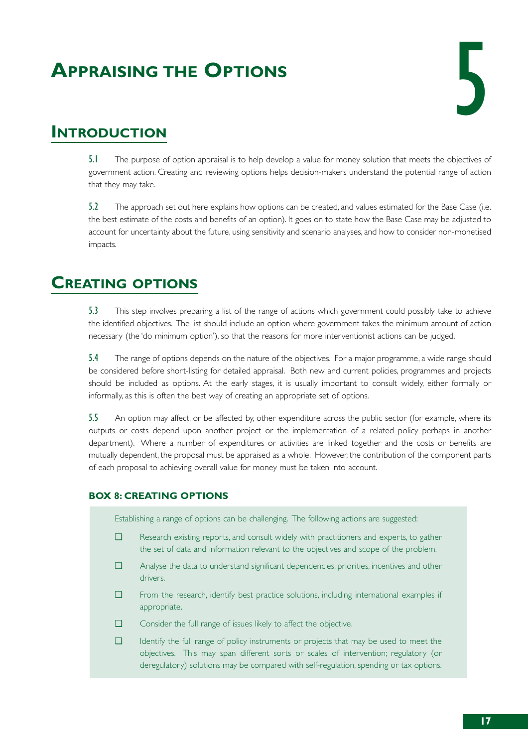# **APPRAISING THE OPTIONS**



# **INTRODUCTION**

5.1 The purpose of option appraisal is to help develop a value for money solution that meets the objectives of government action. Creating and reviewing options helps decision-makers understand the potential range of action that they may take.

5.2 The approach set out here explains how options can be created, and values estimated for the Base Case (i.e. the best estimate of the costs and benefits of an option). It goes on to state how the Base Case may be adjusted to account for uncertainty about the future, using sensitivity and scenario analyses, and how to consider non-monetised impacts.

# **CREATING OPTIONS**

5.3 This step involves preparing a list of the range of actions which government could possibly take to achieve the identified objectives. The list should include an option where government takes the minimum amount of action necessary (the 'do minimum option'), so that the reasons for more interventionist actions can be judged.

5.4 The range of options depends on the nature of the objectives. For a major programme, a wide range should be considered before short-listing for detailed appraisal. Both new and current policies, programmes and projects should be included as options. At the early stages, it is usually important to consult widely, either formally or informally, as this is often the best way of creating an appropriate set of options.

5.5 An option may affect, or be affected by, other expenditure across the public sector (for example, where its outputs or costs depend upon another project or the implementation of a related policy perhaps in another department). Where a number of expenditures or activities are linked together and the costs or benefits are mutually dependent, the proposal must be appraised as a whole. However, the contribution of the component parts of each proposal to achieving overall value for money must be taken into account.

### **BOX 8: CREATING OPTIONS**

Establishing a range of options can be challenging. The following actions are suggested:

- ❑ Research existing reports, and consult widely with practitioners and experts, to gather the set of data and information relevant to the objectives and scope of the problem.
- ❑ Analyse the data to understand significant dependencies, priorities, incentives and other drivers.
- ❑ From the research, identify best practice solutions, including international examples if appropriate.
- ❑ Consider the full range of issues likely to affect the objective.
- ❑ Identify the full range of policy instruments or projects that may be used to meet the objectives. This may span different sorts or scales of intervention; regulatory (or deregulatory) solutions may be compared with self-regulation, spending or tax options.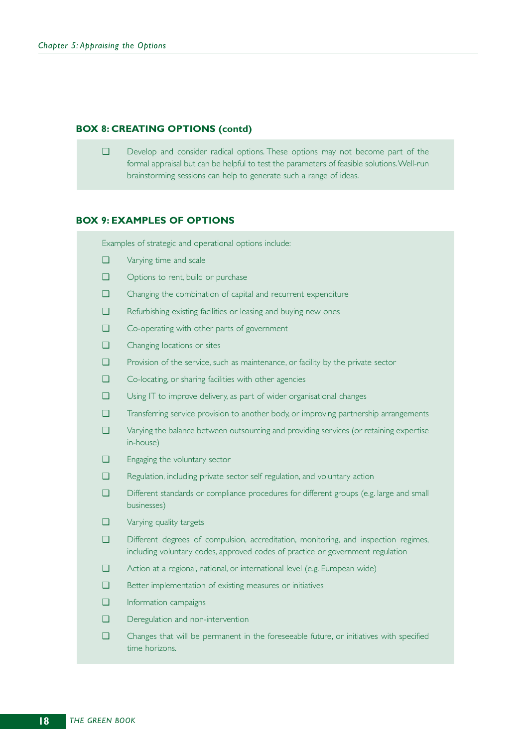#### **BOX 8: CREATING OPTIONS (contd)**

❑ Develop and consider radical options. These options may not become part of the formal appraisal but can be helpful to test the parameters of feasible solutions.Well-run brainstorming sessions can help to generate such a range of ideas.

#### **BOX 9: EXAMPLES OF OPTIONS**

Examples of strategic and operational options include:

- ❑ Varying time and scale
- ❑ Options to rent, build or purchase
- ❑ Changing the combination of capital and recurrent expenditure
- ❑ Refurbishing existing facilities or leasing and buying new ones
- ❑ Co-operating with other parts of government
- ❑ Changing locations or sites
- ❑ Provision of the service, such as maintenance, or facility by the private sector
- ❑ Co-locating, or sharing facilities with other agencies
- ❑ Using IT to improve delivery, as part of wider organisational changes
- ❑ Transferring service provision to another body, or improving partnership arrangements
- ❑ Varying the balance between outsourcing and providing services (or retaining expertise in-house)
- ❑ Engaging the voluntary sector
- ❑ Regulation, including private sector self regulation, and voluntary action
- ❑ Different standards or compliance procedures for different groups (e.g. large and small businesses)
- ❑ Varying quality targets
- ❑ Different degrees of compulsion, accreditation, monitoring, and inspection regimes, including voluntary codes, approved codes of practice or government regulation
- ❑ Action at a regional, national, or international level (e.g. European wide)
- ❑ Better implementation of existing measures or initiatives
- ❑ Information campaigns
- ❑ Deregulation and non-intervention
- ❑ Changes that will be permanent in the foreseeable future, or initiatives with specified time horizons.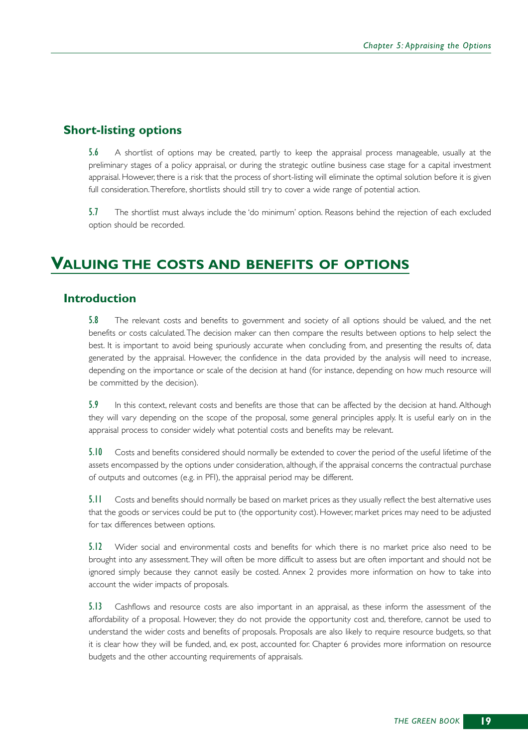### **Short-listing options**

5.6 A shortlist of options may be created, partly to keep the appraisal process manageable, usually at the preliminary stages of a policy appraisal, or during the strategic outline business case stage for a capital investment appraisal. However, there is a risk that the process of short-listing will eliminate the optimal solution before it is given full consideration.Therefore, shortlists should still try to cover a wide range of potential action.

5.7 The shortlist must always include the 'do minimum' option. Reasons behind the rejection of each excluded option should be recorded.

## **VALUING THE COSTS AND BENEFITS OF OPTIONS**

### **Introduction**

5.8 The relevant costs and benefits to government and society of all options should be valued, and the net benefits or costs calculated.The decision maker can then compare the results between options to help select the best. It is important to avoid being spuriously accurate when concluding from, and presenting the results of, data generated by the appraisal. However, the confidence in the data provided by the analysis will need to increase, depending on the importance or scale of the decision at hand (for instance, depending on how much resource will be committed by the decision).

5.9 In this context, relevant costs and benefits are those that can be affected by the decision at hand. Although they will vary depending on the scope of the proposal, some general principles apply. It is useful early on in the appraisal process to consider widely what potential costs and benefits may be relevant.

5.10 Costs and benefits considered should normally be extended to cover the period of the useful lifetime of the assets encompassed by the options under consideration, although, if the appraisal concerns the contractual purchase of outputs and outcomes (e.g. in PFI), the appraisal period may be different.

5.11 Costs and benefits should normally be based on market prices as they usually reflect the best alternative uses that the goods or services could be put to (the opportunity cost). However, market prices may need to be adjusted for tax differences between options.

5.12 Wider social and environmental costs and benefits for which there is no market price also need to be brought into any assessment.They will often be more difficult to assess but are often important and should not be ignored simply because they cannot easily be costed. Annex 2 provides more information on how to take into account the wider impacts of proposals.

5.13 Cashflows and resource costs are also important in an appraisal, as these inform the assessment of the affordability of a proposal. However, they do not provide the opportunity cost and, therefore, cannot be used to understand the wider costs and benefits of proposals. Proposals are also likely to require resource budgets, so that it is clear how they will be funded, and, ex post, accounted for. Chapter 6 provides more information on resource budgets and the other accounting requirements of appraisals.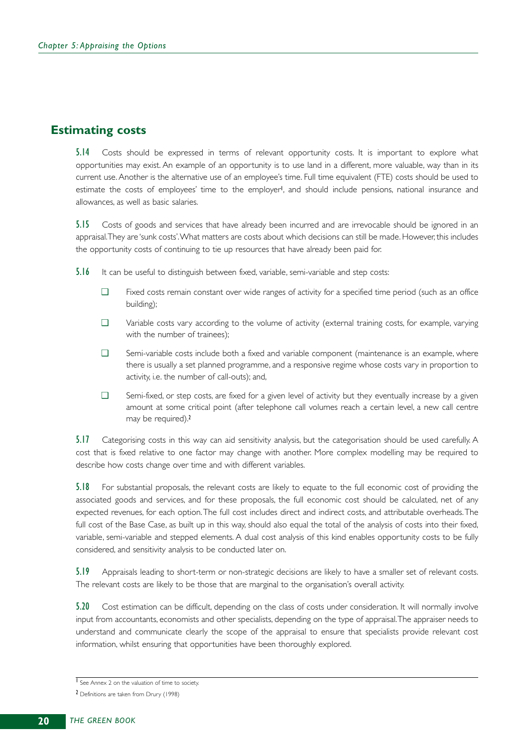### **Estimating costs**

5.14 Costs should be expressed in terms of relevant opportunity costs. It is important to explore what opportunities may exist. An example of an opportunity is to use land in a different, more valuable, way than in its current use. Another is the alternative use of an employee's time. Full time equivalent (FTE) costs should be used to estimate the costs of employees' time to the employer<sup>1</sup>, and should include pensions, national insurance and allowances, as well as basic salaries.

5.15 Costs of goods and services that have already been incurred and are irrevocable should be ignored in an appraisal.They are 'sunk costs'.What matters are costs about which decisions can still be made. However, this includes the opportunity costs of continuing to tie up resources that have already been paid for.

5.16 It can be useful to distinguish between fixed, variable, semi-variable and step costs:

- ❑ Fixed costs remain constant over wide ranges of activity for a specified time period (such as an office building);
- ❑ Variable costs vary according to the volume of activity (external training costs, for example, varying with the number of trainees);
- ❑ Semi-variable costs include both a fixed and variable component (maintenance is an example, where there is usually a set planned programme, and a responsive regime whose costs vary in proportion to activity, i.e. the number of call-outs); and,
- ❑ Semi-fixed, or step costs, are fixed for a given level of activity but they eventually increase by a given amount at some critical point (after telephone call volumes reach a certain level, a new call centre may be required).<sup>2</sup>

5.17 Categorising costs in this way can aid sensitivity analysis, but the categorisation should be used carefully. A cost that is fixed relative to one factor may change with another. More complex modelling may be required to describe how costs change over time and with different variables.

5.18 For substantial proposals, the relevant costs are likely to equate to the full economic cost of providing the associated goods and services, and for these proposals, the full economic cost should be calculated, net of any expected revenues, for each option.The full cost includes direct and indirect costs, and attributable overheads.The full cost of the Base Case, as built up in this way, should also equal the total of the analysis of costs into their fixed, variable, semi-variable and stepped elements. A dual cost analysis of this kind enables opportunity costs to be fully considered, and sensitivity analysis to be conducted later on.

5.19 Appraisals leading to short-term or non-strategic decisions are likely to have a smaller set of relevant costs. The relevant costs are likely to be those that are marginal to the organisation's overall activity.

5.20 Cost estimation can be difficult, depending on the class of costs under consideration. It will normally involve input from accountants, economists and other specialists, depending on the type of appraisal.The appraiser needs to understand and communicate clearly the scope of the appraisal to ensure that specialists provide relevant cost information, whilst ensuring that opportunities have been thoroughly explored.

<sup>1</sup> See Annex 2 on the valuation of time to society.

<sup>2</sup> Definitions are taken from Drury (1998)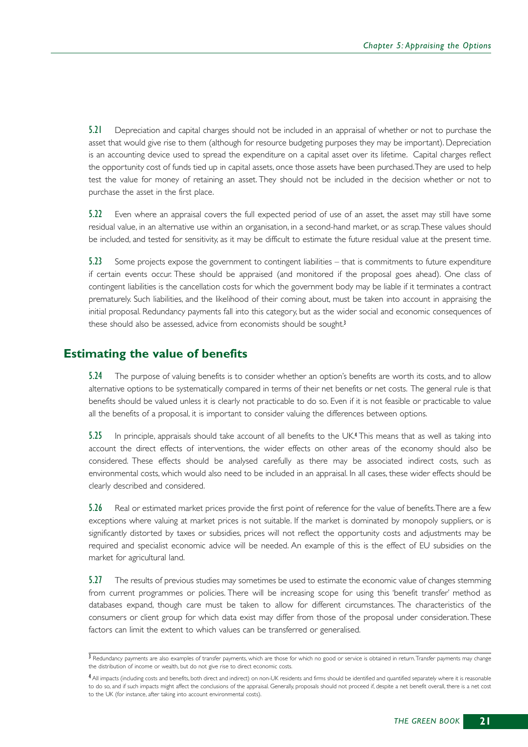5.21 Depreciation and capital charges should not be included in an appraisal of whether or not to purchase the asset that would give rise to them (although for resource budgeting purposes they may be important). Depreciation is an accounting device used to spread the expenditure on a capital asset over its lifetime. Capital charges reflect the opportunity cost of funds tied up in capital assets, once those assets have been purchased.They are used to help test the value for money of retaining an asset. They should not be included in the decision whether or not to purchase the asset in the first place.

5.22 Even where an appraisal covers the full expected period of use of an asset, the asset may still have some residual value, in an alternative use within an organisation, in a second-hand market, or as scrap.These values should be included, and tested for sensitivity, as it may be difficult to estimate the future residual value at the present time.

5.23 Some projects expose the government to contingent liabilities – that is commitments to future expenditure if certain events occur. These should be appraised (and monitored if the proposal goes ahead). One class of contingent liabilities is the cancellation costs for which the government body may be liable if it terminates a contract prematurely. Such liabilities, and the likelihood of their coming about, must be taken into account in appraising the initial proposal. Redundancy payments fall into this category, but as the wider social and economic consequences of these should also be assessed, advice from economists should be sought.<sup>3</sup>

### **Estimating the value of benefits**

5.24 The purpose of valuing benefits is to consider whether an option's benefits are worth its costs, and to allow alternative options to be systematically compared in terms of their net benefits or net costs. The general rule is that benefits should be valued unless it is clearly not practicable to do so. Even if it is not feasible or practicable to value all the benefits of a proposal, it is important to consider valuing the differences between options.

5.25 In principle, appraisals should take account of all benefits to the UK.<sup>4</sup> This means that as well as taking into account the direct effects of interventions, the wider effects on other areas of the economy should also be considered. These effects should be analysed carefully as there may be associated indirect costs, such as environmental costs, which would also need to be included in an appraisal. In all cases, these wider effects should be clearly described and considered.

5.26 Real or estimated market prices provide the first point of reference for the value of benefits. There are a few exceptions where valuing at market prices is not suitable. If the market is dominated by monopoly suppliers, or is significantly distorted by taxes or subsidies, prices will not reflect the opportunity costs and adjustments may be required and specialist economic advice will be needed. An example of this is the effect of EU subsidies on the market for agricultural land.

5.27 The results of previous studies may sometimes be used to estimate the economic value of changes stemming from current programmes or policies. There will be increasing scope for using this 'benefit transfer' method as databases expand, though care must be taken to allow for different circumstances. The characteristics of the consumers or client group for which data exist may differ from those of the proposal under consideration.These factors can limit the extent to which values can be transferred or generalised.

<sup>&</sup>lt;sup>3</sup> Redundancy payments are also examples of transfer payments, which are those for which no good or service is obtained in return. Transfer payments may change the distribution of income or wealth, but do not give rise to direct economic costs.

<sup>4</sup> All impacts (including costs and benefits, both direct and indirect) on non-UK residents and firms should be identified and quantified separately where it is reasonable to do so, and if such impacts might affect the conclusions of the appraisal. Generally, proposals should not proceed if, despite a net benefit overall, there is a net cost to the UK (for instance, after taking into account environmental costs).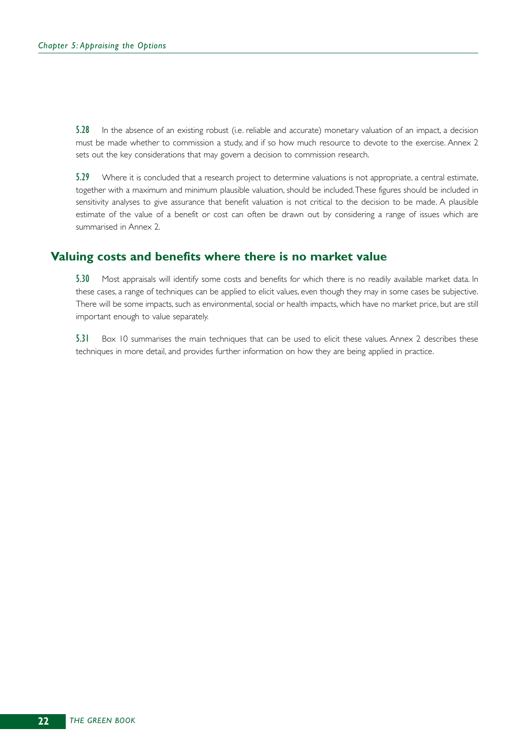5.28 In the absence of an existing robust (i.e. reliable and accurate) monetary valuation of an impact, a decision must be made whether to commission a study, and if so how much resource to devote to the exercise. Annex 2 sets out the key considerations that may govern a decision to commission research.

5.29 Where it is concluded that a research project to determine valuations is not appropriate, a central estimate, together with a maximum and minimum plausible valuation, should be included.These figures should be included in sensitivity analyses to give assurance that benefit valuation is not critical to the decision to be made. A plausible estimate of the value of a benefit or cost can often be drawn out by considering a range of issues which are summarised in Annex 2.

### **Valuing costs and benefits where there is no market value**

5.30 Most appraisals will identify some costs and benefits for which there is no readily available market data. In these cases, a range of techniques can be applied to elicit values, even though they may in some cases be subjective. There will be some impacts, such as environmental, social or health impacts, which have no market price, but are still important enough to value separately.

5.31 Box 10 summarises the main techniques that can be used to elicit these values. Annex 2 describes these techniques in more detail, and provides further information on how they are being applied in practice.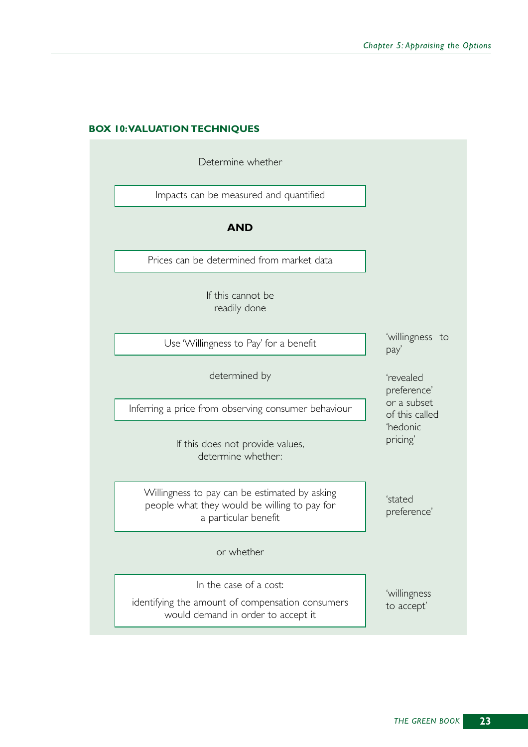### **BOX 10:VALUATION TECHNIQUES**

| Determine whether                                                                                                     |                               |  |  |  |
|-----------------------------------------------------------------------------------------------------------------------|-------------------------------|--|--|--|
| Impacts can be measured and quantified                                                                                |                               |  |  |  |
| <b>AND</b>                                                                                                            |                               |  |  |  |
| Prices can be determined from market data                                                                             |                               |  |  |  |
| If this cannot be<br>readily done                                                                                     |                               |  |  |  |
| Use 'Willingness to Pay' for a benefit                                                                                | 'willingness to<br>pay'       |  |  |  |
| determined by                                                                                                         | 'revealed<br>preference'      |  |  |  |
| Inferring a price from observing consumer behaviour                                                                   | or a subset<br>of this called |  |  |  |
| If this does not provide values,<br>determine whether:                                                                | 'hedonic<br>pricing'          |  |  |  |
| Willingness to pay can be estimated by asking<br>people what they would be willing to pay for<br>a particular benefit | 'stated<br>preference'        |  |  |  |
| or whether                                                                                                            |                               |  |  |  |
| In the case of a cost:<br>identifying the amount of compensation consumers<br>would demand in order to accept it      | 'willingness<br>to accept'    |  |  |  |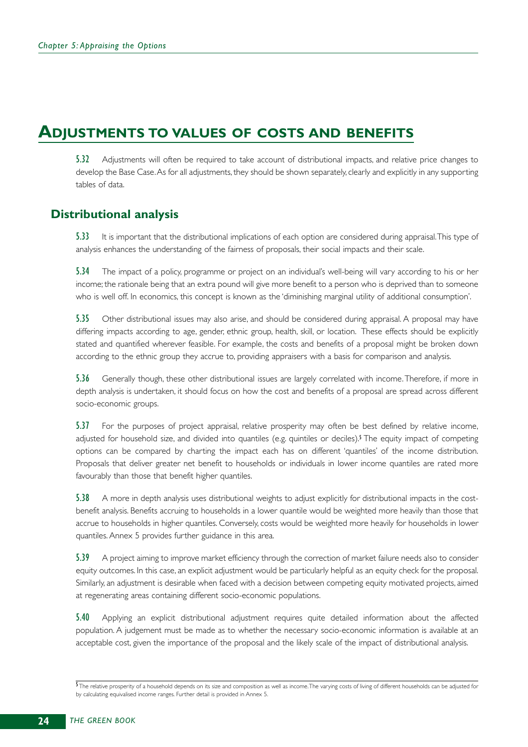## **ADJUSTMENTS TO VALUES OF COSTS AND BENEFITS**

5.32 Adjustments will often be required to take account of distributional impacts, and relative price changes to develop the Base Case. As for all adjustments, they should be shown separately, clearly and explicitly in any supporting tables of data.

### **Distributional analysis**

5.33 It is important that the distributional implications of each option are considered during appraisal. This type of analysis enhances the understanding of the fairness of proposals, their social impacts and their scale.

5.34 The impact of a policy, programme or project on an individual's well-being will vary according to his or her income; the rationale being that an extra pound will give more benefit to a person who is deprived than to someone who is well off. In economics, this concept is known as the 'diminishing marginal utility of additional consumption'.

5.35 Other distributional issues may also arise, and should be considered during appraisal. A proposal may have differing impacts according to age, gender, ethnic group, health, skill, or location. These effects should be explicitly stated and quantified wherever feasible. For example, the costs and benefits of a proposal might be broken down according to the ethnic group they accrue to, providing appraisers with a basis for comparison and analysis.

5.36 Generally though, these other distributional issues are largely correlated with income. Therefore, if more in depth analysis is undertaken, it should focus on how the cost and benefits of a proposal are spread across different socio-economic groups.

5.37 For the purposes of project appraisal, relative prosperity may often be best defined by relative income, adjusted for household size, and divided into quantiles (e.g. quintiles or deciles).<sup>5</sup> The equity impact of competing options can be compared by charting the impact each has on different 'quantiles' of the income distribution. Proposals that deliver greater net benefit to households or individuals in lower income quantiles are rated more favourably than those that benefit higher quantiles.

5.38 A more in depth analysis uses distributional weights to adjust explicitly for distributional impacts in the costbenefit analysis. Benefits accruing to households in a lower quantile would be weighted more heavily than those that accrue to households in higher quantiles. Conversely, costs would be weighted more heavily for households in lower quantiles. Annex 5 provides further guidance in this area.

5.39 A project aiming to improve market efficiency through the correction of market failure needs also to consider equity outcomes. In this case, an explicit adjustment would be particularly helpful as an equity check for the proposal. Similarly, an adjustment is desirable when faced with a decision between competing equity motivated projects, aimed at regenerating areas containing different socio-economic populations.

5.40 Applying an explicit distributional adjustment requires quite detailed information about the affected population. A judgement must be made as to whether the necessary socio-economic information is available at an acceptable cost, given the importance of the proposal and the likely scale of the impact of distributional analysis.

<sup>5</sup>The relative prosperity of a household depends on its size and composition as well as income. The varying costs of living of different households can be adjusted for by calculating equivalised income ranges. Further detail is provided in Annex 5.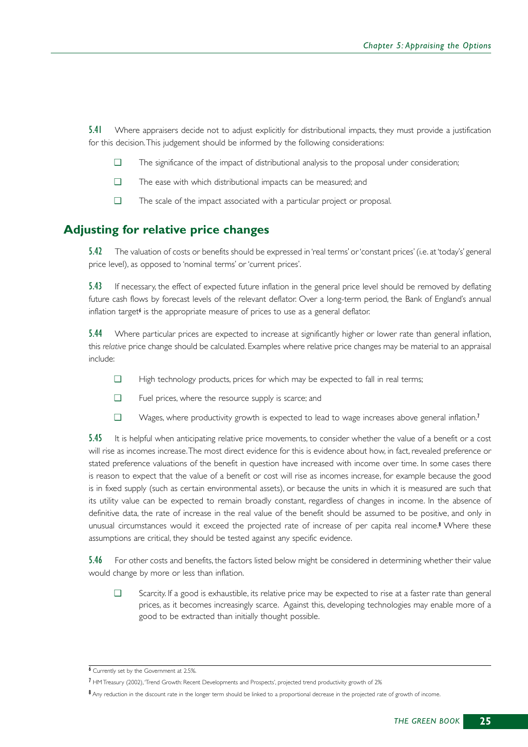5.41 Where appraisers decide not to adjust explicitly for distributional impacts, they must provide a justification for this decision.This judgement should be informed by the following considerations:

- ❑ The significance of the impact of distributional analysis to the proposal under consideration;
- ❑ The ease with which distributional impacts can be measured; and
- ❑ The scale of the impact associated with a particular project or proposal.

### **Adjusting for relative price changes**

5.42 The valuation of costs or benefits should be expressed in 'real terms' or 'constant prices' (i.e. at 'today's' general price level), as opposed to 'nominal terms' or 'current prices'.

5.43 If necessary, the effect of expected future inflation in the general price level should be removed by deflating future cash flows by forecast levels of the relevant deflator. Over a long-term period, the Bank of England's annual inflation target $\ell$  is the appropriate measure of prices to use as a general deflator.

5.44 Where particular prices are expected to increase at significantly higher or lower rate than general inflation, this *relative* price change should be calculated. Examples where relative price changes may be material to an appraisal include:

- ❑ High technology products, prices for which may be expected to fall in real terms;
- ❑ Fuel prices, where the resource supply is scarce; and
- ❑ Wages, where productivity growth is expected to lead to wage increases above general inflation.<sup>7</sup>

5.45 It is helpful when anticipating relative price movements, to consider whether the value of a benefit or a cost will rise as incomes increase.The most direct evidence for this is evidence about how, in fact, revealed preference or stated preference valuations of the benefit in question have increased with income over time. In some cases there is reason to expect that the value of a benefit or cost will rise as incomes increase, for example because the good is in fixed supply (such as certain environmental assets), or because the units in which it is measured are such that its utility value can be expected to remain broadly constant, regardless of changes in income. In the absence of definitive data, the rate of increase in the real value of the benefit should be assumed to be positive, and only in unusual circumstances would it exceed the projected rate of increase of per capita real income.<sup>8</sup> Where these assumptions are critical, they should be tested against any specific evidence.

5.46 For other costs and benefits, the factors listed below might be considered in determining whether their value would change by more or less than inflation.

❑ Scarcity. If a good is exhaustible, its relative price may be expected to rise at a faster rate than general prices, as it becomes increasingly scarce. Against this, developing technologies may enable more of a good to be extracted than initially thought possible.

<sup>6</sup> Currently set by the Government at 2.5%.

<sup>7</sup> HM Treasury (2002),'Trend Growth: Recent Developments and Prospects', projected trend productivity growth of 2%

<sup>8</sup> Any reduction in the discount rate in the longer term should be linked to a proportional decrease in the projected rate of growth of income.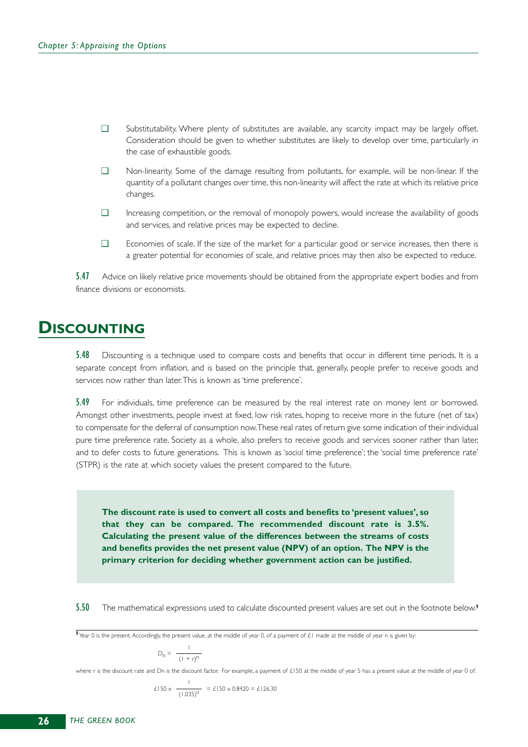- ❑ Substitutability. Where plenty of substitutes are available, any scarcity impact may be largely offset. Consideration should be given to whether substitutes are likely to develop over time, particularly in the case of exhaustible goods.
- ❑ Non-linearity. Some of the damage resulting from pollutants, for example, will be non-linear. If the quantity of a pollutant changes over time, this non-linearity will affect the rate at which its relative price changes.
- ❑ Increasing competition, or the removal of monopoly powers, would increase the availability of goods and services, and relative prices may be expected to decline.
- ❑ Economies of scale. If the size of the market for a particular good or service increases, then there is a greater potential for economies of scale, and relative prices may then also be expected to reduce.

5.47 Advice on likely relative price movements should be obtained from the appropriate expert bodies and from finance divisions or economists.

## **DISCOUNTING**

**5.48** Discounting is a technique used to compare costs and benefits that occur in different time periods. It is a separate concept from inflation, and is based on the principle that, generally, people prefer to receive goods and services now rather than later.This is known as 'time preference'.

5.49 For individuals, time preference can be measured by the real interest rate on money lent or borrowed. Amongst other investments, people invest at fixed, low risk rates, hoping to receive more in the future (net of tax) to compensate for the deferral of consumption now.These real rates of return give some indication of their individual pure time preference rate. Society as a whole, also prefers to receive goods and services sooner rather than later, and to defer costs to future generations. This is known as '*social* time preference'; the 'social time preference rate' (STPR) is the rate at which society values the present compared to the future.

**The discount rate is used to convert all costs and benefits to 'present values', so that they can be compared. The recommended discount rate is 3.5%. Calculating the present value of the differences between the streams of costs and benefits provides the net present value (NPV) of an option. The NPV is the primary criterion for deciding whether government action can be justified.**

5.50 The mathematical expressions used to calculate discounted present values are set out in the footnote below.<sup>9</sup>

$$
D_n = \frac{1}{(1+r)^n}
$$

where r is the discount rate and Dn is the discount factor. For example, a payment of £150 at the middle of year 5 has a present value at the middle of year 0 of:

$$
\pounds150 \times \frac{1}{(1.035)^n} = \pounds150 \times 0.8420 = \pounds126.30
$$

<sup>9</sup> Year 0 is the present. Accordingly, the present value, at the middle of year 0, of a payment of £1 made at the middle of year n is given by: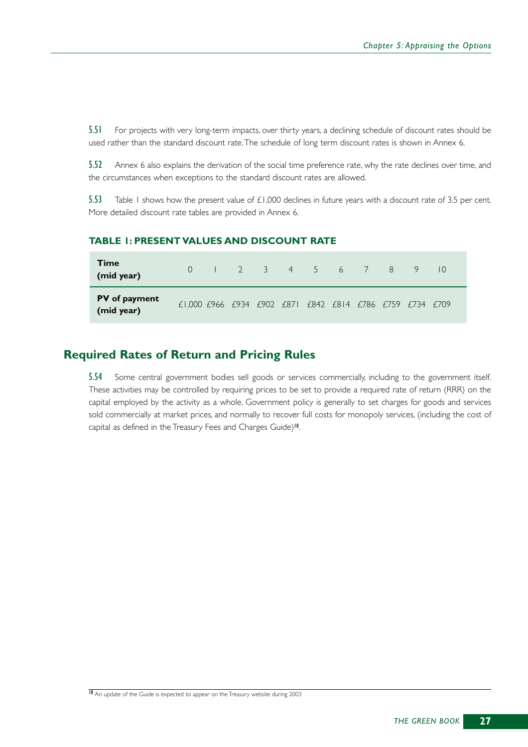5.51 For projects with very long-term impacts, over thirty years, a declining schedule of discount rates should be used rather than the standard discount rate.The schedule of long term discount rates is shown in Annex 6.

5.52 Annex 6 also explains the derivation of the social time preference rate, why the rate declines over time, and the circumstances when exceptions to the standard discount rates are allowed.

5.53 Table 1 shows how the present value of  $\pm 1,000$  declines in future years with a discount rate of 3.5 per cent. More detailed discount rate tables are provided in Annex 6.

#### **TABLE 1: PRESENT VALUES AND DISCOUNT RATE**

| <b>Time</b><br>(mid year)   |                                                          |  |  |  |  | $-9$ |  |
|-----------------------------|----------------------------------------------------------|--|--|--|--|------|--|
| PV of payment<br>(mid year) | £1,000 £966 £934 £902 £871 £842 £814 £786 £759 £734 £709 |  |  |  |  |      |  |

### **Required Rates of Return and Pricing Rules**

5.54 Some central government bodies sell goods or services commercially, including to the government itself. These activities may be controlled by requiring prices to be set to provide a required rate of return (RRR) on the capital employed by the activity as a whole. Government policy is generally to set charges for goods and services sold commercially at market prices, and normally to recover full costs for monopoly services, (including the cost of capital as defined in the Treasury Fees and Charges Guide)<sup>10</sup>.

<sup>10</sup> An update of the Guide is expected to appear on the Treasury website during 2003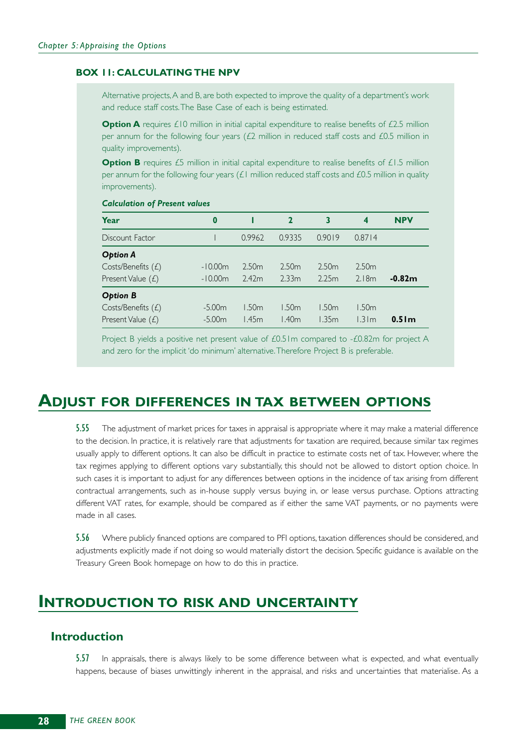#### **BOX 11: CALCULATING THE NPV**

Alternative projects,A and B, are both expected to improve the quality of a department's work and reduce staff costs.The Base Case of each is being estimated.

**Option A** requires £10 million in initial capital expenditure to realise benefits of £2.5 million per annum for the following four years  $(E2$  million in reduced staff costs and  $E0.5$  million in quality improvements).

**Option B** requires £5 million in initial capital expenditure to realise benefits of £1.5 million per annum for the following four years (£1 million reduced staff costs and £0.5 million in quality improvements).

#### *Calculation of Present values*

| Year                                                         | 0                      |                            | $\mathbf{2}$               | 3                          | 4                          | <b>NPV</b>        |
|--------------------------------------------------------------|------------------------|----------------------------|----------------------------|----------------------------|----------------------------|-------------------|
| Discount Factor                                              |                        | 0.9962                     | 0.9335                     | 0.9019                     | 0.8714                     |                   |
| <b>Option A</b><br>Costs/Benefits (£)<br>Present Value $(f)$ | $-10.00m$<br>$-10.00m$ | 2.50 <sub>m</sub><br>2.42m | 2.50 <sub>m</sub><br>2.33m | 2.50 <sub>m</sub><br>2.25m | 2.50 <sub>m</sub><br>2.18m | $-0.82m$          |
| <b>Option B</b><br>Costs/Benefits (£)<br>Present Value $(L)$ | $-5.00m$<br>$-5.00m$   | l.50m<br>l.45m             | 1.50m<br>140m              | 1.50m<br>1.35m             | l .50m<br>1.31m            | 0.51 <sub>m</sub> |

Project B yields a positive net present value of £0.51m compared to -£0.82m for project A and zero for the implicit 'do minimum' alternative.Therefore Project B is preferable.

## **ADJUST FOR DIFFERENCES IN TAX BETWEEN OPTIONS**

5.55 The adjustment of market prices for taxes in appraisal is appropriate where it may make a material difference to the decision. In practice, it is relatively rare that adjustments for taxation are required, because similar tax regimes usually apply to different options. It can also be difficult in practice to estimate costs net of tax. However, where the tax regimes applying to different options vary substantially, this should not be allowed to distort option choice. In such cases it is important to adjust for any differences between options in the incidence of tax arising from different contractual arrangements, such as in-house supply versus buying in, or lease versus purchase. Options attracting different VAT rates, for example, should be compared as if either the same VAT payments, or no payments were made in all cases.

5.56 Where publicly financed options are compared to PFI options, taxation differences should be considered, and adjustments explicitly made if not doing so would materially distort the decision. Specific guidance is available on the Treasury Green Book homepage on how to do this in practice.

## **INTRODUCTION TO RISK AND UNCERTAINTY**

### **Introduction**

**5.57** In appraisals, there is always likely to be some difference between what is expected, and what eventually happens, because of biases unwittingly inherent in the appraisal, and risks and uncertainties that materialise. As a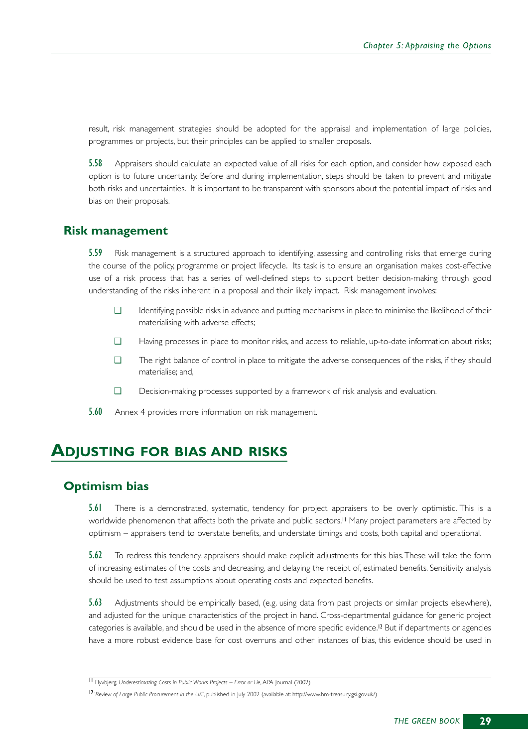result, risk management strategies should be adopted for the appraisal and implementation of large policies, programmes or projects, but their principles can be applied to smaller proposals.

5.58 Appraisers should calculate an expected value of all risks for each option, and consider how exposed each option is to future uncertainty. Before and during implementation, steps should be taken to prevent and mitigate both risks and uncertainties. It is important to be transparent with sponsors about the potential impact of risks and bias on their proposals.

### **Risk management**

5.59 Risk management is a structured approach to identifying, assessing and controlling risks that emerge during the course of the policy, programme or project lifecycle. Its task is to ensure an organisation makes cost-effective use of a risk process that has a series of well-defined steps to support better decision-making through good understanding of the risks inherent in a proposal and their likely impact. Risk management involves:

- ❑ Identifying possible risks in advance and putting mechanisms in place to minimise the likelihood of their materialising with adverse effects;
- ❑ Having processes in place to monitor risks, and access to reliable, up-to-date information about risks;
- ❑ The right balance of control in place to mitigate the adverse consequences of the risks, if they should materialise; and,
- ❑ Decision-making processes supported by a framework of risk analysis and evaluation.
- 5.60 Annex 4 provides more information on risk management.

### **ADJUSTING FOR BIAS AND RISKS**

### **Optimism bias**

5.61 There is a demonstrated, systematic, tendency for project appraisers to be overly optimistic. This is a worldwide phenomenon that affects both the private and public sectors.<sup>11</sup> Many project parameters are affected by optimism – appraisers tend to overstate benefits, and understate timings and costs, both capital and operational.

5.62 To redress this tendency, appraisers should make explicit adjustments for this bias.These will take the form of increasing estimates of the costs and decreasing, and delaying the receipt of, estimated benefits. Sensitivity analysis should be used to test assumptions about operating costs and expected benefits.

5.63 Adjustments should be empirically based, (e.g. using data from past projects or similar projects elsewhere), and adjusted for the unique characteristics of the project in hand. Cross-departmental guidance for generic project categories is available, and should be used in the absence of more specific evidence.<sup>12</sup> But if departments or agencies have a more robust evidence base for cost overruns and other instances of bias, this evidence should be used in

<sup>11</sup> Flyvbjerg, *Underestimating Costs in Public Works Projects – Error or Lie*, APA Journal (2002)

<sup>12</sup> '*Review of Large Public Procurement in the UK*', published in July 2002 (available at: http://www.hm-treasury.gsi.gov.uk/)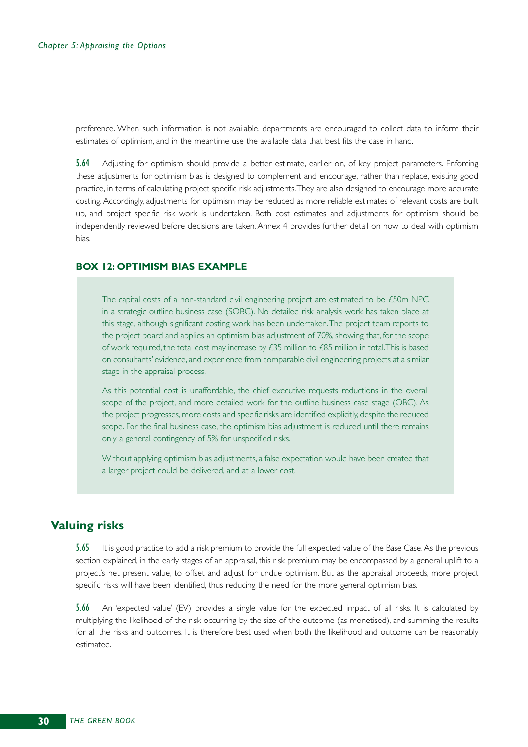preference. When such information is not available, departments are encouraged to collect data to inform their estimates of optimism, and in the meantime use the available data that best fits the case in hand.

5.64 Adjusting for optimism should provide a better estimate, earlier on, of key project parameters. Enforcing these adjustments for optimism bias is designed to complement and encourage, rather than replace, existing good practice, in terms of calculating project specific risk adjustments.They are also designed to encourage more accurate costing. Accordingly, adjustments for optimism may be reduced as more reliable estimates of relevant costs are built up, and project specific risk work is undertaken. Both cost estimates and adjustments for optimism should be independently reviewed before decisions are taken. Annex 4 provides further detail on how to deal with optimism bias.

#### **BOX 12: OPTIMISM BIAS EXAMPLE**

The capital costs of a non-standard civil engineering project are estimated to be £50m NPC in a strategic outline business case (SOBC). No detailed risk analysis work has taken place at this stage, although significant costing work has been undertaken.The project team reports to the project board and applies an optimism bias adjustment of 70%, showing that, for the scope of work required, the total cost may increase by £35 million to £85 million in total. This is based on consultants' evidence, and experience from comparable civil engineering projects at a similar stage in the appraisal process.

As this potential cost is unaffordable, the chief executive requests reductions in the overall scope of the project, and more detailed work for the outline business case stage (OBC). As the project progresses, more costs and specific risks are identified explicitly, despite the reduced scope. For the final business case, the optimism bias adjustment is reduced until there remains only a general contingency of 5% for unspecified risks.

Without applying optimism bias adjustments, a false expectation would have been created that a larger project could be delivered, and at a lower cost.

### **Valuing risks**

5.65 It is good practice to add a risk premium to provide the full expected value of the Base Case. As the previous section explained, in the early stages of an appraisal, this risk premium may be encompassed by a general uplift to a project's net present value, to offset and adjust for undue optimism. But as the appraisal proceeds, more project specific risks will have been identified, thus reducing the need for the more general optimism bias.

5.66 An 'expected value' (EV) provides a single value for the expected impact of all risks. It is calculated by multiplying the likelihood of the risk occurring by the size of the outcome (as monetised), and summing the results for all the risks and outcomes. It is therefore best used when both the likelihood and outcome can be reasonably estimated.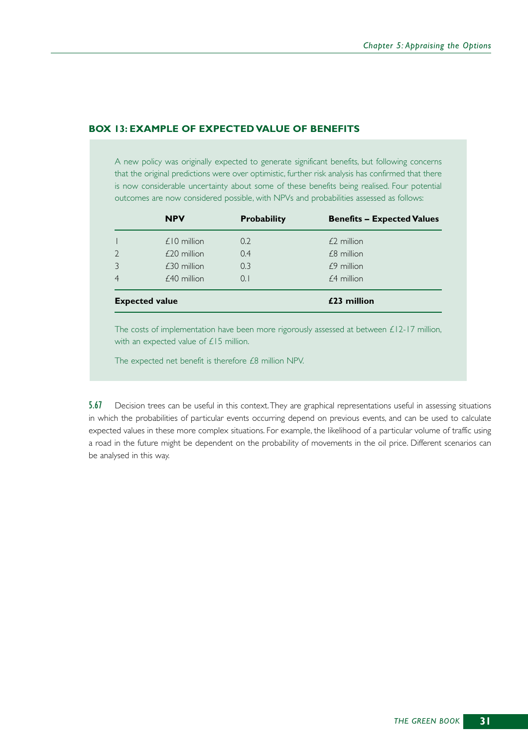#### **BOX 13: EXAMPLE OF EXPECTED VALUE OF BENEFITS**

A new policy was originally expected to generate significant benefits, but following concerns that the original predictions were over optimistic, further risk analysis has confirmed that there is now considerable uncertainty about some of these benefits being realised. Four potential outcomes are now considered possible, with NPVs and probabilities assessed as follows:

|                | <b>NPV</b>            | <b>Probability</b> | <b>Benefits - Expected Values</b> |
|----------------|-----------------------|--------------------|-----------------------------------|
|                | $£10$ million         | 0.2                | $£2$ million                      |
| $\overline{2}$ | $£20$ million         | 0.4                | £8 million                        |
| $\mathcal{E}$  | $£30$ million         | 0.3                | $£9$ million                      |
| $\overline{4}$ | $£40$ million         | $\Omega$ .         | $£4$ million                      |
|                | <b>Expected value</b> |                    | £23 million                       |

The costs of implementation have been more rigorously assessed at between £12-17 million, with an expected value of £15 million.

The expected net benefit is therefore £8 million NPV.

5.67 Decision trees can be useful in this context.They are graphical representations useful in assessing situations in which the probabilities of particular events occurring depend on previous events, and can be used to calculate expected values in these more complex situations. For example, the likelihood of a particular volume of traffic using a road in the future might be dependent on the probability of movements in the oil price. Different scenarios can be analysed in this way.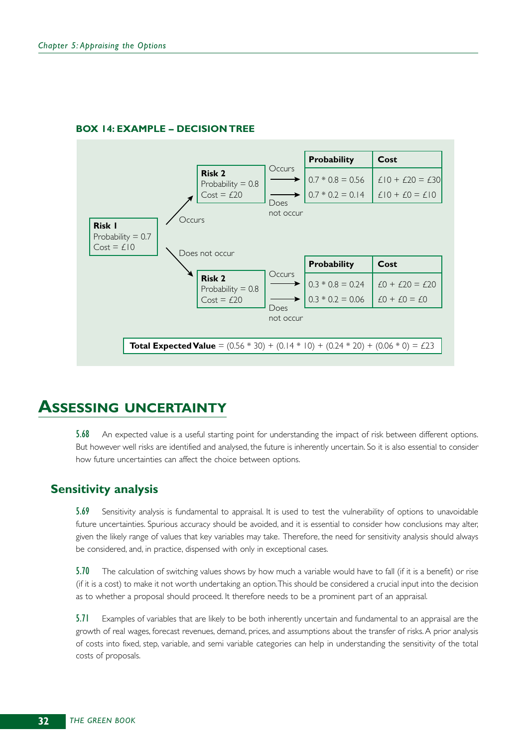

### **BOX 14: EXAMPLE – DECISION TREE**

# **ASSESSING UNCERTAINTY**

5.68 An expected value is a useful starting point for understanding the impact of risk between different options. But however well risks are identified and analysed, the future is inherently uncertain. So it is also essential to consider how future uncertainties can affect the choice between options.

### **Sensitivity analysis**

5.69 Sensitivity analysis is fundamental to appraisal. It is used to test the vulnerability of options to unavoidable future uncertainties. Spurious accuracy should be avoided, and it is essential to consider how conclusions may alter, given the likely range of values that key variables may take. Therefore, the need for sensitivity analysis should always be considered, and, in practice, dispensed with only in exceptional cases.

5.70 The calculation of switching values shows by how much a variable would have to fall (if it is a benefit) or rise (if it is a cost) to make it not worth undertaking an option.This should be considered a crucial input into the decision as to whether a proposal should proceed. It therefore needs to be a prominent part of an appraisal.

5.71 Examples of variables that are likely to be both inherently uncertain and fundamental to an appraisal are the growth of real wages, forecast revenues, demand, prices, and assumptions about the transfer of risks. A prior analysis of costs into fixed, step, variable, and semi variable categories can help in understanding the sensitivity of the total costs of proposals.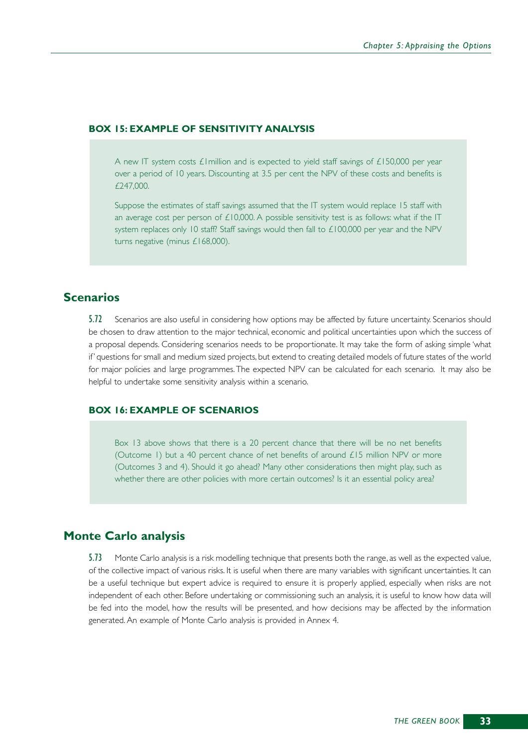#### **BOX 15: EXAMPLE OF SENSITIVITY ANALYSIS**

A new IT system costs £1million and is expected to yield staff savings of £150,000 per year over a period of 10 years. Discounting at 3.5 per cent the NPV of these costs and benefits is £247,000.

Suppose the estimates of staff savings assumed that the IT system would replace 15 staff with an average cost per person of  $£10,000$ . A possible sensitivity test is as follows: what if the IT system replaces only 10 staff? Staff savings would then fall to £100,000 per year and the NPV turns negative (minus £168,000).

# **Scenarios**

5.72 Scenarios are also useful in considering how options may be affected by future uncertainty. Scenarios should be chosen to draw attention to the major technical, economic and political uncertainties upon which the success of a proposal depends. Considering scenarios needs to be proportionate. It may take the form of asking simple 'what if' questions for small and medium sized projects, but extend to creating detailed models of future states of the world for major policies and large programmes.The expected NPV can be calculated for each scenario. It may also be helpful to undertake some sensitivity analysis within a scenario.

#### **BOX 16: EXAMPLE OF SCENARIOS**

Box 13 above shows that there is a 20 percent chance that there will be no net benefits (Outcome 1) but a 40 percent chance of net benefits of around £15 million NPV or more (Outcomes 3 and 4). Should it go ahead? Many other considerations then might play, such as whether there are other policies with more certain outcomes? Is it an essential policy area?

# **Monte Carlo analysis**

5.73 Monte Carlo analysis is a risk modelling technique that presents both the range, as well as the expected value, of the collective impact of various risks. It is useful when there are many variables with significant uncertainties. It can be a useful technique but expert advice is required to ensure it is properly applied, especially when risks are not independent of each other. Before undertaking or commissioning such an analysis, it is useful to know how data will be fed into the model, how the results will be presented, and how decisions may be affected by the information generated. An example of Monte Carlo analysis is provided in Annex 4.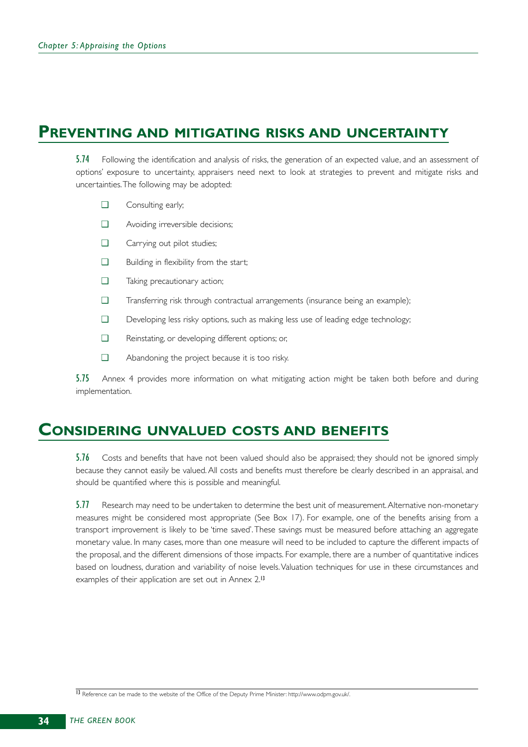# **PREVENTING AND MITIGATING RISKS AND UNCERTAINTY**

5.74 Following the identification and analysis of risks, the generation of an expected value, and an assessment of options' exposure to uncertainty, appraisers need next to look at strategies to prevent and mitigate risks and uncertainties.The following may be adopted:

- ❑ Consulting early;
- ❑ Avoiding irreversible decisions;
- ❑ Carrying out pilot studies;
- ❑ Building in flexibility from the start;
- ❑ Taking precautionary action;
- ❑ Transferring risk through contractual arrangements (insurance being an example);
- ❑ Developing less risky options, such as making less use of leading edge technology;
- ❑ Reinstating, or developing different options; or,
- ❑ Abandoning the project because it is too risky.

5.75 Annex 4 provides more information on what mitigating action might be taken both before and during implementation.

# **CONSIDERING UNVALUED COSTS AND BENEFITS**

5.76 Costs and benefits that have not been valued should also be appraised; they should not be ignored simply because they cannot easily be valued. All costs and benefits must therefore be clearly described in an appraisal, and should be quantified where this is possible and meaningful.

5.77 Research may need to be undertaken to determine the best unit of measurement. Alternative non-monetary measures might be considered most appropriate (See Box 17). For example, one of the benefits arising from a transport improvement is likely to be 'time saved'.These savings must be measured before attaching an aggregate monetary value. In many cases, more than one measure will need to be included to capture the different impacts of the proposal, and the different dimensions of those impacts. For example, there are a number of quantitative indices based on loudness, duration and variability of noise levels.Valuation techniques for use in these circumstances and examples of their application are set out in Annex 2.<sup>13</sup>

<sup>13</sup> Reference can be made to the website of the Office of the Deputy Prime Minister: http://www.odpm.gov.uk/.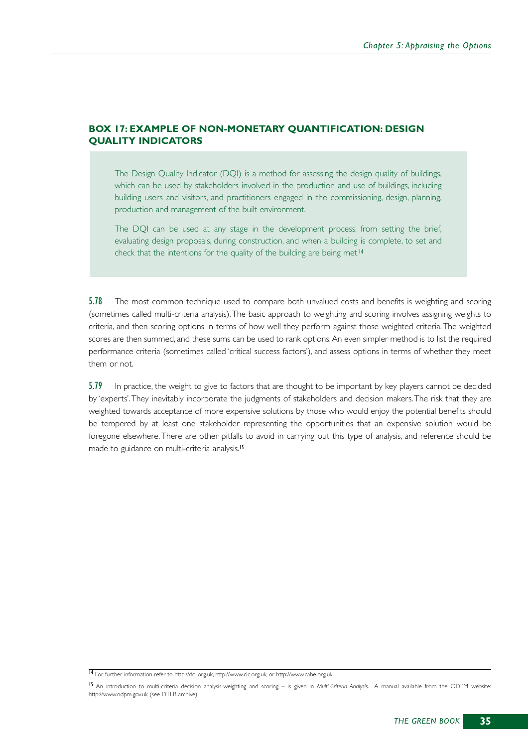#### **BOX 17: EXAMPLE OF NON-MONETARY QUANTIFICATION: DESIGN QUALITY INDICATORS**

The Design Quality Indicator (DQI) is a method for assessing the design quality of buildings, which can be used by stakeholders involved in the production and use of buildings, including building users and visitors, and practitioners engaged in the commissioning, design, planning, production and management of the built environment.

The DQI can be used at any stage in the development process, from setting the brief, evaluating design proposals, during construction, and when a building is complete, to set and check that the intentions for the quality of the building are being met.<sup>14</sup>

5.78 The most common technique used to compare both unvalued costs and benefits is weighting and scoring (sometimes called multi-criteria analysis).The basic approach to weighting and scoring involves assigning weights to criteria, and then scoring options in terms of how well they perform against those weighted criteria.The weighted scores are then summed, and these sums can be used to rank options.An even simpler method is to list the required performance criteria (sometimes called 'critical success factors'), and assess options in terms of whether they meet them or not.

5.79 In practice, the weight to give to factors that are thought to be important by key players cannot be decided by 'experts'.They inevitably incorporate the judgments of stakeholders and decision makers.The risk that they are weighted towards acceptance of more expensive solutions by those who would enjoy the potential benefits should be tempered by at least one stakeholder representing the opportunities that an expensive solution would be foregone elsewhere.There are other pitfalls to avoid in carrying out this type of analysis, and reference should be made to guidance on multi-criteria analysis.<sup>15</sup>

<sup>14</sup> For further information refer to http://dqi.org.uk, http://www.cic.org.uk, or http://www.cabe.org.uk

<sup>15</sup> An introduction to multi-criteria decision analysis-weighting and scoring – is given in *Multi-Criteria Analysis*. A manual available from the ODPM website: http://www.odpm.gov.uk (see DTLR archive)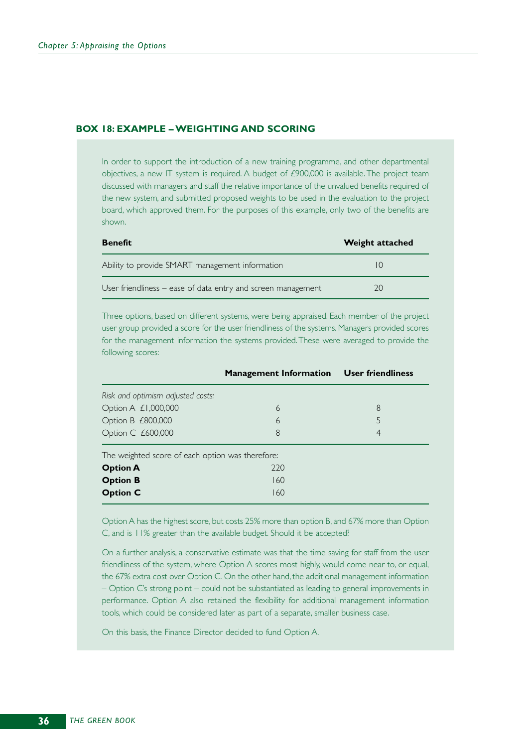#### **BOX 18: EXAMPLE – WEIGHTING AND SCORING**

In order to support the introduction of a new training programme, and other departmental objectives, a new IT system is required. A budget of £900,000 is available. The project team discussed with managers and staff the relative importance of the unvalued benefits required of the new system, and submitted proposed weights to be used in the evaluation to the project board, which approved them. For the purposes of this example, only two of the benefits are shown.

| <b>Benefit</b>                                               | Weight attached |
|--------------------------------------------------------------|-----------------|
| Ability to provide SMART management information              | $\vert$ ()      |
| User friendliness - ease of data entry and screen management | つの              |

Three options, based on different systems, were being appraised. Each member of the project user group provided a score for the user friendliness of the systems. Managers provided scores for the management information the systems provided.These were averaged to provide the following scores:

|                                                  | <b>Management Information User friendliness</b> |   |  |  |  |
|--------------------------------------------------|-------------------------------------------------|---|--|--|--|
| Risk and optimism adjusted costs:                |                                                 |   |  |  |  |
| Option A £1,000,000                              | 6                                               | 8 |  |  |  |
| Option B £800,000                                | 6                                               | 5 |  |  |  |
| Option C £600,000                                | 8                                               | 4 |  |  |  |
| The weighted score of each option was therefore: |                                                 |   |  |  |  |
| <b>Option A</b>                                  | 220                                             |   |  |  |  |
| <b>Option B</b>                                  | 160                                             |   |  |  |  |
| <b>Option C</b>                                  | 160                                             |   |  |  |  |

Option A has the highest score, but costs 25% more than option B, and 67% more than Option C, and is 11% greater than the available budget. Should it be accepted?

On a further analysis, a conservative estimate was that the time saving for staff from the user friendliness of the system, where Option A scores most highly, would come near to, or equal, the 67% extra cost over Option C. On the other hand, the additional management information – Option C's strong point – could not be substantiated as leading to general improvements in performance. Option A also retained the flexibility for additional management information tools, which could be considered later as part of a separate, smaller business case.

On this basis, the Finance Director decided to fund Option A.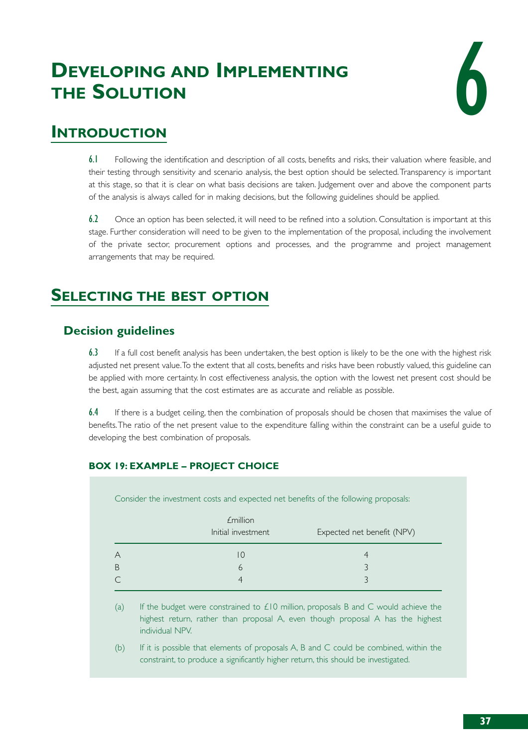# **DEVELOPING AND IMPLEMENTING THE SOLUTION**



# **INTRODUCTION**

6.1 Following the identification and description of all costs, benefits and risks, their valuation where feasible, and their testing through sensitivity and scenario analysis, the best option should be selected.Transparency is important at this stage, so that it is clear on what basis decisions are taken. Judgement over and above the component parts of the analysis is always called for in making decisions, but the following guidelines should be applied.

6.2 Once an option has been selected, it will need to be refined into a solution. Consultation is important at this stage. Further consideration will need to be given to the implementation of the proposal, including the involvement of the private sector, procurement options and processes, and the programme and project management arrangements that may be required.

# **SELECTING THE BEST OPTION**

# **Decision guidelines**

6.3 If a full cost benefit analysis has been undertaken, the best option is likely to be the one with the highest risk adjusted net present value.To the extent that all costs, benefits and risks have been robustly valued, this guideline can be applied with more certainty. In cost effectiveness analysis, the option with the lowest net present cost should be the best, again assuming that the cost estimates are as accurate and reliable as possible.

6.4 If there is a budget ceiling, then the combination of proposals should be chosen that maximises the value of benefits.The ratio of the net present value to the expenditure falling within the constraint can be a useful guide to developing the best combination of proposals.

# **BOX 19: EXAMPLE – PROJECT CHOICE**

Consider the investment costs and expected net benefits of the following proposals:

| <i><b>£million</b></i><br>Initial investment | Expected net benefit (NPV) |  |
|----------------------------------------------|----------------------------|--|
|                                              |                            |  |
|                                              |                            |  |
|                                              |                            |  |

(a) If the budget were constrained to  $\angle$ 10 million, proposals B and C would achieve the highest return, rather than proposal A, even though proposal A has the highest individual NPV.

(b) If it is possible that elements of proposals A, B and C could be combined, within the constraint, to produce a significantly higher return, this should be investigated.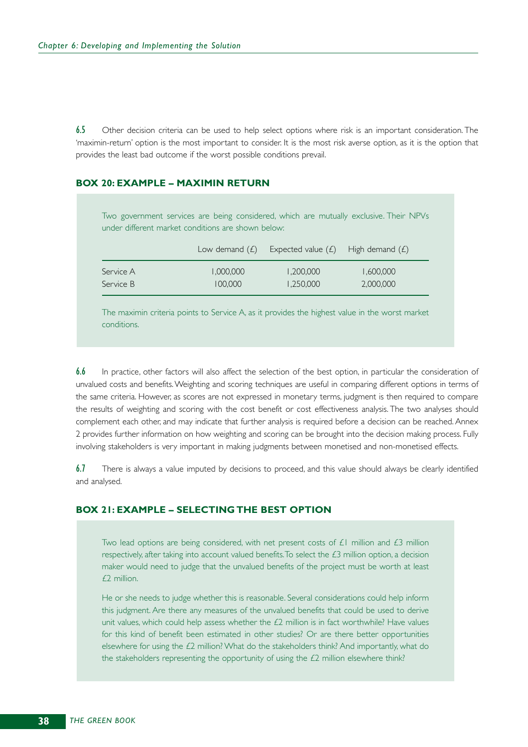6.5 Other decision criteria can be used to help select options where risk is an important consideration. The 'maximin-return' option is the most important to consider. It is the most risk averse option, as it is the option that provides the least bad outcome if the worst possible conditions prevail.

#### **BOX 20: EXAMPLE – MAXIMIN RETURN**

Two government services are being considered, which are mutually exclusive. Their NPVs under different market conditions are shown below: Low demand  $(E)$  Expected value  $(E)$  High demand  $(E)$ Service A 1,000,000 1,200,000 1,600,000 Service B 100,000 1,250,000 2,000,000

The maximin criteria points to Service A, as it provides the highest value in the worst market conditions.

6.6 In practice, other factors will also affect the selection of the best option, in particular the consideration of unvalued costs and benefits.Weighting and scoring techniques are useful in comparing different options in terms of the same criteria. However, as scores are not expressed in monetary terms, judgment is then required to compare the results of weighting and scoring with the cost benefit or cost effectiveness analysis. The two analyses should complement each other, and may indicate that further analysis is required before a decision can be reached. Annex 2 provides further information on how weighting and scoring can be brought into the decision making process. Fully involving stakeholders is very important in making judgments between monetised and non-monetised effects.

6.7 There is always a value imputed by decisions to proceed, and this value should always be clearly identified and analysed.

#### **BOX 21: EXAMPLE – SELECTING THE BEST OPTION**

Two lead options are being considered, with net present costs of  $E1$  million and  $E3$  million respectively, after taking into account valued benefits. To select the  $£3$  million option, a decision maker would need to judge that the unvalued benefits of the project must be worth at least £2 million.

He or she needs to judge whether this is reasonable. Several considerations could help inform this judgment. Are there any measures of the unvalued benefits that could be used to derive unit values, which could help assess whether the  $£2$  million is in fact worthwhile? Have values for this kind of benefit been estimated in other studies? Or are there better opportunities elsewhere for using the £2 million? What do the stakeholders think? And importantly, what do the stakeholders representing the opportunity of using the  $E2$  million elsewhere think?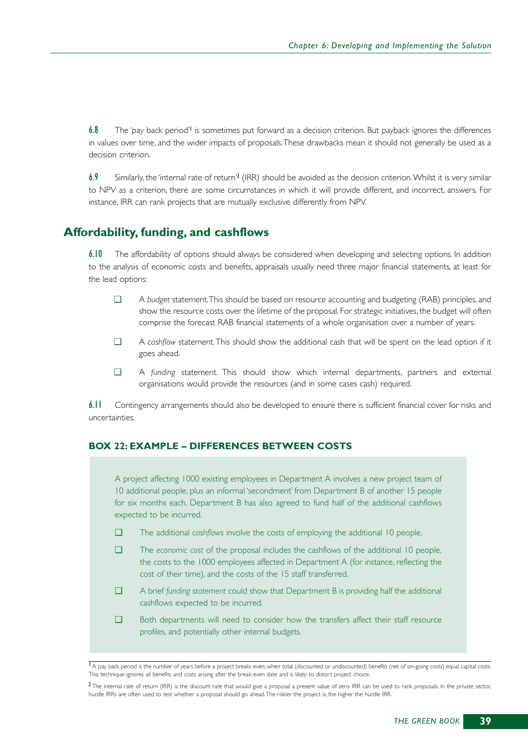6.8 The 'pay back period'<sup>1</sup> is sometimes put forward as a decision criterion. But payback ignores the differences in values over time, and the wider impacts of proposals.These drawbacks mean it should not generally be used as a decision criterion.

6.9 Similarly, the 'internal rate of return'<sup>2</sup> (IRR) should be avoided as the decision criterion. Whilst it is very similar to NPV as a criterion, there are some circumstances in which it will provide different, and incorrect, answers. For instance, IRR can rank projects that are mutually exclusive differently from NPV.

# **Affordability, funding, and cashflows**

6.10 The affordability of options should always be considered when developing and selecting options. In addition to the analysis of economic costs and benefits, appraisals usually need three major financial statements, at least for the lead options:

- ❑ A *budget* statement.This should be based on resource accounting and budgeting (RAB) principles, and show the resource costs over the lifetime of the proposal. For strategic initiatives, the budget will often comprise the forecast RAB financial statements of a whole organisation over a number of years.
- ❑ A *cashflow* statement.This should show the additional cash that will be spent on the lead option if it goes ahead.
- ❑ A *funding* statement. This should show which internal departments, partners and external organisations would provide the resources (and in some cases cash) required.

6.11 Contingency arrangements should also be developed to ensure there is sufficient financial cover for risks and uncertainties.

#### **BOX 22: EXAMPLE – DIFFERENCES BETWEEN COSTS**

A project affecting 1000 existing employees in Department A involves a new project team of 10 additional people, plus an informal 'secondment' from Department B of another 15 people for six months each. Department B has also agreed to fund half of the additional cashflows expected to be incurred.

- ❑ The additional *cashflows* involve the costs of employing the additional 10 people.
- ❑ The *economic cost* of the proposal includes the cashflows of the additional 10 people, the costs to the 1000 employees affected in Department A (for instance, reflecting the cost of their time), and the costs of the 15 staff transferred.
- ❑ A brief *funding statement* could show that Department B is providing half the additional cashflows expected to be incurred.
- ❑ Both departments will need to consider how the transfers affect their staff resource profiles, and potentially other internal budgets.

 $\overline{1}$  A pay back period is the number of years before a project breaks even; when total (discounted or undiscounted) benefits (net of on-going costs) equal capital costs. This technique ignores all benefits and costs arising after the break-even date and is likely to distort project choice.

<sup>&</sup>lt;sup>2</sup> The internal rate of return (IRR) is the discount rate that would give a proposal a present value of zero. IRR can be used to rank proposals. In the private sector, hurdle IRRs are often used to test whether a proposal should go ahead.The riskier the project is, the higher the hurdle IRR.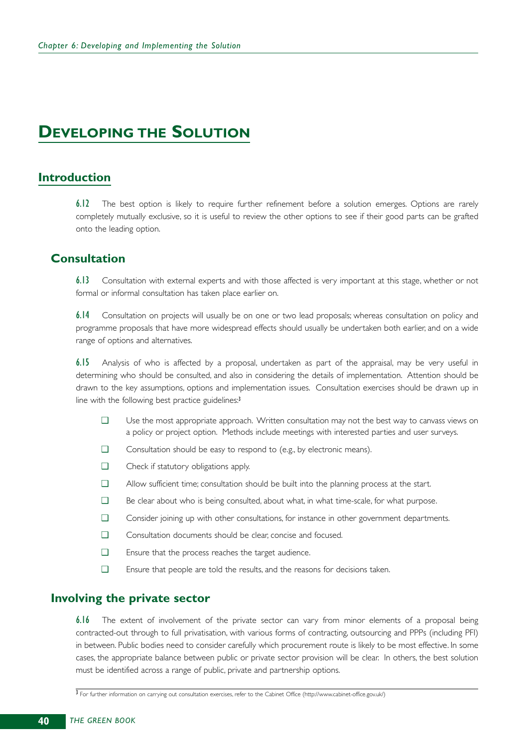# **DEVELOPING THE SOLUTION**

# **Introduction**

6.12 The best option is likely to require further refinement before a solution emerges. Options are rarely completely mutually exclusive, so it is useful to review the other options to see if their good parts can be grafted onto the leading option.

# **Consultation**

6.13 Consultation with external experts and with those affected is very important at this stage, whether or not formal or informal consultation has taken place earlier on.

6.14 Consultation on projects will usually be on one or two lead proposals; whereas consultation on policy and programme proposals that have more widespread effects should usually be undertaken both earlier, and on a wide range of options and alternatives.

6.15 Analysis of who is affected by a proposal, undertaken as part of the appraisal, may be very useful in determining who should be consulted, and also in considering the details of implementation. Attention should be drawn to the key assumptions, options and implementation issues. Consultation exercises should be drawn up in line with the following best practice guidelines:<sup>3</sup>

- ❑ Use the most appropriate approach. Written consultation may not the best way to canvass views on a policy or project option. Methods include meetings with interested parties and user surveys.
- ❑ Consultation should be easy to respond to (e.g., by electronic means).
- ❑ Check if statutory obligations apply.
- ❑ Allow sufficient time; consultation should be built into the planning process at the start.
- ❑ Be clear about who is being consulted, about what, in what time-scale, for what purpose.
- ❑ Consider joining up with other consultations, for instance in other government departments.
- ❑ Consultation documents should be clear, concise and focused.
- ❑ Ensure that the process reaches the target audience.
- ❑ Ensure that people are told the results, and the reasons for decisions taken.

# **Involving the private sector**

6.16 The extent of involvement of the private sector can vary from minor elements of a proposal being contracted-out through to full privatisation, with various forms of contracting, outsourcing and PPPs (including PFI) in between. Public bodies need to consider carefully which procurement route is likely to be most effective. In some cases, the appropriate balance between public or private sector provision will be clear. In others, the best solution must be identified across a range of public, private and partnership options.

<sup>3</sup> For further information on carrying out consultation exercises, refer to the Cabinet Office (http://www.cabinet-office.gov.uk/)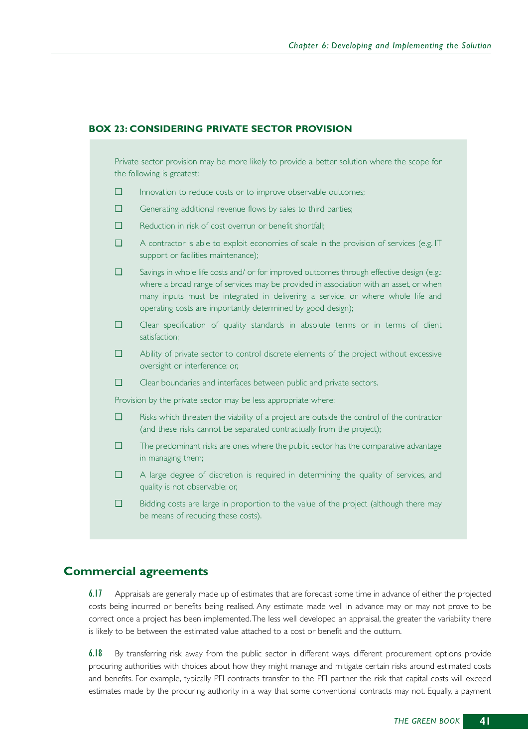#### **BOX 23: CONSIDERING PRIVATE SECTOR PROVISION**

Private sector provision may be more likely to provide a better solution where the scope for the following is greatest:

- ❑ Innovation to reduce costs or to improve observable outcomes;
- ❑ Generating additional revenue flows by sales to third parties;
- ❑ Reduction in risk of cost overrun or benefit shortfall;
- ❑ A contractor is able to exploit economies of scale in the provision of services (e.g. IT support or facilities maintenance);

❑ Savings in whole life costs and/ or for improved outcomes through effective design (e.g.: where a broad range of services may be provided in association with an asset, or when many inputs must be integrated in delivering a service, or where whole life and operating costs are importantly determined by good design);

- ❑ Clear specification of quality standards in absolute terms or in terms of client satisfaction;
- ❑ Ability of private sector to control discrete elements of the project without excessive oversight or interference; or,
- ❑ Clear boundaries and interfaces between public and private sectors.

Provision by the private sector may be less appropriate where:

- ❑ Risks which threaten the viability of a project are outside the control of the contractor (and these risks cannot be separated contractually from the project);
- ❑ The predominant risks are ones where the public sector has the comparative advantage in managing them;
- ❑ A large degree of discretion is required in determining the quality of services, and quality is not observable; or,
- ❑ Bidding costs are large in proportion to the value of the project (although there may be means of reducing these costs).

# **Commercial agreements**

6.17 Appraisals are generally made up of estimates that are forecast some time in advance of either the projected costs being incurred or benefits being realised. Any estimate made well in advance may or may not prove to be correct once a project has been implemented.The less well developed an appraisal, the greater the variability there is likely to be between the estimated value attached to a cost or benefit and the outturn.

6.18 By transferring risk away from the public sector in different ways, different procurement options provide procuring authorities with choices about how they might manage and mitigate certain risks around estimated costs and benefits. For example, typically PFI contracts transfer to the PFI partner the risk that capital costs will exceed estimates made by the procuring authority in a way that some conventional contracts may not. Equally, a payment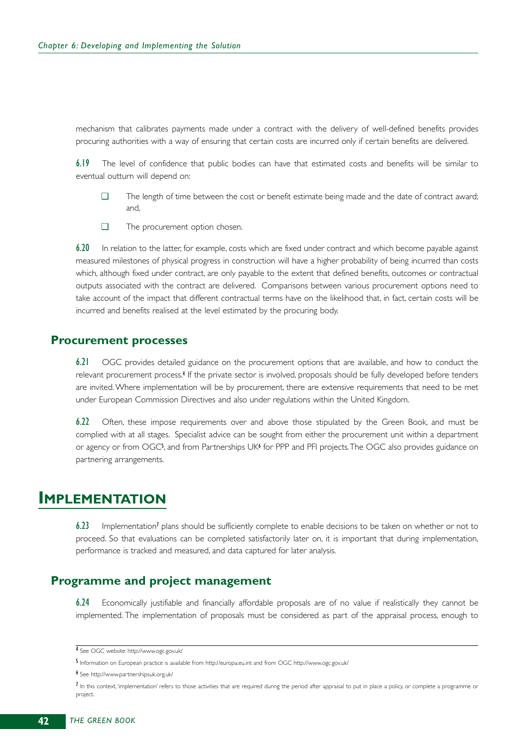mechanism that calibrates payments made under a contract with the delivery of well-defined benefits provides procuring authorities with a way of ensuring that certain costs are incurred only if certain benefits are delivered.

6.19 The level of confidence that public bodies can have that estimated costs and benefits will be similar to eventual outturn will depend on:

- ❑ The length of time between the cost or benefit estimate being made and the date of contract award; and,
- ❑ The procurement option chosen.

6.20 In relation to the latter, for example, costs which are fixed under contract and which become payable against measured milestones of physical progress in construction will have a higher probability of being incurred than costs which, although fixed under contract, are only payable to the extent that defined benefits, outcomes or contractual outputs associated with the contract are delivered. Comparisons between various procurement options need to take account of the impact that different contractual terms have on the likelihood that, in fact, certain costs will be incurred and benefits realised at the level estimated by the procuring body.

#### **Procurement processes**

6.21 OGC provides detailed guidance on the procurement options that are available, and how to conduct the relevant procurement process.<sup>4</sup> If the private sector is involved, proposals should be fully developed before tenders are invited. Where implementation will be by procurement, there are extensive requirements that need to be met under European Commission Directives and also under regulations within the United Kingdom.

6.22 Often, these impose requirements over and above those stipulated by the Green Book, and must be complied with at all stages. Specialist advice can be sought from either the procurement unit within a department or agency or from OGC5, and from Partnerships UK6 for PPP and PFI projects. The OGC also provides guidance on partnering arrangements.

# **IMPLEMENTATION**

6.23 Implementation<sup>7</sup> plans should be sufficiently complete to enable decisions to be taken on whether or not to proceed. So that evaluations can be completed satisfactorily later on, it is important that during implementation, performance is tracked and measured, and data captured for later analysis.

# **Programme and project management**

6.24 Economically justifiable and financially affordable proposals are of no value if realistically they cannot be implemented. The implementation of proposals must be considered as part of the appraisal process, enough to

<sup>4</sup> See OGC website: http://www.ogc.gov.uk/

<sup>5</sup> Information on European practice is available from http://europa.eu.int and from OGC http://www.ogc.gov.uk/

<sup>6</sup> See http://www.partnershipsuk.org.uk/

<sup>7</sup> In this context, 'implementation' refers to those activities that are required during the period after appraisal to put in place a policy, or complete a programme or project.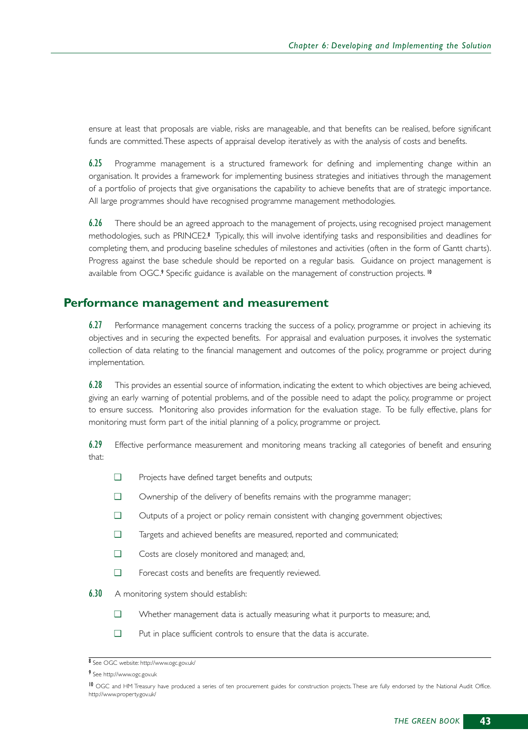ensure at least that proposals are viable, risks are manageable, and that benefits can be realised, before significant funds are committed.These aspects of appraisal develop iteratively as with the analysis of costs and benefits.

6.25 Programme management is a structured framework for defining and implementing change within an organisation. It provides a framework for implementing business strategies and initiatives through the management of a portfolio of projects that give organisations the capability to achieve benefits that are of strategic importance. All large programmes should have recognised programme management methodologies.

6.26 There should be an agreed approach to the management of projects, using recognised project management methodologies, such as PRINCE2.<sup>8</sup> Typically, this will involve identifying tasks and responsibilities and deadlines for completing them, and producing baseline schedules of milestones and activities (often in the form of Gantt charts). Progress against the base schedule should be reported on a regular basis. Guidance on project management is available from OGC.<sup>9</sup> Specific guidance is available on the management of construction projects.<sup>10</sup>

# **Performance management and measurement**

6.27 Performance management concerns tracking the success of a policy, programme or project in achieving its objectives and in securing the expected benefits. For appraisal and evaluation purposes, it involves the systematic collection of data relating to the financial management and outcomes of the policy, programme or project during implementation.

6.28 This provides an essential source of information, indicating the extent to which objectives are being achieved, giving an early warning of potential problems, and of the possible need to adapt the policy, programme or project to ensure success. Monitoring also provides information for the evaluation stage. To be fully effective, plans for monitoring must form part of the initial planning of a policy, programme or project.

6.29 Effective performance measurement and monitoring means tracking all categories of benefit and ensuring that:

- ❑ Projects have defined target benefits and outputs;
- ❑ Ownership of the delivery of benefits remains with the programme manager;
- ❑ Outputs of a project or policy remain consistent with changing government objectives;
- ❑ Targets and achieved benefits are measured, reported and communicated;
- ❑ Costs are closely monitored and managed; and,
- ❑ Forecast costs and benefits are frequently reviewed.
- **6.30** A monitoring system should establish:
	- ❑ Whether management data is actually measuring what it purports to measure; and,
	- ❑ Put in place sufficient controls to ensure that the data is accurate.

<sup>8</sup> See OGC website: http://www.ogc.gov.uk/

<sup>9</sup> See http://www.ogc.gov.uk

<sup>10</sup> OGC and HM Treasury have produced a series of ten procurement guides for construction projects. These are fully endorsed by the National Audit Office. http://www.property.gov.uk/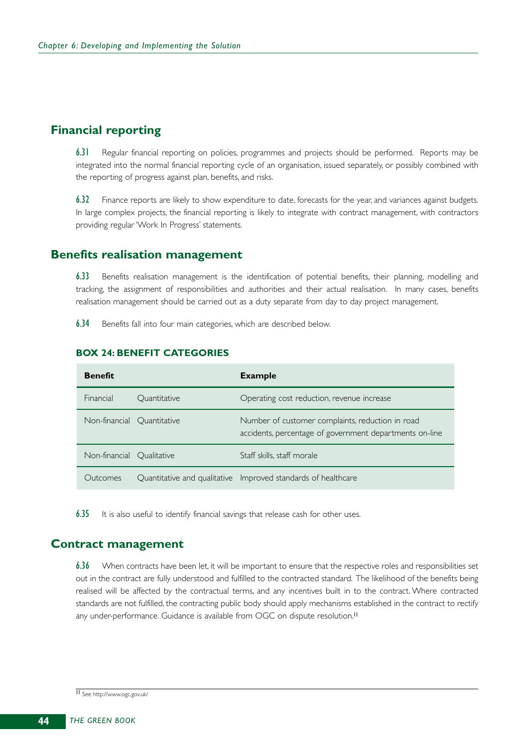# **Financial reporting**

6.31 Regular financial reporting on policies, programmes and projects should be performed. Reports may be integrated into the normal financial reporting cycle of an organisation, issued separately, or possibly combined with the reporting of progress against plan, benefits, and risks.

6.32 Finance reports are likely to show expenditure to date, forecasts for the year, and variances against budgets. In large complex projects, the financial reporting is likely to integrate with contract management, with contractors providing regular 'Work In Progress' statements.

### **Benefits realisation management**

6.33 Benefits realisation management is the identification of potential benefits, their planning, modelling and tracking, the assignment of responsibilities and authorities and their actual realisation. In many cases, benefits realisation management should be carried out as a duty separate from day to day project management.

6.34 Benefits fall into four main categories, which are described below.

| <b>Benefit</b>             |              | <b>Example</b>                                                                                              |
|----------------------------|--------------|-------------------------------------------------------------------------------------------------------------|
| Financial                  | Quantitative | Operating cost reduction, revenue increase                                                                  |
| Non-financial Quantitative |              | Number of customer complaints, reduction in road<br>accidents, percentage of government departments on-line |
| Non-financial Qualitative  |              | Staff skills, staff morale                                                                                  |
| Outcomes                   |              | Quantitative and qualitative Improved standards of healthcare                                               |

#### **BOX 24: BENEFIT CATEGORIES**

6.35 It is also useful to identify financial savings that release cash for other uses.

# **Contract management**

 $6.36$  When contracts have been let, it will be important to ensure that the respective roles and responsibilities set out in the contract are fully understood and fulfilled to the contracted standard. The likelihood of the benefits being realised will be affected by the contractual terms, and any incentives built in to the contract. Where contracted standards are not fulfilled, the contracting public body should apply mechanisms established in the contract to rectify any under-performance. Guidance is available from OGC on dispute resolution.<sup>11</sup>

<sup>11</sup> See http://www.ogc.gov.uk/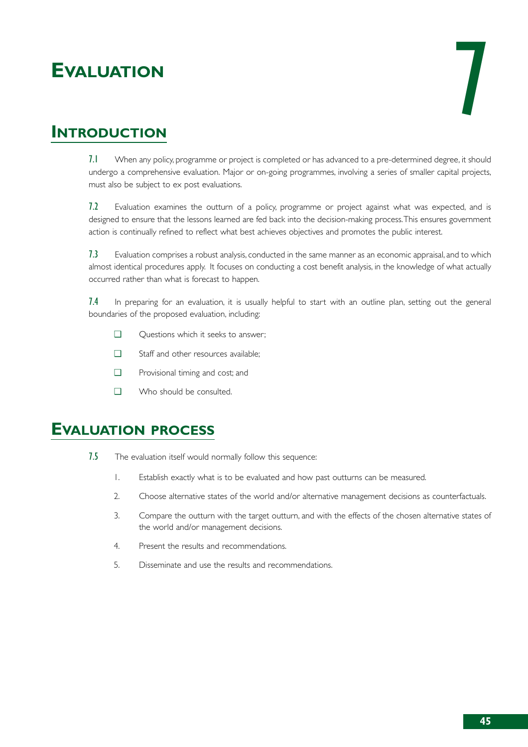# **EVALUATION**



# **INTRODUCTION**

7.1 When any policy, programme or project is completed or has advanced to a pre-determined degree, it should undergo a comprehensive evaluation. Major or on-going programmes, involving a series of smaller capital projects, must also be subject to ex post evaluations.

7.2 Evaluation examines the outturn of a policy, programme or project against what was expected, and is designed to ensure that the lessons learned are fed back into the decision-making process.This ensures government action is continually refined to reflect what best achieves objectives and promotes the public interest.

7.3 Evaluation comprises a robust analysis, conducted in the same manner as an economic appraisal, and to which almost identical procedures apply. It focuses on conducting a cost benefit analysis, in the knowledge of what actually occurred rather than what is forecast to happen.

7.4 In preparing for an evaluation, it is usually helpful to start with an outline plan, setting out the general boundaries of the proposed evaluation, including:

- ❑ Questions which it seeks to answer;
- ❑ Staff and other resources available;
- ❑ Provisional timing and cost; and
- ❑ Who should be consulted.

# **EVALUATION PROCESS**

- 7.5 The evaluation itself would normally follow this sequence:
	- 1. Establish exactly what is to be evaluated and how past outturns can be measured.
	- 2. Choose alternative states of the world and/or alternative management decisions as counterfactuals.
	- 3. Compare the outturn with the target outturn, and with the effects of the chosen alternative states of the world and/or management decisions.
	- 4. Present the results and recommendations.
	- 5. Disseminate and use the results and recommendations.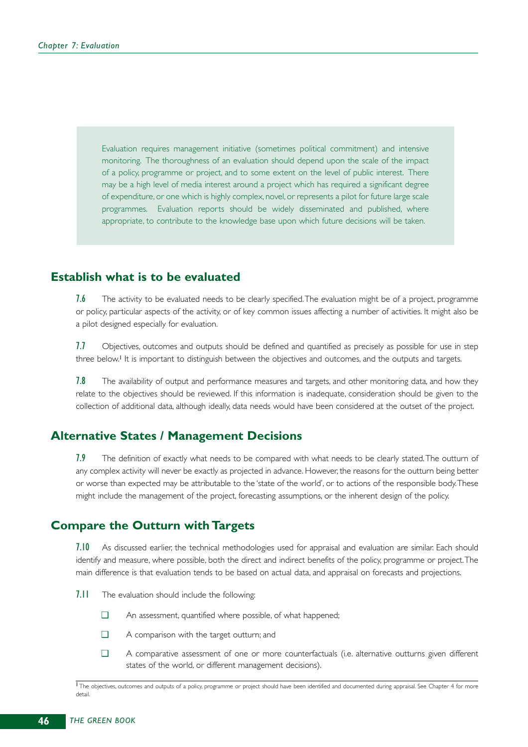Evaluation requires management initiative (sometimes political commitment) and intensive monitoring. The thoroughness of an evaluation should depend upon the scale of the impact of a policy, programme or project, and to some extent on the level of public interest. There may be a high level of media interest around a project which has required a significant degree of expenditure, or one which is highly complex, novel, or represents a pilot for future large scale programmes. Evaluation reports should be widely disseminated and published, where appropriate, to contribute to the knowledge base upon which future decisions will be taken.

# **Establish what is to be evaluated**

7.6 The activity to be evaluated needs to be clearly specified. The evaluation might be of a project, programme or policy, particular aspects of the activity, or of key common issues affecting a number of activities. It might also be a pilot designed especially for evaluation.

7.7 Objectives, outcomes and outputs should be defined and quantified as precisely as possible for use in step three below.<sup>1</sup> It is important to distinguish between the objectives and outcomes, and the outputs and targets.

7.8 The availability of output and performance measures and targets, and other monitoring data, and how they relate to the objectives should be reviewed. If this information is inadequate, consideration should be given to the collection of additional data, although ideally, data needs would have been considered at the outset of the project.

# **Alternative States / Management Decisions**

7.9 The definition of exactly what needs to be compared with what needs to be clearly stated. The outturn of any complex activity will never be exactly as projected in advance. However, the reasons for the outturn being better or worse than expected may be attributable to the 'state of the world', or to actions of the responsible body.These might include the management of the project, forecasting assumptions, or the inherent design of the policy.

# **Compare the Outturn with Targets**

7.10 As discussed earlier, the technical methodologies used for appraisal and evaluation are similar. Each should identify and measure, where possible, both the direct and indirect benefits of the policy, programme or project.The main difference is that evaluation tends to be based on actual data, and appraisal on forecasts and projections.

- 7.11 The evaluation should include the following:
	- ❑ An assessment, quantified where possible, of what happened;
	- ❑ A comparison with the target outturn; and
	- ❑ A comparative assessment of one or more counterfactuals (i.e. alternative outturns given different states of the world, or different management decisions).

TThe objectives, outcomes and outputs of a policy, programme or project should have been identified and documented during appraisal. See Chapter 4 for more detail.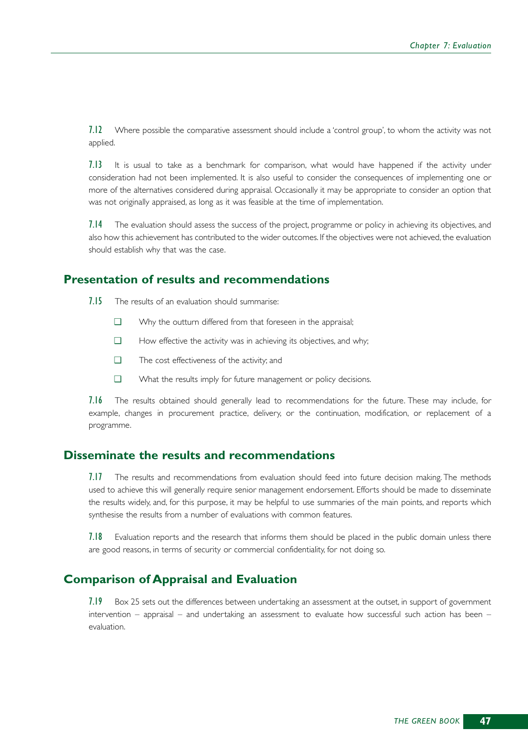7.12 Where possible the comparative assessment should include a 'control group', to whom the activity was not applied.

7.13 It is usual to take as a benchmark for comparison, what would have happened if the activity under consideration had not been implemented. It is also useful to consider the consequences of implementing one or more of the alternatives considered during appraisal. Occasionally it may be appropriate to consider an option that was not originally appraised, as long as it was feasible at the time of implementation.

7.14 The evaluation should assess the success of the project, programme or policy in achieving its objectives, and also how this achievement has contributed to the wider outcomes. If the objectives were not achieved, the evaluation should establish why that was the case.

# **Presentation of results and recommendations**

7.15 The results of an evaluation should summarise:

- ❑ Why the outturn differed from that foreseen in the appraisal;
- ❑ How effective the activity was in achieving its objectives, and why;
- ❑ The cost effectiveness of the activity; and
- ❑ What the results imply for future management or policy decisions.

7.16 The results obtained should generally lead to recommendations for the future. These may include, for example, changes in procurement practice, delivery, or the continuation, modification, or replacement of a programme.

# **Disseminate the results and recommendations**

7.17 The results and recommendations from evaluation should feed into future decision making. The methods used to achieve this will generally require senior management endorsement. Efforts should be made to disseminate the results widely, and, for this purpose, it may be helpful to use summaries of the main points, and reports which synthesise the results from a number of evaluations with common features.

7.18 Evaluation reports and the research that informs them should be placed in the public domain unless there are good reasons, in terms of security or commercial confidentiality, for not doing so.

# **Comparison of Appraisal and Evaluation**

7.19 Box 25 sets out the differences between undertaking an assessment at the outset, in support of government intervention – appraisal – and undertaking an assessment to evaluate how successful such action has been – evaluation.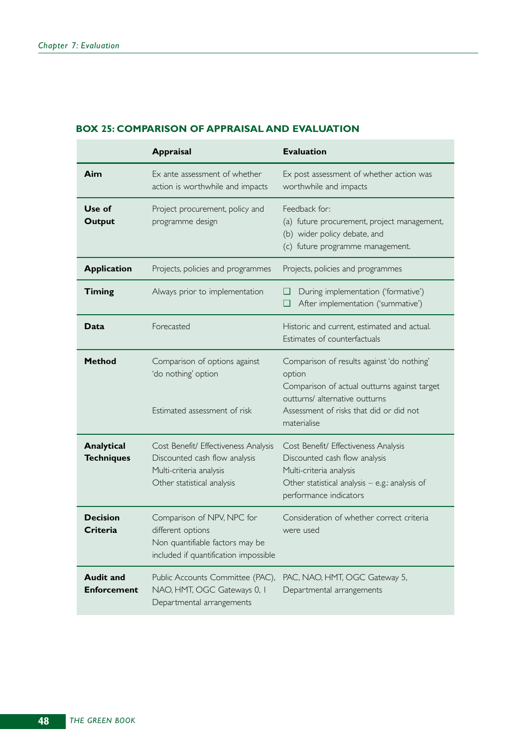#### **BOX 25: COMPARISON OF APPRAISAL AND EVALUATION**

|                                        | <b>Appraisal</b>                                                                                                               | <b>Evaluation</b>                                                                                                                                                                                |
|----------------------------------------|--------------------------------------------------------------------------------------------------------------------------------|--------------------------------------------------------------------------------------------------------------------------------------------------------------------------------------------------|
| Aim                                    | Ex ante assessment of whether<br>action is worthwhile and impacts                                                              | Ex post assessment of whether action was<br>worthwhile and impacts                                                                                                                               |
| Use of<br><b>Output</b>                | Project procurement, policy and<br>programme design                                                                            | Feedback for:<br>(a) future procurement, project management,<br>(b) wider policy debate, and<br>(c) future programme management.                                                                 |
| <b>Application</b>                     | Projects, policies and programmes                                                                                              | Projects, policies and programmes                                                                                                                                                                |
| <b>Timing</b>                          | Always prior to implementation                                                                                                 | During implementation ('formative')<br>u<br>After implementation ('summative')<br>❏                                                                                                              |
| Data                                   | Forecasted                                                                                                                     | Historic and current, estimated and actual.<br>Estimates of counterfactuals                                                                                                                      |
| <b>Method</b>                          | Comparison of options against<br>'do nothing' option<br>Estimated assessment of risk                                           | Comparison of results against 'do nothing'<br>option<br>Comparison of actual outturns against target<br>outturns/ alternative outturns<br>Assessment of risks that did or did not<br>materialise |
| Analytical<br><b>Techniques</b>        | Cost Benefit/ Effectiveness Analysis<br>Discounted cash flow analysis<br>Multi-criteria analysis<br>Other statistical analysis | Cost Benefit/ Effectiveness Analysis<br>Discounted cash flow analysis<br>Multi-criteria analysis<br>Other statistical analysis - e.g.: analysis of<br>performance indicators                     |
| <b>Decision</b><br>Criteria            | Comparison of NPV, NPC for<br>different options<br>Non quantifiable factors may be<br>included if quantification impossible    | Consideration of whether correct criteria<br>were used                                                                                                                                           |
| <b>Audit and</b><br><b>Enforcement</b> | Public Accounts Committee (PAC),<br>NAO, HMT, OGC Gateways 0, I<br>Departmental arrangements                                   | PAC, NAO, HMT, OGC Gateway 5,<br>Departmental arrangements                                                                                                                                       |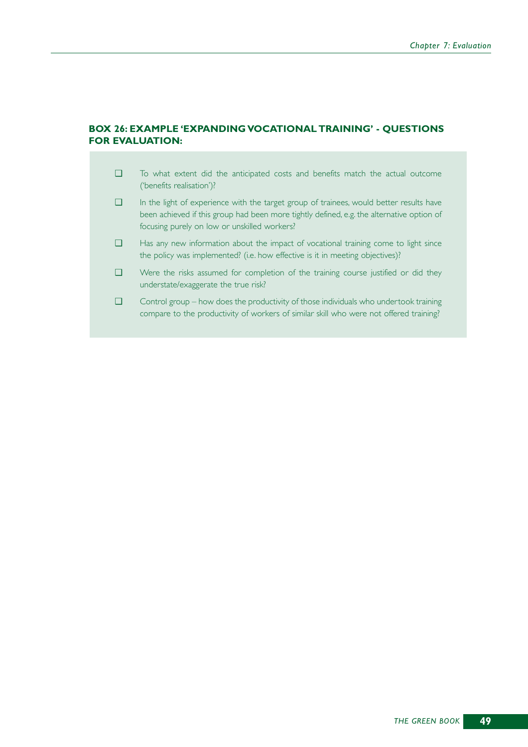#### **BOX 26: EXAMPLE 'EXPANDING VOCATIONAL TRAINING' - QUESTIONS FOR EVALUATION:**

- ❑ To what extent did the anticipated costs and benefits match the actual outcome ('benefits realisation')?
- ❑ In the light of experience with the target group of trainees, would better results have been achieved if this group had been more tightly defined, e.g. the alternative option of focusing purely on low or unskilled workers?
- ❑ Has any new information about the impact of vocational training come to light since the policy was implemented? (i.e. how effective is it in meeting objectives)?
- ❑ Were the risks assumed for completion of the training course justified or did they understate/exaggerate the true risk?
- ❑ Control group how does the productivity of those individuals who undertook training compare to the productivity of workers of similar skill who were not offered training?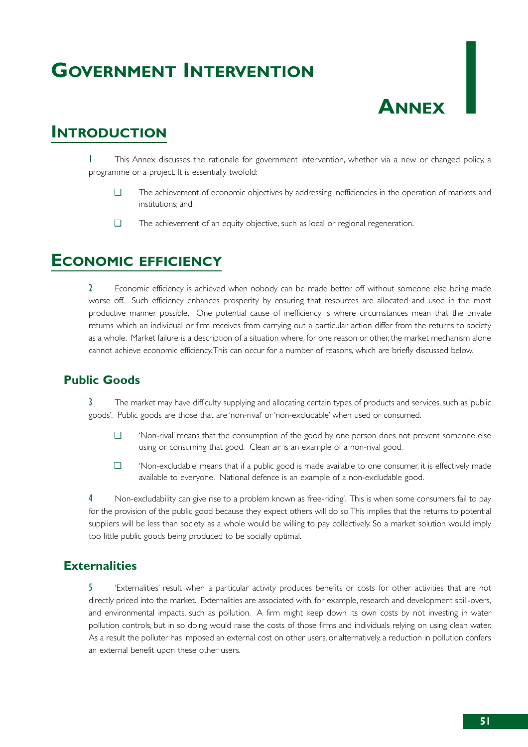# **GOVERNMENT INTERVENTION**

# **ANNEX**

# **INTRODUCTION**

This Annex discusses the rationale for government intervention, whether via a new or changed policy, a programme or a project. It is essentially twofold:

- ❑ The achievement of economic objectives by addressing inefficiencies in the operation of markets and institutions; and,
- ❑ The achievement of an equity objective, such as local or regional regeneration.

# **ECONOMIC EFFICIENCY**

2 Economic efficiency is achieved when nobody can be made better off without someone else being made worse off. Such efficiency enhances prosperity by ensuring that resources are allocated and used in the most productive manner possible. One potential cause of inefficiency is where circumstances mean that the private returns which an individual or firm receives from carrying out a particular action differ from the returns to society as a whole. Market failure is a description of a situation where, for one reason or other, the market mechanism alone cannot achieve economic efficiency.This can occur for a number of reasons, which are briefly discussed below.

# **Public Goods**

3 The market may have difficulty supplying and allocating certain types of products and services, such as 'public goods'. Public goods are those that are 'non-rival' or 'non-excludable' when used or consumed.

- ❑ 'Non-rival' means that the consumption of the good by one person does not prevent someone else using or consuming that good. Clean air is an example of a non-rival good.
- ❑ 'Non-excludable' means that if a public good is made available to one consumer, it is effectively made available to everyone. National defence is an example of a non-excludable good.

Non-excludability can give rise to a problem known as 'free-riding'. This is when some consumers fail to pay for the provision of the public good because they expect others will do so.This implies that the returns to potential suppliers will be less than society as a whole would be willing to pay collectively. So a market solution would imply too little public goods being produced to be socially optimal.

# **Externalities**

5 'Externalities' result when a particular activity produces benefits or costs for other activities that are not directly priced into the market. Externalities are associated with, for example, research and development spill-overs, and environmental impacts, such as pollution. A firm might keep down its own costs by not investing in water pollution controls, but in so doing would raise the costs of those firms and individuals relying on using clean water. As a result the polluter has imposed an external cost on other users, or alternatively, a reduction in pollution confers an external benefit upon these other users.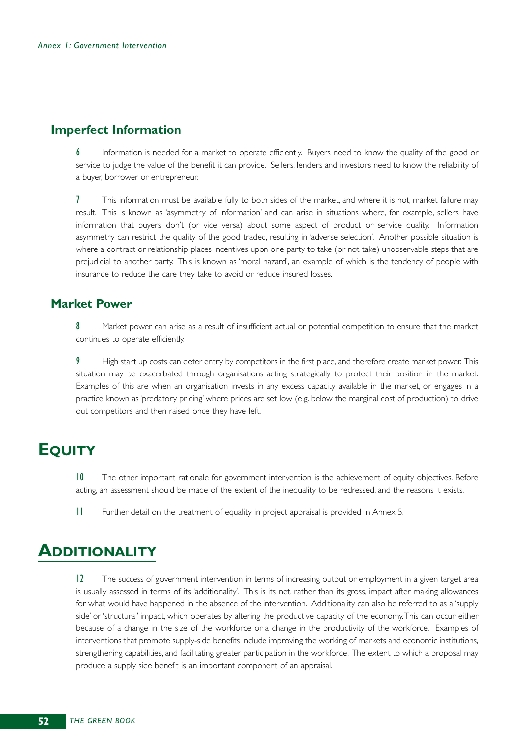# **Imperfect Information**

Information is needed for a market to operate efficiently. Buyers need to know the quality of the good or service to judge the value of the benefit it can provide. Sellers, lenders and investors need to know the reliability of a buyer, borrower or entrepreneur.

7 This information must be available fully to both sides of the market, and where it is not, market failure may result. This is known as 'asymmetry of information' and can arise in situations where, for example, sellers have information that buyers don't (or vice versa) about some aspect of product or service quality. Information asymmetry can restrict the quality of the good traded, resulting in 'adverse selection'. Another possible situation is where a contract or relationship places incentives upon one party to take (or not take) unobservable steps that are prejudicial to another party. This is known as 'moral hazard', an example of which is the tendency of people with insurance to reduce the care they take to avoid or reduce insured losses.

# **Market Power**

8 Market power can arise as a result of insufficient actual or potential competition to ensure that the market continues to operate efficiently.

9 High start up costs can deter entry by competitors in the first place, and therefore create market power. This situation may be exacerbated through organisations acting strategically to protect their position in the market. Examples of this are when an organisation invests in any excess capacity available in the market, or engages in a practice known as 'predatory pricing' where prices are set low (e.g. below the marginal cost of production) to drive out competitors and then raised once they have left.

# **EQUITY**

10 The other important rationale for government intervention is the achievement of equity objectives. Before acting, an assessment should be made of the extent of the inequality to be redressed, and the reasons it exists.

11 Further detail on the treatment of equality in project appraisal is provided in Annex 5.

# **ADDITIONALITY**

12 The success of government intervention in terms of increasing output or employment in a given target area is usually assessed in terms of its 'additionality'. This is its net, rather than its gross, impact after making allowances for what would have happened in the absence of the intervention. Additionality can also be referred to as a 'supply side' or 'structural' impact, which operates by altering the productive capacity of the economy.This can occur either because of a change in the size of the workforce or a change in the productivity of the workforce. Examples of interventions that promote supply-side benefits include improving the working of markets and economic institutions, strengthening capabilities, and facilitating greater participation in the workforce. The extent to which a proposal may produce a supply side benefit is an important component of an appraisal.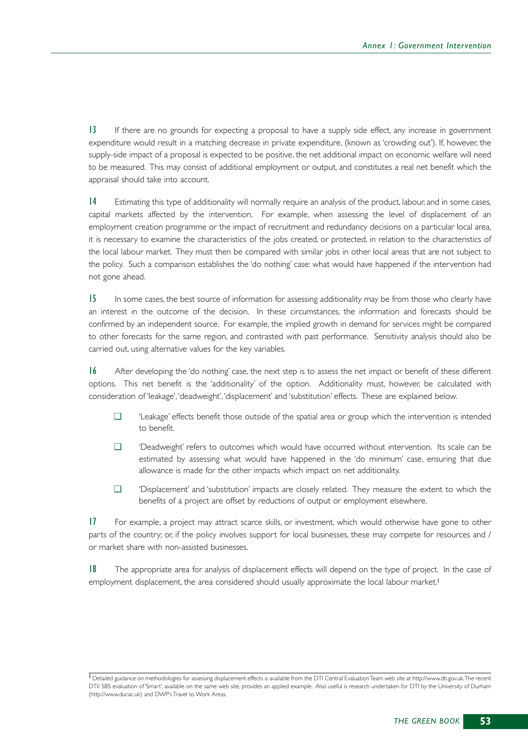13 If there are no grounds for expecting a proposal to have a supply side effect, any increase in government expenditure would result in a matching decrease in private expenditure, (known as 'crowding out'). If, however, the supply-side impact of a proposal is expected to be positive, the net additional impact on economic welfare will need to be measured. This may consist of additional employment or output, and constitutes a real net benefit which the appraisal should take into account.

14 Estimating this type of additionality will normally require an analysis of the product, labour, and in some cases, capital markets affected by the intervention. For example, when assessing the level of displacement of an employment creation programme or the impact of recruitment and redundancy decisions on a particular local area, it is necessary to examine the characteristics of the jobs created, or protected, in relation to the characteristics of the local labour market. They must then be compared with similar jobs in other local areas that are not subject to the policy. Such a comparison establishes the 'do nothing' case: what would have happened if the intervention had not gone ahead.

15 In some cases, the best source of information for assessing additionality may be from those who clearly have an interest in the outcome of the decision. In these circumstances, the information and forecasts should be confirmed by an independent source. For example, the implied growth in demand for services might be compared to other forecasts for the same region, and contrasted with past performance. Sensitivity analysis should also be carried out, using alternative values for the key variables.

16 After developing the 'do nothing' case, the next step is to assess the net impact or benefit of these different options. This net benefit is the 'additionality' of the option. Additionality must, however, be calculated with consideration of 'leakage', 'deadweight', 'displacement' and 'substitution' effects. These are explained below.

- ❑ 'Leakage' effects benefit those outside of the spatial area or group which the intervention is intended to benefit.
- ❑ 'Deadweight' refers to outcomes which would have occurred without intervention. Its scale can be estimated by assessing what would have happened in the 'do minimum' case, ensuring that due allowance is made for the other impacts which impact on net additionality.
- ❑ 'Displacement' and 'substitution' impacts are closely related. They measure the extent to which the benefits of a project are offset by reductions of output or employment elsewhere.

17 For example, a project may attract scarce skills, or investment, which would otherwise have gone to other parts of the country; or, if the policy involves support for local businesses, these may compete for resources and / or market share with non-assisted businesses.

18 The appropriate area for analysis of displacement effects will depend on the type of project. In the case of employment displacement, the area considered should usually approximate the local labour market.<sup>1</sup>

<sup>1</sup> Detailed guidance on methodologies for assessing displacement effects is available from the DTI Central Evaluation Team web site at http://www.dti.gov.uk.The recent DTI/ SBS evaluation of 'Smart', available on the same web site, provides an applied example. Also useful is research undertaken for DTI by the University of Durham (http://www.dur.ac.uk) and DWP's Travel to Work Areas.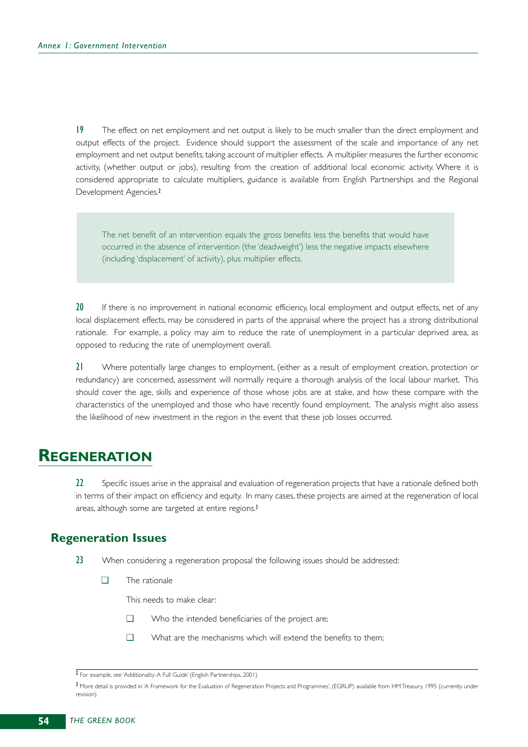19 The effect on net employment and net output is likely to be much smaller than the direct employment and output effects of the project. Evidence should support the assessment of the scale and importance of any net employment and net output benefits, taking account of multiplier effects. A multiplier measures the further economic activity, (whether output or jobs), resulting from the creation of additional local economic activity. Where it is considered appropriate to calculate multipliers, guidance is available from English Partnerships and the Regional Development Agencies.<sup>2</sup>

The net benefit of an intervention equals the gross benefits less the benefits that would have occurred in the absence of intervention (the 'deadweight') less the negative impacts elsewhere (including 'displacement' of activity), plus multiplier effects.

20 If there is no improvement in national economic efficiency, local employment and output effects, net of any local displacement effects, may be considered in parts of the appraisal where the project has a strong distributional rationale. For example, a policy may aim to reduce the rate of unemployment in a particular deprived area, as opposed to reducing the rate of unemployment overall.

21 Where potentially large changes to employment, (either as a result of employment creation, protection or redundancy) are concerned, assessment will normally require a thorough analysis of the local labour market. This should cover the age, skills and experience of those whose jobs are at stake, and how these compare with the characteristics of the unemployed and those who have recently found employment. The analysis might also assess the likelihood of new investment in the region in the event that these job losses occurred.

# **REGENERATION**

22 Specific issues arise in the appraisal and evaluation of regeneration projects that have a rationale defined both in terms of their impact on efficiency and equity. In many cases, these projects are aimed at the regeneration of local areas, although some are targeted at entire regions.<sup>3</sup>

# **Regeneration Issues**

- 23 When considering a regeneration proposal the following issues should be addressed:
	- ❑ The rationale

This needs to make clear:

- ❑ Who the intended beneficiaries of the project are;
- ❑ What are the mechanisms which will extend the benefits to them;

<sup>2</sup> For example, see 'Additionality: A Full Guide' (English Partnerships, 2001)

<sup>3</sup> More detail is provided in 'A Framework for the Evaluation of Regeneration Projects and Programmes', (EGRUP) available from HM Treasury, 1995 (currently under revision).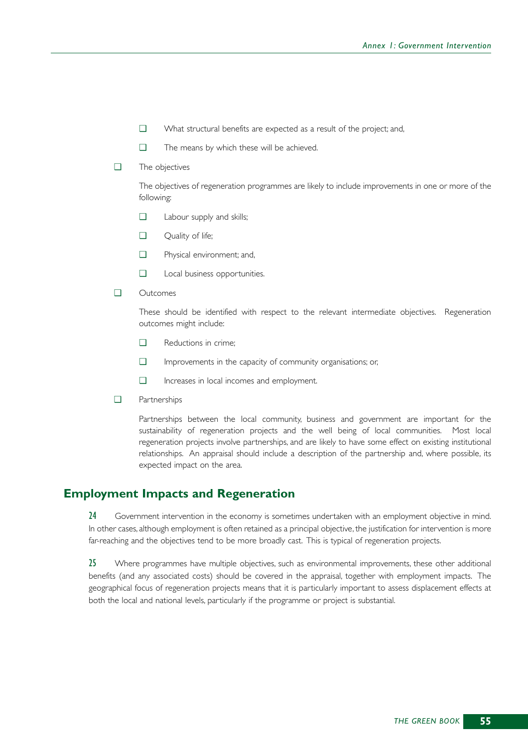- ❑ What structural benefits are expected as a result of the project; and,
- ❑ The means by which these will be achieved.
- ❑ The objectives

The objectives of regeneration programmes are likely to include improvements in one or more of the following:

- ❑ Labour supply and skills;
- ❑ Quality of life;
- ❑ Physical environment; and,
- ❑ Local business opportunities.
- ❑ Outcomes

These should be identified with respect to the relevant intermediate objectives. Regeneration outcomes might include:

- ❑ Reductions in crime;
- ❑ Improvements in the capacity of community organisations; or,
- ❑ Increases in local incomes and employment.
- ❑ Partnerships

Partnerships between the local community, business and government are important for the sustainability of regeneration projects and the well being of local communities. Most local regeneration projects involve partnerships, and are likely to have some effect on existing institutional relationships. An appraisal should include a description of the partnership and, where possible, its expected impact on the area.

# **Employment Impacts and Regeneration**

24 Government intervention in the economy is sometimes undertaken with an employment objective in mind. In other cases, although employment is often retained as a principal objective, the justification for intervention is more far-reaching and the objectives tend to be more broadly cast. This is typical of regeneration projects.

25 Where programmes have multiple objectives, such as environmental improvements, these other additional benefits (and any associated costs) should be covered in the appraisal, together with employment impacts. The geographical focus of regeneration projects means that it is particularly important to assess displacement effects at both the local and national levels, particularly if the programme or project is substantial.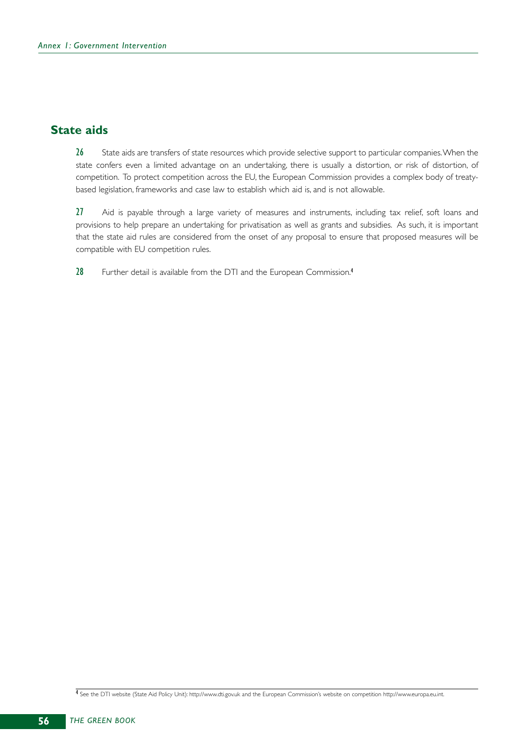# **State aids**

26 State aids are transfers of state resources which provide selective support to particular companies. When the state confers even a limited advantage on an undertaking, there is usually a distortion, or risk of distortion, of competition. To protect competition across the EU, the European Commission provides a complex body of treatybased legislation, frameworks and case law to establish which aid is, and is not allowable.

27 Aid is payable through a large variety of measures and instruments, including tax relief, soft loans and provisions to help prepare an undertaking for privatisation as well as grants and subsidies. As such, it is important that the state aid rules are considered from the onset of any proposal to ensure that proposed measures will be compatible with EU competition rules.

28 Further detail is available from the DTI and the European Commission.<sup>4</sup>

4 See the DTI website (State Aid Policy Unit): http://www.dti.gov.uk and the European Commission's website on competition http://www.europa.eu.int.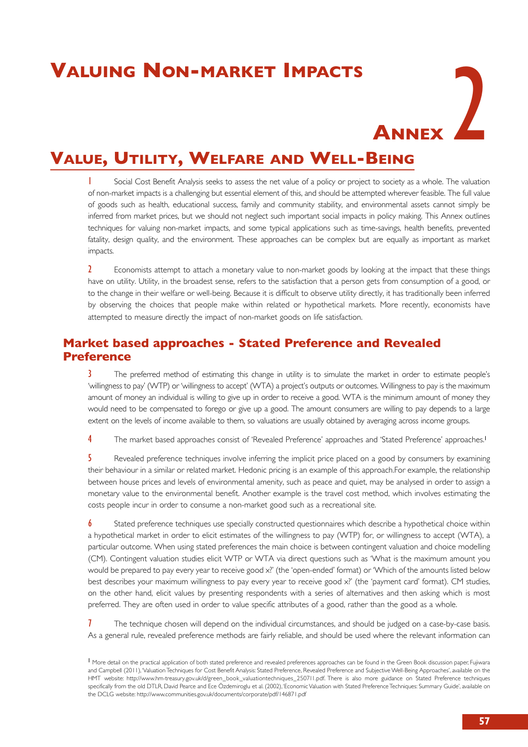# **Valuing Non-market Impacts**

# **ANNEX**

# **Value, Utility, Welfare and Well-Being**

**1** Social Cost Benefit Analysis seeks to assess the net value of a policy or project to society as a whole. The valuation of non-market impacts is a challenging but essential element of this, and should be attempted wherever feasible. The full value of goods such as health, educational success, family and community stability, and environmental assets cannot simply be inferred from market prices, but we should not neglect such important social impacts in policy making. This Annex outlines techniques for valuing non-market impacts, and some typical applications such as time-savings, health benefits, prevented fatality, design quality, and the environment. These approaches can be complex but are equally as important as market impacts.

2 Economists attempt to attach a monetary value to non-market goods by looking at the impact that these things have on utility. Utility, in the broadest sense, refers to the satisfaction that a person gets from consumption of a good, or to the change in their welfare or well-being. Because it is difficult to observe utility directly, it has traditionally been inferred by observing the choices that people make within related or hypothetical markets. More recently, economists have attempted to measure directly the impact of non-market goods on life satisfaction.

# **Market based approaches - Stated Preference and Revealed Preference**

3 The preferred method of estimating this change in utility is to simulate the market in order to estimate people's 'willingness to pay' (WTP) or 'willingness to accept' (WTA) a project's outputs or outcomes. Willingness to pay is the maximum amount of money an individual is willing to give up in order to receive a good. WTA is the minimum amount of money they would need to be compensated to forego or give up a good. The amount consumers are willing to pay depends to a large extent on the levels of income available to them, so valuations are usually obtained by averaging across income groups.

4 The market based approaches consist of 'Revealed Preference' approaches and 'Stated Preference' approaches.<sup>1</sup>

5 Revealed preference techniques involve inferring the implicit price placed on a good by consumers by examining their behaviour in a similar or related market. Hedonic pricing is an example of this approach.For example, the relationship between house prices and levels of environmental amenity, such as peace and quiet, may be analysed in order to assign a monetary value to the environmental benefit. Another example is the travel cost method, which involves estimating the costs people incur in order to consume a non-market good such as a recreational site.

**6** Stated preference techniques use specially constructed questionnaires which describe a hypothetical choice within a hypothetical market in order to elicit estimates of the willingness to pay (WTP) for, or willingness to accept (WTA), a particular outcome. When using stated preferences the main choice is between contingent valuation and choice modelling (CM). Contingent valuation studies elicit WTP or WTA via direct questions such as 'What is the maximum amount you would be prepared to pay every year to receive good x?' (the 'open-ended' format) or 'Which of the amounts listed below best describes your maximum willingness to pay every year to receive good x?' (the 'payment card' format). CM studies, on the other hand, elicit values by presenting respondents with a series of alternatives and then asking which is most preferred. They are often used in order to value specific attributes of a good, rather than the good as a whole.

**7** The technique chosen will depend on the individual circumstances, and should be judged on a case-by-case basis. As a general rule, revealed preference methods are fairly reliable, and should be used where the relevant information can

<sup>&</sup>lt;sup>1</sup> More detail on the practical application of both stated preference and revealed preferences approaches can be found in the Green Book discussion paper, Fujiwara and Campbell (2011), 'Valuation Techniques for Cost Benefit Analysis: Stated Preference, Revealed Preference and Subjective Well-Being Approaches', available on the HMT website: [http://www.hm-treasury.gov.uk/d/green\\_book\\_valuationtechniques\\_250711.pdf.](http://www.hm-treasury.gov.uk/d/green_book_valuationtechniques_250711.pdf) There is also more guidance on Stated Preference techniques specifically from the old DTLR, David Pearce and Ece Özdemiroglu et al. (2002), 'Economic Valuation with Stated Preference Techniques: Summary Guide', available on the DCLG website: <http://www.communities.gov.uk/documents/corporate/pdf/146871.pdf>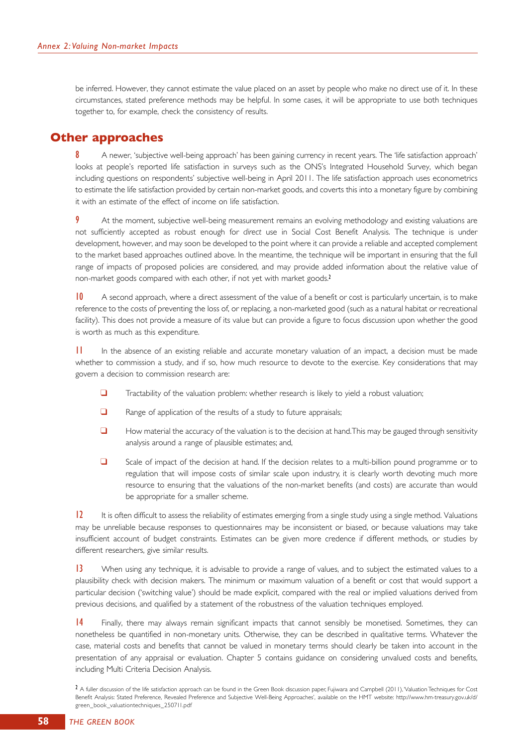be inferred. However, they cannot estimate the value placed on an asset by people who make no direct use of it. In these circumstances, stated preference methods may be helpful. In some cases, it will be appropriate to use both techniques together to, for example, check the consistency of results.

### **Other approaches**

8 A newer, 'subjective well-being approach' has been gaining currency in recent years. The 'life satisfaction approach' looks at people's reported life satisfaction in surveys such as the ONS's Integrated Household Survey, which began including questions on respondents' subjective well-being in April 2011. The life satisfaction approach uses econometrics to estimate the life satisfaction provided by certain non-market goods, and coverts this into a monetary figure by combining it with an estimate of the effect of income on life satisfaction.

**9** At the moment, subjective well-being measurement remains an evolving methodology and existing valuations are not sufficiently accepted as robust enough for *direct* use in Social Cost Benefit Analysis. The technique is under development, however, and may soon be developed to the point where it can provide a reliable and accepted complement to the market based approaches outlined above. In the meantime, the technique will be important in ensuring that the full range of impacts of proposed policies are considered, and may provide added information about the relative value of non-market goods compared with each other, if not yet with market goods.<sup>2</sup>

10 A second approach, where a direct assessment of the value of a benefit or cost is particularly uncertain, is to make reference to the costs of preventing the loss of, or replacing, a non-marketed good (such as a natural habitat or recreational facility). This does not provide a measure of its value but can provide a figure to focus discussion upon whether the good is worth as much as this expenditure.

11 In the absence of an existing reliable and accurate monetary valuation of an impact, a decision must be made whether to commission a study, and if so, how much resource to devote to the exercise. Key considerations that may govern a decision to commission research are:

- ❑ Tractability of the valuation problem: whether research is likely to yield a robust valuation;
- ❑ Range of application of the results of a study to future appraisals;
- ❑ How material the accuracy of the valuation is to the decision at hand.This may be gauged through sensitivity analysis around a range of plausible estimates; and,
- ❑ Scale of impact of the decision at hand. If the decision relates to a multi-billion pound programme or to regulation that will impose costs of similar scale upon industry, it is clearly worth devoting much more resource to ensuring that the valuations of the non-market benefits (and costs) are accurate than would be appropriate for a smaller scheme.

**12** It is often difficult to assess the reliability of estimates emerging from a single study using a single method. Valuations may be unreliable because responses to questionnaires may be inconsistent or biased, or because valuations may take insufficient account of budget constraints. Estimates can be given more credence if different methods, or studies by different researchers, give similar results.

13 When using any technique, it is advisable to provide a range of values, and to subject the estimated values to a plausibility check with decision makers. The minimum or maximum valuation of a benefit or cost that would support a particular decision ('switching value') should be made explicit, compared with the real or implied valuations derived from previous decisions, and qualified by a statement of the robustness of the valuation techniques employed.

14 Finally, there may always remain significant impacts that cannot sensibly be monetised. Sometimes, they can nonetheless be quantified in non-monetary units. Otherwise, they can be described in qualitative terms. Whatever the case, material costs and benefits that cannot be valued in monetary terms should clearly be taken into account in the presentation of any appraisal or evaluation. Chapter 5 contains guidance on considering unvalued costs and benefits, including Multi Criteria Decision Analysis.

<sup>&</sup>lt;sup>2</sup> A fuller discussion of the life satisfaction approach can be found in the Green Book discussion paper, Fujiwara and Campbell (2011), 'Valuation Techniques for Cost Benefit Analysis: Stated Preference, Revealed Preference and Subjective Well-Being Approaches', available on the HMT website: [http://www.hm-treasury.gov.uk/d/](http://www.hm-treasury.gov.uk/d/green_book_valuationtechniques_250711.pdf) [green\\_book\\_valuationtechniques\\_250711.pdf](http://www.hm-treasury.gov.uk/d/green_book_valuationtechniques_250711.pdf)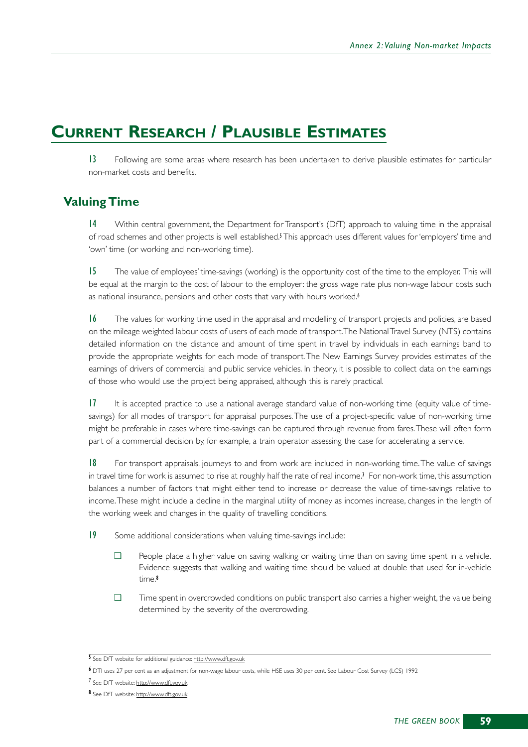# **CURRENT RESEARCH / PLAUSIBLE ESTIMATES**

13 Following are some areas where research has been undertaken to derive plausible estimates for particular non-market costs and benefits.

# **Valuing Time**

14 Within central government, the Department for Transport's (DfT) approach to valuing time in the appraisal of road schemes and other projects is well established.<sup>5</sup> This approach uses different values for 'employers' time and 'own' time (or working and non-working time).

15 The value of employees' time-savings (working) is the opportunity cost of the time to the employer. This will be equal at the margin to the cost of labour to the employer: the gross wage rate plus non-wage labour costs such as national insurance, pensions and other costs that vary with hours worked.<sup>6</sup>

16 The values for working time used in the appraisal and modelling of transport projects and policies, are based on the mileage weighted labour costs of users of each mode of transport.The National Travel Survey (NTS) contains detailed information on the distance and amount of time spent in travel by individuals in each earnings band to provide the appropriate weights for each mode of transport.The New Earnings Survey provides estimates of the earnings of drivers of commercial and public service vehicles. In theory, it is possible to collect data on the earnings of those who would use the project being appraised, although this is rarely practical.

17 It is accepted practice to use a national average standard value of non-working time (equity value of timesavings) for all modes of transport for appraisal purposes.The use of a project-specific value of non-working time might be preferable in cases where time-savings can be captured through revenue from fares.These will often form part of a commercial decision by, for example, a train operator assessing the case for accelerating a service.

18 For transport appraisals, journeys to and from work are included in non-working time.The value of savings in travel time for work is assumed to rise at roughly half the rate of real income.<sup>7</sup> For non-work time, this assumption balances a number of factors that might either tend to increase or decrease the value of time-savings relative to income.These might include a decline in the marginal utility of money as incomes increase, changes in the length of the working week and changes in the quality of travelling conditions.

19 Some additional considerations when valuing time-savings include:

- ❑ People place a higher value on saving walking or waiting time than on saving time spent in a vehicle. Evidence suggests that walking and waiting time should be valued at double that used for in-vehicle time.<sup>8</sup>
- ❑ Time spent in overcrowded conditions on public transport also carries a higher weight, the value being determined by the severity of the overcrowding.

<sup>5</sup> See DfT website for additional guidance: http://www.dft.gov.uk

<sup>6</sup> DTI uses 27 per cent as an adjustment for non-wage labour costs, while HSE uses 30 per cent. See Labour Cost Survey (LCS) 1992

<sup>7</sup> See DfT website: http://www.dft.gov.uk

<sup>8</sup> See DfT website: http://www.dft.gov.uk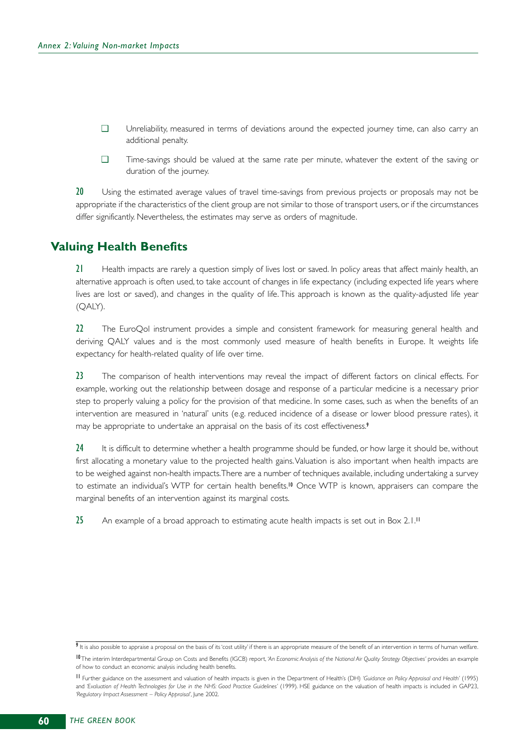- ❑ Unreliability, measured in terms of deviations around the expected journey time, can also carry an additional penalty.
- ❑ Time-savings should be valued at the same rate per minute, whatever the extent of the saving or duration of the journey.

20 Using the estimated average values of travel time-savings from previous projects or proposals may not be appropriate if the characteristics of the client group are not similar to those of transport users, or if the circumstances differ significantly. Nevertheless, the estimates may serve as orders of magnitude.

# **Valuing Health Benefits**

21 Health impacts are rarely a question simply of lives lost or saved. In policy areas that affect mainly health, an alternative approach is often used, to take account of changes in life expectancy (including expected life years where lives are lost or saved), and changes in the quality of life. This approach is known as the quality-adjusted life year (QALY).

22 The EuroQol instrument provides a simple and consistent framework for measuring general health and deriving QALY values and is the most commonly used measure of health benefits in Europe. It weights life expectancy for health-related quality of life over time.

23 The comparison of health interventions may reveal the impact of different factors on clinical effects. For example, working out the relationship between dosage and response of a particular medicine is a necessary prior step to properly valuing a policy for the provision of that medicine. In some cases, such as when the benefits of an intervention are measured in 'natural' units (e.g. reduced incidence of a disease or lower blood pressure rates), it may be appropriate to undertake an appraisal on the basis of its cost effectiveness.<sup>9</sup>

24 It is difficult to determine whether a health programme should be funded, or how large it should be, without first allocating a monetary value to the projected health gains. Valuation is also important when health impacts are to be weighed against non-health impacts.There are a number of techniques available, including undertaking a survey to estimate an individual's WTP for certain health benefits.<sup>10</sup> Once WTP is known, appraisers can compare the marginal benefits of an intervention against its marginal costs.

25 An example of a broad approach to estimating acute health impacts is set out in Box 2.1.<sup>11</sup>

 $\overline{9}$  It is also possible to appraise a proposal on the basis of its 'cost utility' if there is an appropriate measure of the benefit of an intervention in terms of human welfare.

<sup>10</sup>The interim Interdepartmental Group on Costs and Benefits (IGCB) report, *'An Economic Analysis of the National Air Quality Strategy Objectives'* provides an example of how to conduct an economic analysis including health benefits.

<sup>11</sup> Further guidance on the assessment and valuation of health impacts is given in the Department of Health's (DH) *'Guidance on Policy Appraisal and Health'* (1995) and *'Evaluation of Health Technologies for Use in the NHS: Good Practice Guidelines'* (1999). HSE guidance on the valuation of health impacts is included in GAP23, *'Regulatory Impact Assessment – Policy Appraisal'*, June 2002.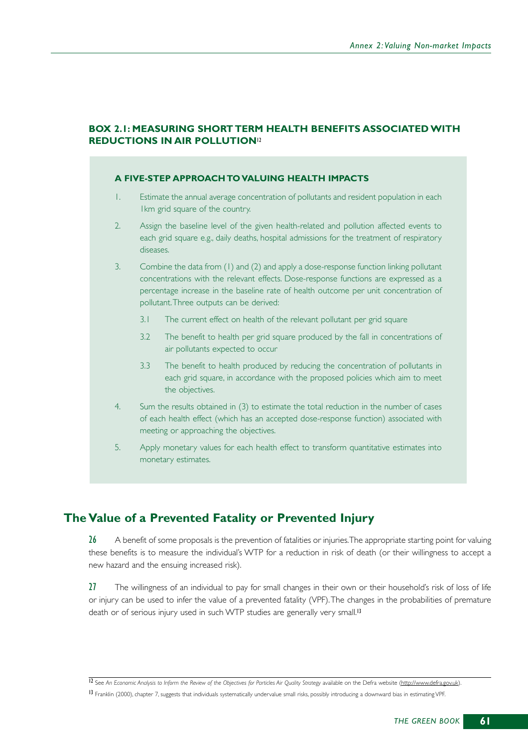### **BOX 2.1: MEASURING SHORT TERM HEALTH BENEFITS ASSOCIATED WITH REDUCTIONS IN AIR POLLUTION**<sup>12</sup>

#### **A FIVE-STEP APPROACH TO VALUING HEALTH IMPACTS**

- 1. Estimate the annual average concentration of pollutants and resident population in each 1km grid square of the country.
- 2. Assign the baseline level of the given health-related and pollution affected events to each grid square e.g., daily deaths, hospital admissions for the treatment of respiratory diseases.
- 3. Combine the data from (1) and (2) and apply a dose-response function linking pollutant concentrations with the relevant effects. Dose-response functions are expressed as a percentage increase in the baseline rate of health outcome per unit concentration of pollutant.Three outputs can be derived:
	- 3.1 The current effect on health of the relevant pollutant per grid square
	- 3.2 The benefit to health per grid square produced by the fall in concentrations of air pollutants expected to occur
	- 3.3 The benefit to health produced by reducing the concentration of pollutants in each grid square, in accordance with the proposed policies which aim to meet the objectives.
- 4. Sum the results obtained in (3) to estimate the total reduction in the number of cases of each health effect (which has an accepted dose-response function) associated with meeting or approaching the objectives.
- 5. Apply monetary values for each health effect to transform quantitative estimates into monetary estimates.

# **The Value of a Prevented Fatality or Prevented Injury**

26 A benefit of some proposals is the prevention of fatalities or injuries. The appropriate starting point for valuing these benefits is to measure the individual's WTP for a reduction in risk of death (or their willingness to accept a new hazard and the ensuing increased risk).

27 The willingness of an individual to pay for small changes in their own or their household's risk of loss of life or injury can be used to infer the value of a prevented fatality (VPF).The changes in the probabilities of premature death or of serious injury used in such WTP studies are generally very small.<sup>13</sup>

<sup>12</sup> See An Economic Analysis to Inform the Review of the Objectives for Particles Air Quality Strategy available on the Defra website (http://www.defra.gov.uk). 13 Franklin (2000), chapter 7, suggests that individuals systematically undervalue small risks, possibly introducing a downward bias in estimating VPF.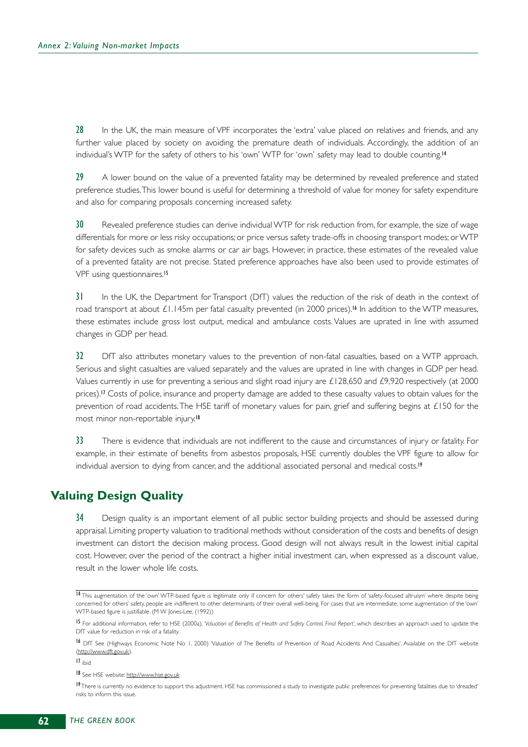28 In the UK, the main measure of VPF incorporates the 'extra' value placed on relatives and friends, and any further value placed by society on avoiding the premature death of individuals. Accordingly, the addition of an individual's WTP for the safety of others to his 'own' WTP for 'own' safety may lead to double counting.<sup>14</sup>

29 A lower bound on the value of a prevented fatality may be determined by revealed preference and stated preference studies.This lower bound is useful for determining a threshold of value for money for safety expenditure and also for comparing proposals concerning increased safety.

30 Revealed preference studies can derive individual WTP for risk reduction from, for example, the size of wage differentials for more or less risky occupations; or price versus safety trade-offs in choosing transport modes; or WTP for safety devices such as smoke alarms or car air bags. However, in practice, these estimates of the revealed value of a prevented fatality are not precise. Stated preference approaches have also been used to provide estimates of VPF using questionnaires.<sup>15</sup>

31 In the UK, the Department for Transport (DfT) values the reduction of the risk of death in the context of road transport at about £1.145m per fatal casualty prevented (in 2000 prices).<sup>16</sup> In addition to the WTP measures, these estimates include gross lost output, medical and ambulance costs. Values are uprated in line with assumed changes in GDP per head.

32 DfT also attributes monetary values to the prevention of non-fatal casualties, based on a WTP approach. Serious and slight casualties are valued separately and the values are uprated in line with changes in GDP per head. Values currently in use for preventing a serious and slight road injury are  $£128,650$  and  $£9,920$  respectively (at 2000 prices).<sup>17</sup> Costs of police, insurance and property damage are added to these casualty values to obtain values for the prevention of road accidents.The HSE tariff of monetary values for pain, grief and suffering begins at £150 for the most minor non-reportable injury.<sup>18</sup>

33 There is evidence that individuals are not indifferent to the cause and circumstances of injury or fatality. For example, in their estimate of benefits from asbestos proposals, HSE currently doubles the VPF figure to allow for individual aversion to dying from cancer, and the additional associated personal and medical costs.<sup>19</sup>

# **Valuing Design Quality**

34 Design quality is an important element of all public sector building projects and should be assessed during appraisal. Limiting property valuation to traditional methods without consideration of the costs and benefits of design investment can distort the decision making process. Good design will not always result in the lowest initial capital cost. However, over the period of the contract a higher initial investment can, when expressed as a discount value, result in the lower whole life costs.

17 ibid

<sup>14</sup> This augmentation of the 'own' WTP-based figure is legitimate only if concern for others' safety takes the form of 'safety-focused altruism' where despite being concerned for others' safety, people are indifferent to other determinants of their overall well-being. For cases that are intermediate, some augmentation of the 'own' WTP-based figure is justifiable. (M W Jones-Lee, (1992))

<sup>15</sup> For additional information, refer to HSE (2000a), 'Valuation of Benefits of Health and Safety Control, Final Report', which describes an approach used to update the DfT value for reduction in risk of a fatality.

<sup>&</sup>lt;sup>16</sup> DfT See (Highways Economic Note No 1. 2000) 'Valuation of The Benefits of Prevention of Road Accidents And Casualties'. Available on the DfT website (http://www.dft.gov.uk).

<sup>18</sup> See HSE website: http://www.hse.gov.uk

<sup>19</sup>There is currently no evidence to support this adjustment. HSE has commissioned a study to investigate public preferences for preventing fatalities due to 'dreaded' risks to inform this issue.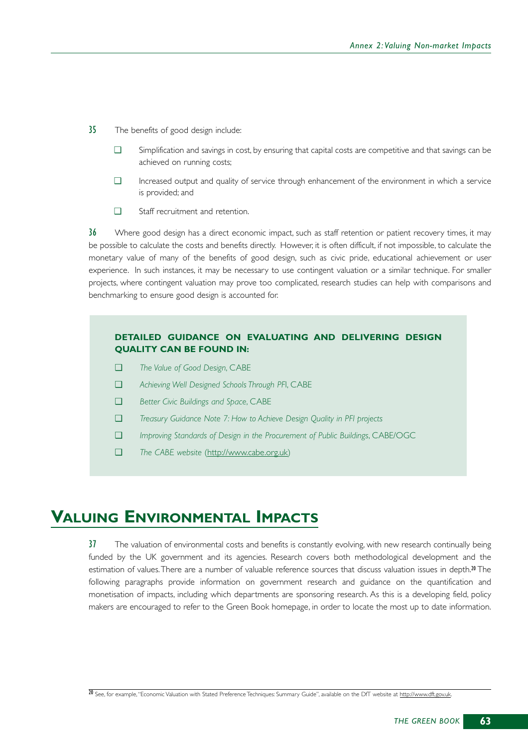- 35 The benefits of good design include:
	- ❑ Simplification and savings in cost, by ensuring that capital costs are competitive and that savings can be achieved on running costs;
	- ❑ Increased output and quality of service through enhancement of the environment in which a service is provided; and
	- ❑ Staff recruitment and retention.

36 Where good design has a direct economic impact, such as staff retention or patient recovery times, it may be possible to calculate the costs and benefits directly. However, it is often difficult, if not impossible, to calculate the monetary value of many of the benefits of good design, such as civic pride, educational achievement or user experience. In such instances, it may be necessary to use contingent valuation or a similar technique. For smaller projects, where contingent valuation may prove too complicated, research studies can help with comparisons and benchmarking to ensure good design is accounted for.

#### **DETAILED GUIDANCE ON EVALUATING AND DELIVERING DESIGN QUALITY CAN BE FOUND IN:**

- ❑ *The Value of Good Design*, CABE
- ❑ *Achieving Well Designed Schools Through PF*I, CABE
- ❑ *Better Civic Buildings and Space*, CABE
- ❑ *Treasury Guidance Note 7: How to Achieve Design Quality in PFI projects*
- ❑ *Improving Standards of Design in the Procurement of Public Buildings*, CABE/OGC
- ❑ *The CABE website* (http://www.cabe.org.uk)

# **VALUING ENVIRONMENTAL IMPACTS**

37 The valuation of environmental costs and benefits is constantly evolving, with new research continually being funded by the UK government and its agencies. Research covers both methodological development and the estimation of values. There are a number of valuable reference sources that discuss valuation issues in depth.<sup>20</sup> The following paragraphs provide information on government research and guidance on the quantification and monetisation of impacts, including which departments are sponsoring research. As this is a developing field, policy makers are encouraged to refer to the Green Book homepage, in order to locate the most up to date information.

<sup>&</sup>lt;sup>20</sup> See, for example, "Economic Valuation with Stated Preference Techniques: Summary Guide", available on the DfT website at http://www.dft.gov.uk.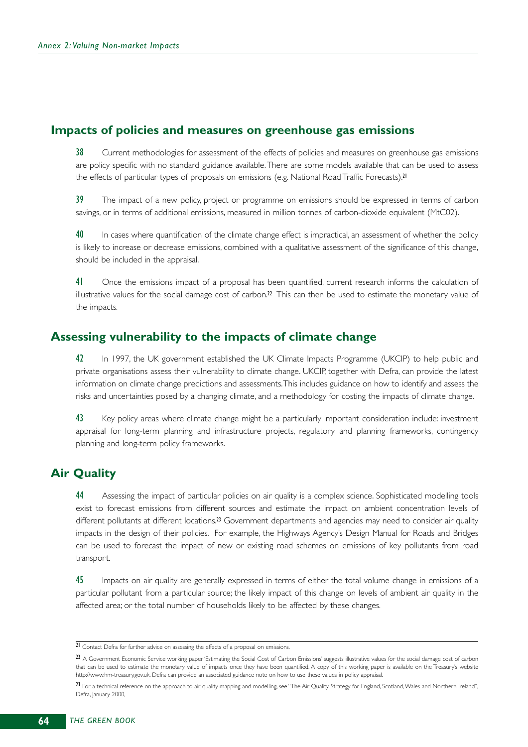# **Impacts of policies and measures on greenhouse gas emissions**

38 Current methodologies for assessment of the effects of policies and measures on greenhouse gas emissions are policy specific with no standard guidance available.There are some models available that can be used to assess the effects of particular types of proposals on emissions (e.g. National Road Traffic Forecasts).<sup>21</sup>

39 The impact of a new policy, project or programme on emissions should be expressed in terms of carbon savings, or in terms of additional emissions, measured in million tonnes of carbon-dioxide equivalent (MtC02).

40 In cases where quantification of the climate change effect is impractical, an assessment of whether the policy is likely to increase or decrease emissions, combined with a qualitative assessment of the significance of this change, should be included in the appraisal.

41 Once the emissions impact of a proposal has been quantified, current research informs the calculation of illustrative values for the social damage cost of carbon. $2^2$  This can then be used to estimate the monetary value of the impacts.

# **Assessing vulnerability to the impacts of climate change**

42 In 1997, the UK government established the UK Climate Impacts Programme (UKCIP) to help public and private organisations assess their vulnerability to climate change. UKCIP, together with Defra, can provide the latest information on climate change predictions and assessments.This includes guidance on how to identify and assess the risks and uncertainties posed by a changing climate, and a methodology for costing the impacts of climate change.

43 Key policy areas where climate change might be a particularly important consideration include: investment appraisal for long-term planning and infrastructure projects, regulatory and planning frameworks, contingency planning and long-term policy frameworks.

# **Air Quality**

44 Assessing the impact of particular policies on air quality is a complex science. Sophisticated modelling tools exist to forecast emissions from different sources and estimate the impact on ambient concentration levels of different pollutants at different locations.<sup>23</sup> Government departments and agencies may need to consider air quality impacts in the design of their policies. For example, the Highways Agency's Design Manual for Roads and Bridges can be used to forecast the impact of new or existing road schemes on emissions of key pollutants from road transport.

45 Impacts on air quality are generally expressed in terms of either the total volume change in emissions of a particular pollutant from a particular source; the likely impact of this change on levels of ambient air quality in the affected area; or the total number of households likely to be affected by these changes.

<sup>21</sup> Contact Defra for further advice on assessing the effects of a proposal on emissions.

 $22$  A Government Economic Service working paper 'Estimating the Social Cost of Carbon Emissions' suggests illustrative values for the social damage cost of carbon that can be used to estimate the monetary value of impacts once they have been quantified. A copy of this working paper is available on the Treasury's website http://www.hm-treasury.gov.uk. Defra can provide an associated guidance note on how to use these values in policy appraisal.

<sup>23</sup> For a technical reference on the approach to air quality mapping and modelling, see "The Air Quality Strategy for England, Scotland, Wales and Northern Ireland", Defra, January 2000,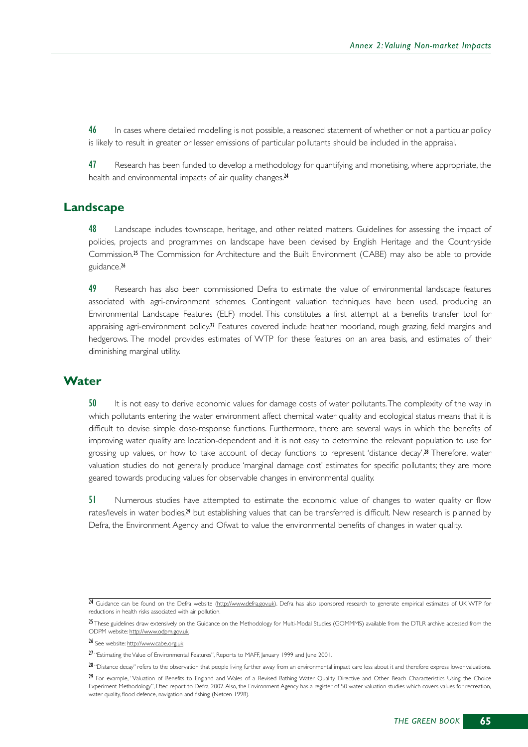46 In cases where detailed modelling is not possible, a reasoned statement of whether or not a particular policy is likely to result in greater or lesser emissions of particular pollutants should be included in the appraisal.

47 Research has been funded to develop a methodology for quantifying and monetising, where appropriate, the health and environmental impacts of air quality changes.<sup>24</sup>

# **Landscape**

48 Landscape includes townscape, heritage, and other related matters. Guidelines for assessing the impact of policies, projects and programmes on landscape have been devised by English Heritage and the Countryside Commission.<sup>25</sup> The Commission for Architecture and the Built Environment (CABE) may also be able to provide guidance.<sup>26</sup>

49 Research has also been commissioned Defra to estimate the value of environmental landscape features associated with agri-environment schemes. Contingent valuation techniques have been used, producing an Environmental Landscape Features (ELF) model. This constitutes a first attempt at a benefits transfer tool for appraising agri-environment policy.<sup>27</sup> Features covered include heather moorland, rough grazing, field margins and hedgerows. The model provides estimates of WTP for these features on an area basis, and estimates of their diminishing marginal utility.

#### **Water**

50 It is not easy to derive economic values for damage costs of water pollutants.The complexity of the way in which pollutants entering the water environment affect chemical water quality and ecological status means that it is difficult to devise simple dose-response functions. Furthermore, there are several ways in which the benefits of improving water quality are location-dependent and it is not easy to determine the relevant population to use for grossing up values, or how to take account of decay functions to represent 'distance decay'. <sup>28</sup> Therefore, water valuation studies do not generally produce 'marginal damage cost' estimates for specific pollutants; they are more geared towards producing values for observable changes in environmental quality.

51 Numerous studies have attempted to estimate the economic value of changes to water quality or flow rates/levels in water bodies,<sup>29</sup> but establishing values that can be transferred is difficult. New research is planned by Defra, the Environment Agency and Ofwat to value the environmental benefits of changes in water quality.

<sup>&</sup>lt;sup>24</sup> Guidance can be found on the Defra website (http://www.defra.gov.uk). Defra has also sponsored research to generate empirical estimates of UK WTP for reductions in health risks associated with air pollution.

<sup>25</sup> These guidelines draw extensively on the Guidance on the Methodology for Multi-Modal Studies (GOMMMS) available from the DTLR archive accessed from the ODPM website: http://www.odpm.gov.uk.

<sup>26</sup> See website: http://www.cabe.org.uk

<sup>27</sup> "Estimating the Value of Environmental Features", Reports to MAFF, January 1999 and June 2001.

<sup>28 &</sup>quot;Distance decay" refers to the observation that people living further away from an environmental impact care less about it and therefore express lower valuations.

<sup>29</sup> For example, "Valuation of Benefits to England and Wales of a Revised Bathing Water Quality Directive and Other Beach Characteristics Using the Choice Experiment Methodology", Eftec report to Defra, 2002. Also, the Environment Agency has a register of 50 water valuation studies which covers values for recreation, water quality, flood defence, navigation and fishing (Netcen 1998).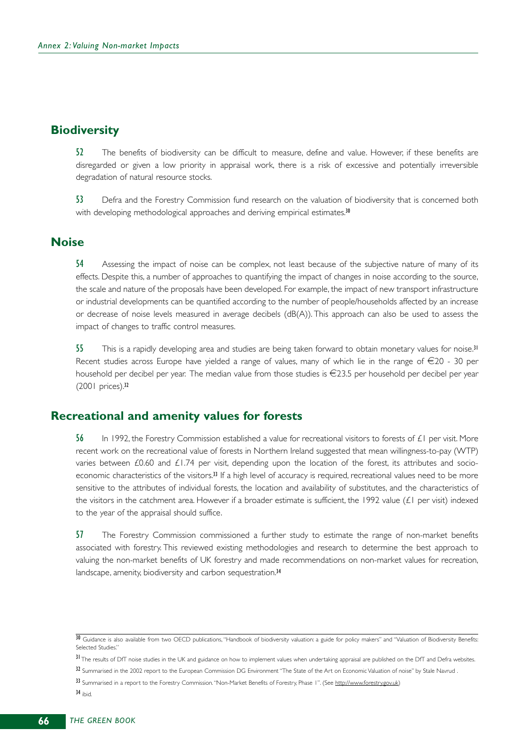# **Biodiversity**

52 The benefits of biodiversity can be difficult to measure, define and value. However, if these benefits are disregarded or given a low priority in appraisal work, there is a risk of excessive and potentially irreversible degradation of natural resource stocks.

53 Defra and the Forestry Commission fund research on the valuation of biodiversity that is concerned both with developing methodological approaches and deriving empirical estimates.<sup>30</sup>

# **Noise**

54 Assessing the impact of noise can be complex, not least because of the subjective nature of many of its effects. Despite this, a number of approaches to quantifying the impact of changes in noise according to the source, the scale and nature of the proposals have been developed. For example, the impact of new transport infrastructure or industrial developments can be quantified according to the number of people/households affected by an increase or decrease of noise levels measured in average decibels (dB(A)). This approach can also be used to assess the impact of changes to traffic control measures.

55 This is a rapidly developing area and studies are being taken forward to obtain monetary values for noise.<sup>31</sup> Recent studies across Europe have yielded a range of values, many of which lie in the range of  $\epsilon$ 20 - 30 per household per decibel per year. The median value from those studies is  $\epsilon$ 23.5 per household per decibel per year (2001 prices).<sup>32</sup>

# **Recreational and amenity values for forests**

56 In 1992, the Forestry Commission established a value for recreational visitors to forests of £1 per visit. More recent work on the recreational value of forests in Northern Ireland suggested that mean willingness-to-pay (WTP) varies between £0.60 and £1.74 per visit, depending upon the location of the forest, its attributes and socioeconomic characteristics of the visitors.<sup>33</sup> If a high level of accuracy is required, recreational values need to be more sensitive to the attributes of individual forests, the location and availability of substitutes, and the characteristics of the visitors in the catchment area. However if a broader estimate is sufficient, the 1992 value (£1 per visit) indexed to the year of the appraisal should suffice.

57 The Forestry Commission commissioned a further study to estimate the range of non-market benefits associated with forestry. This reviewed existing methodologies and research to determine the best approach to valuing the non-market benefits of UK forestry and made recommendations on non-market values for recreation, landscape, amenity, biodiversity and carbon sequestration.<sup>34</sup>

34 ibid.

<sup>30</sup> Guidance is also available from two OECD publications, "Handbook of biodiversity valuation: a guide for policy makers" and "Valuation of Biodiversity Benefits: Selected Studies."

<sup>&</sup>lt;sup>31</sup> The results of DfT noise studies in the UK and guidance on how to implement values when undertaking appraisal are published on the DfT and Defra websites.

<sup>32</sup> Summarised in the 2002 report to the European Commission DG Environment "The State of the Art on Economic Valuation of noise" by Stale Navrud .

<sup>33</sup> Summarised in a report to the Forestry Commission. "Non-Market Benefits of Forestry, Phase I". (See http://www.forestry.gov.uk)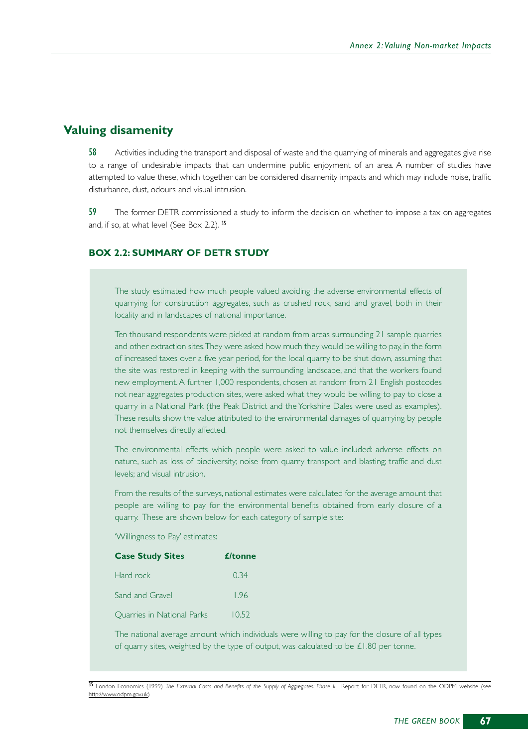# **Valuing disamenity**

58 Activities including the transport and disposal of waste and the quarrying of minerals and aggregates give rise to a range of undesirable impacts that can undermine public enjoyment of an area. A number of studies have attempted to value these, which together can be considered disamenity impacts and which may include noise, traffic disturbance, dust, odours and visual intrusion.

59 The former DETR commissioned a study to inform the decision on whether to impose a tax on aggregates and, if so, at what level (See Box 2.2). <sup>35</sup>

#### **BOX 2.2: SUMMARY OF DETR STUDY**

The study estimated how much people valued avoiding the adverse environmental effects of quarrying for construction aggregates, such as crushed rock, sand and gravel, both in their locality and in landscapes of national importance.

Ten thousand respondents were picked at random from areas surrounding 21 sample quarries and other extraction sites.They were asked how much they would be willing to pay, in the form of increased taxes over a five year period, for the local quarry to be shut down, assuming that the site was restored in keeping with the surrounding landscape, and that the workers found new employment. A further 1,000 respondents, chosen at random from 21 English postcodes not near aggregates production sites, were asked what they would be willing to pay to close a quarry in a National Park (the Peak District and the Yorkshire Dales were used as examples). These results show the value attributed to the environmental damages of quarrying by people not themselves directly affected.

The environmental effects which people were asked to value included: adverse effects on nature, such as loss of biodiversity; noise from quarry transport and blasting; traffic and dust levels; and visual intrusion.

From the results of the surveys, national estimates were calculated for the average amount that people are willing to pay for the environmental benefits obtained from early closure of a quarry. These are shown below for each category of sample site:

#### 'Willingness to Pay' estimates:

| <b>Case Study Sites</b>           | <i><u><b>£/tonne</b></u></i> |
|-----------------------------------|------------------------------|
| Hard rock                         | 0.34                         |
| Sand and Gravel                   | 1.96                         |
| <b>Ouarries in National Parks</b> | 10.52                        |

The national average amount which individuals were willing to pay for the closure of all types of quarry sites, weighted by the type of output, was calculated to be  $£1.80$  per tonne.

35 London Economics (1999) The External Costs and Benefits of the Supply of Aggregates: Phase II. Report for DETR, now found on the ODPM website (see http://www.odpm.gov.uk)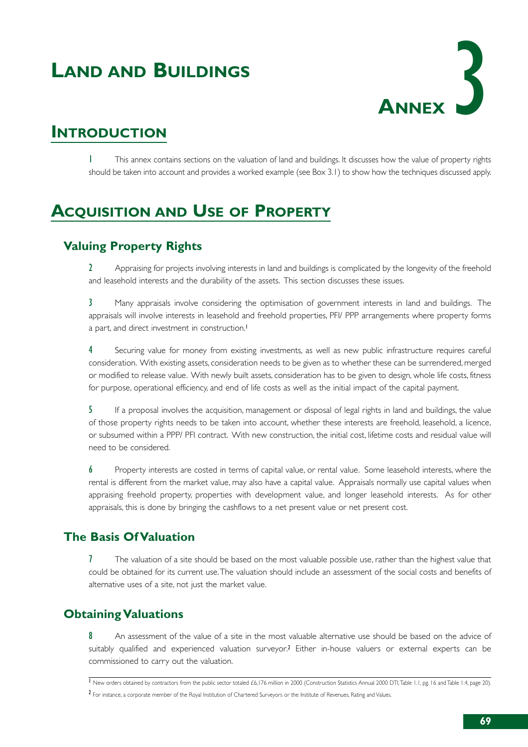# **LAND AND BUILDINGS**



## **INTRODUCTION**

1 This annex contains sections on the valuation of land and buildings. It discusses how the value of property rights should be taken into account and provides a worked example (see Box 3.1) to show how the techniques discussed apply.

# **ACQUISITION AND USE OF PROPERTY**

## **Valuing Property Rights**

2 Appraising for projects involving interests in land and buildings is complicated by the longevity of the freehold and leasehold interests and the durability of the assets. This section discusses these issues.

3 Many appraisals involve considering the optimisation of government interests in land and buildings. The appraisals will involve interests in leasehold and freehold properties, PFI/ PPP arrangements where property forms a part, and direct investment in construction.<sup>1</sup>

4 Securing value for money from existing investments, as well as new public infrastructure requires careful consideration. With existing assets, consideration needs to be given as to whether these can be surrendered, merged or modified to release value. With newly built assets, consideration has to be given to design, whole life costs, fitness for purpose, operational efficiency, and end of life costs as well as the initial impact of the capital payment.

5 If a proposal involves the acquisition, management or disposal of legal rights in land and buildings, the value of those property rights needs to be taken into account, whether these interests are freehold, leasehold, a licence, or subsumed within a PPP/ PFI contract. With new construction, the initial cost, lifetime costs and residual value will need to be considered.

6 Property interests are costed in terms of capital value, or rental value. Some leasehold interests, where the rental is different from the market value, may also have a capital value. Appraisals normally use capital values when appraising freehold property, properties with development value, and longer leasehold interests. As for other appraisals, this is done by bringing the cashflows to a net present value or net present cost.

## **The Basis Of Valuation**

7 The valuation of a site should be based on the most valuable possible use, rather than the highest value that could be obtained for its current use.The valuation should include an assessment of the social costs and benefits of alternative uses of a site, not just the market value.

## **Obtaining Valuations**

8 An assessment of the value of a site in the most valuable alternative use should be based on the advice of suitably qualified and experienced valuation surveyor.<sup>2</sup> Either in-house valuers or external experts can be commissioned to carry out the valuation.

<sup>&</sup>lt;sup>1</sup> New orders obtained by contractors from the public sector totaled £6,176 million in 2000 (Construction Statistics Annual 2000 DTI, Table 1.1, pg. 16 and Table 1.4, page 20). 2 For instance, a corporate member of the Royal Institution of Chartered Surveyors or the Institute of Revenues, Rating and Values.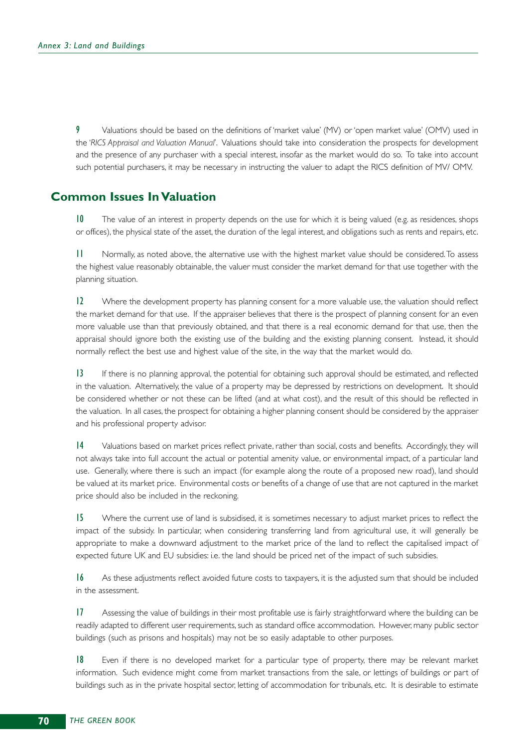9 Valuations should be based on the definitions of 'market value' (MV) or 'open market value' (OMV) used in the '*RICS Appraisal and Valuation Manual*'. Valuations should take into consideration the prospects for development and the presence of any purchaser with a special interest, insofar as the market would do so. To take into account such potential purchasers, it may be necessary in instructing the valuer to adapt the RICS definition of MV/ OMV.

### **Common Issues In Valuation**

10 The value of an interest in property depends on the use for which it is being valued (e.g. as residences, shops or offices), the physical state of the asset, the duration of the legal interest, and obligations such as rents and repairs, etc.

11 Normally, as noted above, the alternative use with the highest market value should be considered.To assess the highest value reasonably obtainable, the valuer must consider the market demand for that use together with the planning situation.

12 Where the development property has planning consent for a more valuable use, the valuation should reflect the market demand for that use. If the appraiser believes that there is the prospect of planning consent for an even more valuable use than that previously obtained, and that there is a real economic demand for that use, then the appraisal should ignore both the existing use of the building and the existing planning consent. Instead, it should normally reflect the best use and highest value of the site, in the way that the market would do.

13 If there is no planning approval, the potential for obtaining such approval should be estimated, and reflected in the valuation. Alternatively, the value of a property may be depressed by restrictions on development. It should be considered whether or not these can be lifted (and at what cost), and the result of this should be reflected in the valuation. In all cases, the prospect for obtaining a higher planning consent should be considered by the appraiser and his professional property advisor.

14 Valuations based on market prices reflect private, rather than social, costs and benefits. Accordingly, they will not always take into full account the actual or potential amenity value, or environmental impact, of a particular land use. Generally, where there is such an impact (for example along the route of a proposed new road), land should be valued at its market price. Environmental costs or benefits of a change of use that are not captured in the market price should also be included in the reckoning.

15 Where the current use of land is subsidised, it is sometimes necessary to adjust market prices to reflect the impact of the subsidy. In particular, when considering transferring land from agricultural use, it will generally be appropriate to make a downward adjustment to the market price of the land to reflect the capitalised impact of expected future UK and EU subsidies: i.e. the land should be priced net of the impact of such subsidies.

16 As these adjustments reflect avoided future costs to taxpayers, it is the adjusted sum that should be included in the assessment.

17 Assessing the value of buildings in their most profitable use is fairly straightforward where the building can be readily adapted to different user requirements, such as standard office accommodation. However, many public sector buildings (such as prisons and hospitals) may not be so easily adaptable to other purposes.

18 Even if there is no developed market for a particular type of property, there may be relevant market information. Such evidence might come from market transactions from the sale, or lettings of buildings or part of buildings such as in the private hospital sector, letting of accommodation for tribunals, etc. It is desirable to estimate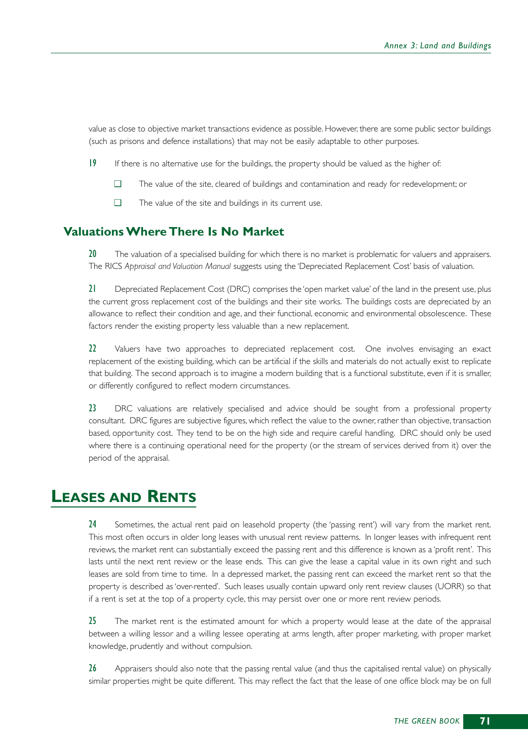value as close to objective market transactions evidence as possible. However, there are some public sector buildings (such as prisons and defence installations) that may not be easily adaptable to other purposes.

- 19 If there is no alternative use for the buildings, the property should be valued as the higher of:
	- ❑ The value of the site, cleared of buildings and contamination and ready for redevelopment; or
	- ❑ The value of the site and buildings in its current use.

## **Valuations Where There Is No Market**

20 The valuation of a specialised building for which there is no market is problematic for valuers and appraisers. The RICS *Appraisal and Valuation Manual* suggests using the 'Depreciated Replacement Cost' basis of valuation.

21 Depreciated Replacement Cost (DRC) comprises the 'open market value' of the land in the present use, plus the current gross replacement cost of the buildings and their site works. The buildings costs are depreciated by an allowance to reflect their condition and age, and their functional, economic and environmental obsolescence. These factors render the existing property less valuable than a new replacement.

22 Valuers have two approaches to depreciated replacement cost. One involves envisaging an exact replacement of the existing building, which can be artificial if the skills and materials do not actually exist to replicate that building. The second approach is to imagine a modern building that is a functional substitute, even if it is smaller, or differently configured to reflect modern circumstances.

23 DRC valuations are relatively specialised and advice should be sought from a professional property consultant. DRC figures are subjective figures, which reflect the value to the owner, rather than objective, transaction based, opportunity cost. They tend to be on the high side and require careful handling. DRC should only be used where there is a continuing operational need for the property (or the stream of services derived from it) over the period of the appraisal.

## **LEASES AND RENTS**

24 Sometimes, the actual rent paid on leasehold property (the 'passing rent') will vary from the market rent. This most often occurs in older long leases with unusual rent review patterns. In longer leases with infrequent rent reviews, the market rent can substantially exceed the passing rent and this difference is known as a 'profit rent'. This lasts until the next rent review or the lease ends. This can give the lease a capital value in its own right and such leases are sold from time to time. In a depressed market, the passing rent can exceed the market rent so that the property is described as 'over-rented'. Such leases usually contain upward only rent review clauses (UORR) so that if a rent is set at the top of a property cycle, this may persist over one or more rent review periods.

25 The market rent is the estimated amount for which a property would lease at the date of the appraisal between a willing lessor and a willing lessee operating at arms length, after proper marketing, with proper market knowledge, prudently and without compulsion.

26 Appraisers should also note that the passing rental value (and thus the capitalised rental value) on physically similar properties might be quite different. This may reflect the fact that the lease of one office block may be on full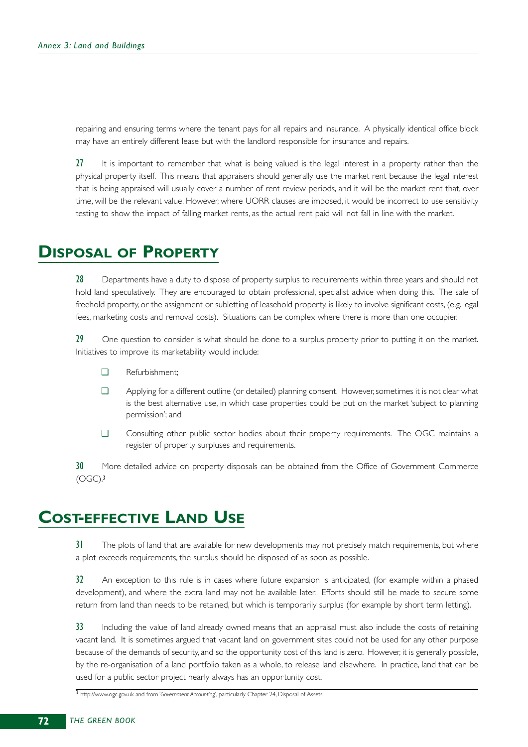repairing and ensuring terms where the tenant pays for all repairs and insurance. A physically identical office block may have an entirely different lease but with the landlord responsible for insurance and repairs.

27 It is important to remember that what is being valued is the legal interest in a property rather than the physical property itself. This means that appraisers should generally use the market rent because the legal interest that is being appraised will usually cover a number of rent review periods, and it will be the market rent that, over time, will be the relevant value. However, where UORR clauses are imposed, it would be incorrect to use sensitivity testing to show the impact of falling market rents, as the actual rent paid will not fall in line with the market.

# **DISPOSAL OF PROPERTY**

28 Departments have a duty to dispose of property surplus to requirements within three years and should not hold land speculatively. They are encouraged to obtain professional, specialist advice when doing this. The sale of freehold property, or the assignment or subletting of leasehold property, is likely to involve significant costs, (e.g. legal fees, marketing costs and removal costs). Situations can be complex where there is more than one occupier.

29 One question to consider is what should be done to a surplus property prior to putting it on the market. Initiatives to improve its marketability would include:

- ❑ Refurbishment;
- ❑ Applying for a different outline (or detailed) planning consent. However, sometimes it is not clear what is the best alternative use, in which case properties could be put on the market 'subject to planning permission'; and
- ❑ Consulting other public sector bodies about their property requirements. The OGC maintains a register of property surpluses and requirements.

30 More detailed advice on property disposals can be obtained from the Office of Government Commerce  $(OGC)<sup>3</sup>$ 

# **COST-EFFECTIVE LAND USE**

31 The plots of land that are available for new developments may not precisely match requirements, but where a plot exceeds requirements, the surplus should be disposed of as soon as possible.

32 An exception to this rule is in cases where future expansion is anticipated, (for example within a phased development), and where the extra land may not be available later. Efforts should still be made to secure some return from land than needs to be retained, but which is temporarily surplus (for example by short term letting).

33 Including the value of land already owned means that an appraisal must also include the costs of retaining vacant land. It is sometimes argued that vacant land on government sites could not be used for any other purpose because of the demands of security, and so the opportunity cost of this land is zero. However, it is generally possible, by the re-organisation of a land portfolio taken as a whole, to release land elsewhere. In practice, land that can be used for a public sector project nearly always has an opportunity cost.

<sup>3</sup> http://www.ogc.gov.uk and from '*Government Accounting*', particularly Chapter 24, Disposal of Assets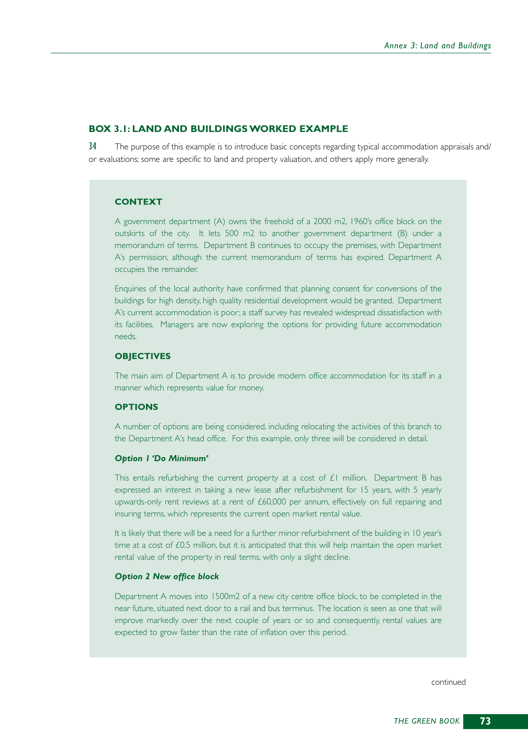#### **BOX 3.1: LAND AND BUILDINGS WORKED EXAMPLE**

34 The purpose of this example is to introduce basic concepts regarding typical accommodation appraisals and/ or evaluations; some are specific to land and property valuation, and others apply more generally.

### **CONTEXT**

A government department (A) owns the freehold of a 2000 m2, 1960's office block on the outskirts of the city. It lets 500 m2 to another government department (B) under a memorandum of terms. Department B continues to occupy the premises, with Department A's permission, although the current memorandum of terms has expired. Department A occupies the remainder.

Enquiries of the local authority have confirmed that planning consent for conversions of the buildings for high density, high quality residential development would be granted. Department A's current accommodation is poor; a staff survey has revealed widespread dissatisfaction with its facilities. Managers are now exploring the options for providing future accommodation needs.

#### **OBJECTIVES**

The main aim of Department A is to provide modern office accommodation for its staff in a manner which represents value for money.

### **OPTIONS**

A number of options are being considered, including relocating the activities of this branch to the Department A's head office. For this example, only three will be considered in detail.

#### *Option 1 'Do Minimum'*

This entails refurbishing the current property at a cost of  $E1$  million. Department B has expressed an interest in taking a new lease after refurbishment for 15 years, with 5 yearly upwards-only rent reviews at a rent of £60,000 per annum, effectively on full repairing and insuring terms, which represents the current open market rental value.

It is likely that there will be a need for a further minor refurbishment of the building in 10 year's time at a cost of  $£0.5$  million, but it is anticipated that this will help maintain the open market rental value of the property in real terms, with only a slight decline.

#### *Option 2 New office block*

Department A moves into 1500m2 of a new city centre office block, to be completed in the near future, situated next door to a rail and bus terminus. The location is seen as one that will improve markedly over the next couple of years or so and consequently, rental values are expected to grow faster than the rate of inflation over this period.

continued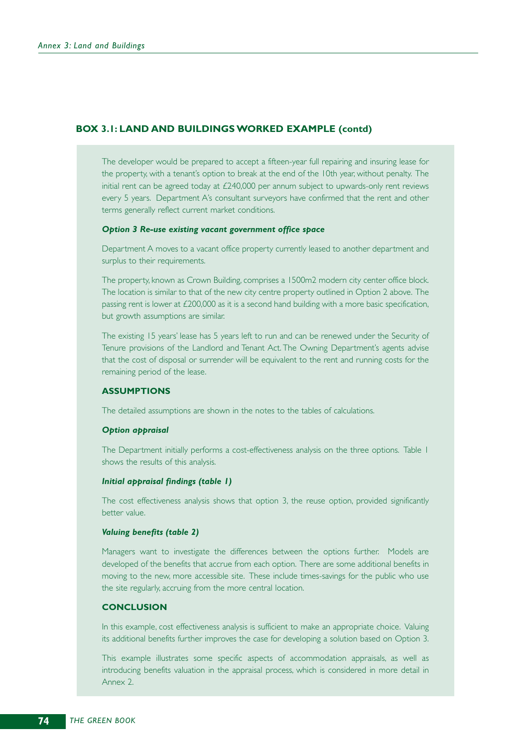### **BOX 3.1: LAND AND BUILDINGS WORKED EXAMPLE (contd)**

The developer would be prepared to accept a fifteen-year full repairing and insuring lease for the property, with a tenant's option to break at the end of the 10th year, without penalty. The initial rent can be agreed today at £240,000 per annum subject to upwards-only rent reviews every 5 years. Department A's consultant surveyors have confirmed that the rent and other terms generally reflect current market conditions.

### *Option 3 Re-use existing vacant government office space*

Department A moves to a vacant office property currently leased to another department and surplus to their requirements.

The property, known as Crown Building, comprises a 1500m2 modern city center office block. The location is similar to that of the new city centre property outlined in Option 2 above. The passing rent is lower at £200,000 as it is a second hand building with a more basic specification, but growth assumptions are similar.

The existing 15 years' lease has 5 years left to run and can be renewed under the Security of Tenure provisions of the Landlord and Tenant Act. The Owning Department's agents advise that the cost of disposal or surrender will be equivalent to the rent and running costs for the remaining period of the lease.

#### **ASSUMPTIONS**

The detailed assumptions are shown in the notes to the tables of calculations.

#### *Option appraisal*

The Department initially performs a cost-effectiveness analysis on the three options. Table 1 shows the results of this analysis.

#### *Initial appraisal findings (table 1)*

The cost effectiveness analysis shows that option 3, the reuse option, provided significantly better value.

#### *Valuing benefits (table 2)*

Managers want to investigate the differences between the options further. Models are developed of the benefits that accrue from each option. There are some additional benefits in moving to the new, more accessible site. These include times-savings for the public who use the site regularly, accruing from the more central location.

#### **CONCLUSION**

In this example, cost effectiveness analysis is sufficient to make an appropriate choice. Valuing its additional benefits further improves the case for developing a solution based on Option 3.

This example illustrates some specific aspects of accommodation appraisals, as well as introducing benefits valuation in the appraisal process, which is considered in more detail in Annex 2.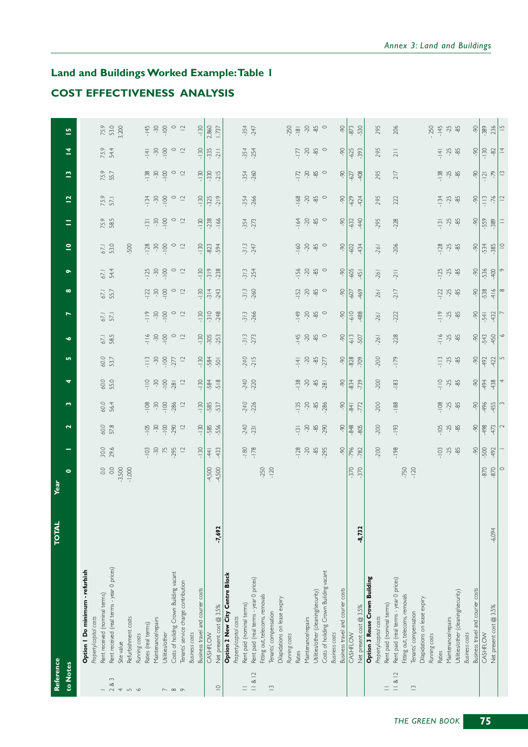## **Land and Buildings Worked Example:Table 1 COST EFFECTIVENESS ANALYSIS**

| Reference                |                                                         | <b>TOTAL</b> | Year                      |                                           |                                  |             |                  |                  |             |                       |                    |                                              |                              |                 |                          |                |                                                         |                            |
|--------------------------|---------------------------------------------------------|--------------|---------------------------|-------------------------------------------|----------------------------------|-------------|------------------|------------------|-------------|-----------------------|--------------------|----------------------------------------------|------------------------------|-----------------|--------------------------|----------------|---------------------------------------------------------|----------------------------|
| to Notes                 |                                                         |              | $\bullet$                 |                                           | $\mathbf{r}$                     | w           | 4                | m,               | Ó           | $\overline{ }$        | $\infty$           | $\bullet$                                    | $\mathbf{\underline{\circ}}$ | Ξ               | $\overline{\mathbf{z}}$  | $\tilde{a}$    | $\overline{\mathbf{z}}$                                 | $\overline{\mathbf{5}}$    |
|                          | Option   Do minimum - refurbish                         |              |                           |                                           |                                  |             |                  |                  |             |                       |                    |                                              |                              |                 |                          |                |                                                         |                            |
|                          | Rent received (nominal terms)<br>Property/capital costs |              | $\mathcal{O}:\mathcal{O}$ | 30.0                                      |                                  | 60.0        | 60.0             | 60.0             | 67.1        |                       | 67.1               | $67.1$                                       | 67.1                         | 75.9            |                          | 75.9<br>55.7   |                                                         | 75.9                       |
| 283                      | Rent received (real terms - year 0 prices)              |              | $_{\rm O,O}$              | 29.6                                      | 60.0<br>57.8                     | 56.4        | 55.0             | 53.7             | 58.5        | 67.1                  | 55.7               | 54.4                                         | 53.0                         | 585             | 75.9<br>57.1             |                | 75.9<br>54.4                                            | 53.0<br>3,200              |
| $\overline{\mathcal{A}}$ | Site value                                              |              | $-3,500$                  |                                           |                                  |             |                  |                  |             |                       |                    |                                              |                              |                 |                          |                |                                                         |                            |
| $\sqrt{2}$               | Refurbishment costs                                     |              | $-1,000$                  |                                           |                                  |             |                  |                  |             |                       |                    |                                              | $-500$                       |                 |                          |                |                                                         |                            |
|                          | Running costs                                           |              |                           |                                           |                                  |             |                  |                  |             |                       |                    |                                              |                              |                 |                          |                |                                                         |                            |
|                          | Rates (real terms)                                      |              |                           | $-103$                                    | $-105$                           | $-108$      | $\frac{1}{1}$    | $\frac{1}{2}$    | $-116$      | $\frac{\circ}{\circ}$ | $-122$             | $-125$                                       | $-128$                       | $-131$          | $-134$                   | $-138$         | $-14$                                                   | $-145$                     |
|                          | Maintenance/repairs                                     |              |                           | $-30$                                     | $-30$                            | $-30$       | $-30$            | $-30$            | $-30$       | $\sim 0$              | $\widetilde{\sim}$ | $-30$                                        | $-30$                        | $-30$           | $-30$                    | $-30$          | $-30$                                                   | $-30$                      |
|                          | Utilities/other                                         |              |                           | 75                                        | $-100$                           | $-100$      | $-100$           | $-100$           | $-100$      | $-100$                | $-100$             | $-100$                                       | $-100$                       | $-100$          | $-100$                   | $\frac{1}{10}$ | $-100$                                                  | $-100$                     |
| $\sim$ $\infty$ $\infty$ | Costs of holidng Crown Building vacant                  |              |                           | .295                                      | $-290$                           | $-286$      | $-281$           | $-277$           | $\circ$     | $\circ$               | $\circ$            | $\circ$                                      | $\circ$                      | $\circ$         | $\circ$                  | $\circ$        | $\circ$                                                 | $\circ$ $\sim$             |
|                          | Tenants' service charge contribution                    |              |                           | $\supseteq$                               | $\supseteq$                      | $\supseteq$ | $\supseteq$      | $\supseteq$      | $\supseteq$ | $\supseteq$           | $\supseteq$        | $\supseteq$                                  | $\overline{c}$               | $\supseteq$     | $\supseteq$              | $\supseteq$    | $\supseteq$                                             |                            |
|                          | <b>Business</b> costs                                   |              |                           |                                           |                                  |             |                  |                  |             |                       |                    |                                              |                              |                 |                          |                |                                                         |                            |
|                          | Business travel and courier costs                       |              |                           | $-130$                                    | $-130$                           | $-130$      | $-130$           | $-130$           | $-130$      | $-130$                | $-130$             | $-130$                                       | $-130$                       | $-130$          | $-130$                   | $-130$         | $-130$                                                  | $-130$                     |
|                          | CASHFLOW                                                |              | $4,500$<br>4,500          | $-44$                                     | $-585$<br>$-556$                 | $-585$      | $-584$           | -584             | $-305$      | $-310$                | $-314$             | $-319$                                       | $-823$                       | $-238$          | $-325$                   | $-330$         | $-335$                                                  | 2,860                      |
| $\subseteq$              | Net present cost @ 3.5%                                 | $-7,692$     |                           | $-433$                                    |                                  | -537        | $-518$           | $-501$           | $-253$      | $-248$                | $-243$             | $-238$                                       | -594                         | $-166$          | $-219$                   | $-215$         | $-211$                                                  | 1737                       |
|                          | Option 2 New City Centre Block                          |              |                           |                                           |                                  |             |                  |                  |             |                       |                    |                                              |                              |                 |                          |                |                                                         |                            |
|                          | Property/capital costs                                  |              |                           |                                           |                                  |             |                  |                  |             |                       |                    |                                              |                              |                 |                          |                |                                                         |                            |
| $=$                      | Rent paid (nominal terms)                               |              |                           |                                           |                                  | $-240$      | -240             |                  | $-313$      | $-313$                | $-313$             | $-313$                                       | $-313$                       | $-354$          | $-354$                   | $-354$         | $-354$                                                  | $-354$                     |
| 8                        | Rent paid (real terms - year 0 prices)                  |              |                           | $-180$                                    | $-240$<br>$-231$                 | $-226$      | $-220$           | $-240$<br>$-215$ | $-273$      | $-266$                | $-260$             | $-254$                                       | $-247$                       | $-273$          | $-266$                   | $-260$         | $-254$                                                  | $-247$                     |
|                          | Fitting out, telecoms, removals                         |              |                           |                                           |                                  |             |                  |                  |             |                       |                    |                                              |                              |                 |                          |                |                                                         |                            |
| $\bar{c}$                | Tenants' compensation                                   |              | $-250$<br>$-120$          |                                           |                                  |             |                  |                  |             |                       |                    |                                              |                              |                 |                          |                |                                                         |                            |
|                          | Dilapidations on lease expiry                           |              |                           |                                           |                                  |             |                  |                  |             |                       |                    |                                              |                              |                 |                          |                |                                                         |                            |
|                          | Running costs                                           |              |                           |                                           |                                  |             |                  |                  |             |                       |                    |                                              |                              |                 |                          |                |                                                         |                            |
|                          |                                                         |              |                           |                                           |                                  |             |                  |                  |             |                       |                    |                                              |                              |                 |                          |                |                                                         | $-250$                     |
|                          | Rates                                                   |              |                           | 128                                       | $-13$                            | $-135$      | $-138$           | $-141$           | $-145$      | $-149$                | $-152$             | $-156$                                       | $-160$                       | $-164$          | $-168$                   | $-172$         | $\overline{L}$                                          |                            |
|                          | Maintenance/repairs                                     |              |                           | $-20$                                     | $-20$                            | $-20$       | $-20$            | $-20$            | $-20$       | $20$                  | $-20$              | $-20$                                        | $-20$                        | $-20$           | $-20$                    | $-20$          | $-20$                                                   | $\overline{\mathcal{C}}$ - |
|                          | Utilities/other (cleaning/security)                     |              |                           | $-85$                                     | $-85$                            | $-85$       | $-85$            | $-85$<br>$-277$  | $-85$       | $-85$                 | $-85$              | $-85$                                        | $-85$                        | $-85$           | $-85$                    | $-85$          | $-85$                                                   | $-85$                      |
|                          | Costs of holiding Crown Building vacant                 |              |                           | 295                                       | $-290$                           | $-286$      | .281             |                  | $\circ$     | $\circ$               | $\circ$            | $\circ$                                      | $\circ$                      | $\circ$         | $\circ$                  | $\circ$        | $\circ$                                                 | $\circ$                    |
|                          | <b>Business</b> costs                                   |              |                           |                                           |                                  |             |                  |                  |             |                       |                    |                                              |                              |                 |                          |                |                                                         |                            |
|                          | Business travel and courier costs                       |              |                           | -90                                       | $-90$                            | $-90$       | $-90$            | -90              | -90         | 90                    | $-90$              | $-90$                                        | 90                           | -90             | -90                      | -90            | $-90$                                                   | -90                        |
|                          | CASHFLOW                                                |              | $-370$                    | $-796$                                    | $-848$                           | $-84$       | $-834$<br>$-739$ | $-828$           | $-613$      | $-610$                | -607               | $-605$                                       | $-602$                       | $-632$          | $-629$                   | $-627$         | $-625$                                                  | $-873$                     |
|                          | Net present cost @ 3.5%                                 | $-8,732$     | $-370$                    | $-782$                                    | $-805$                           | $-772$      |                  | -709             | -507        | -488                  | $-469$             | $-45$                                        | 434                          | -440            | $-424$                   | $-408$         | $-393$                                                  | $-530$                     |
|                          | Option 3 Reuse Crown Building                           |              |                           |                                           |                                  |             |                  |                  |             |                       |                    |                                              |                              |                 |                          |                |                                                         |                            |
|                          | Property/capital costs                                  |              |                           | $-200$                                    | $-200$                           | $-200$      | $-200$           | $-200$           | $-261$      | $-261$                | 261                | $-261$                                       | $-261$                       | $-295$          | 295                      | 295            | 295                                                     | 295                        |
| 11 & 812                 | Rent paid (nominal terms)                               |              |                           |                                           |                                  |             |                  |                  |             | $-222$                |                    |                                              |                              |                 | 222                      |                |                                                         |                            |
|                          | Rent paid (real terms - year 0 prices)                  |              |                           | $-198$                                    | $-193$                           | $-188$      | $-183$           | $-179$           | $-228$      |                       | $-217$             | $-211$                                       | $-206$                       | $-228$          |                          | 217            | $\frac{1}{2}$                                           | 206                        |
|                          | Fitting out, telecoms, removals                         |              | $-750$                    |                                           |                                  |             |                  |                  |             |                       |                    |                                              |                              |                 |                          |                |                                                         |                            |
| $\tilde{=}$              | Tenants' compensation                                   |              |                           |                                           |                                  |             |                  |                  |             |                       |                    |                                              |                              |                 |                          |                |                                                         |                            |
|                          | Dilapidations on lease expiry                           |              |                           |                                           |                                  |             |                  |                  |             |                       |                    |                                              |                              |                 |                          |                |                                                         | 250                        |
|                          | Running costs<br>Rates                                  |              |                           |                                           |                                  | $-108$      | $\frac{1}{1}$    | $\frac{1}{2}$    | $-116$      | $rac{6}{1}$           |                    |                                              |                              |                 |                          |                |                                                         | $-145$                     |
|                          | Maintenance/repairs                                     |              |                           | $\frac{3}{2}$ $\frac{4}{2}$ $\frac{4}{2}$ | $\frac{105}{10}$ $\frac{25}{10}$ |             | $-25$            | $-25$            |             |                       | $-12$ 3            | $\frac{15}{1}$ $\frac{15}{1}$ $\frac{16}{1}$ | $-128$                       | $\frac{13}{12}$ | $-134$<br>$-25$<br>$-85$ | $-138$         | $\frac{4}{5}$ $\frac{1}{2}$ $\frac{1}{2}$ $\frac{1}{2}$ |                            |
|                          | Utilities/other (cleaning/security)                     |              |                           |                                           |                                  | $-25$       | $-85$            | $-85$            | $-25$       | $-25$                 |                    |                                              |                              |                 |                          |                |                                                         | $-25$                      |
|                          | <b>Business</b> costs                                   |              |                           |                                           |                                  |             |                  |                  |             |                       |                    |                                              |                              |                 |                          |                |                                                         |                            |
|                          | Business travel and courier costs                       |              |                           | -90                                       | -90                              | 90          | -90              | -90              | -90         | 90                    | -90                | -90                                          | 90                           | -90             | -90                      | 90             | $-90$                                                   | -90                        |
|                          | CASHFLOW                                                |              | $-870$                    | $-500$                                    | $-498$                           | $-496$      | $-494$           | -492             | $-543$      | $-541$                | $-538$             | $-536$                                       | $-534$                       | $-559$          | $\frac{1}{2}$            | $-121$         |                                                         | $-389$                     |
|                          | Net present cost @ 3.5%                                 | $-6,094$     | $-870$                    | $-492$                                    | $-473$                           | $-455$      | $-438$           | 422              | 450         | 432                   | $-416$             | $-400$                                       | $-385$                       | $-389$          | $-76$                    | $-79$          | $-130$                                                  | 236                        |
|                          |                                                         |              | $\circ$                   |                                           | 2                                | 3           | 4                | S                | ◡           |                       | $\infty$           | $\circ$                                      | $\supseteq$                  | $\equiv$        | $\overline{a}$           | $\Box$         | $\overline{4}$                                          | $\frac{1}{2}$              |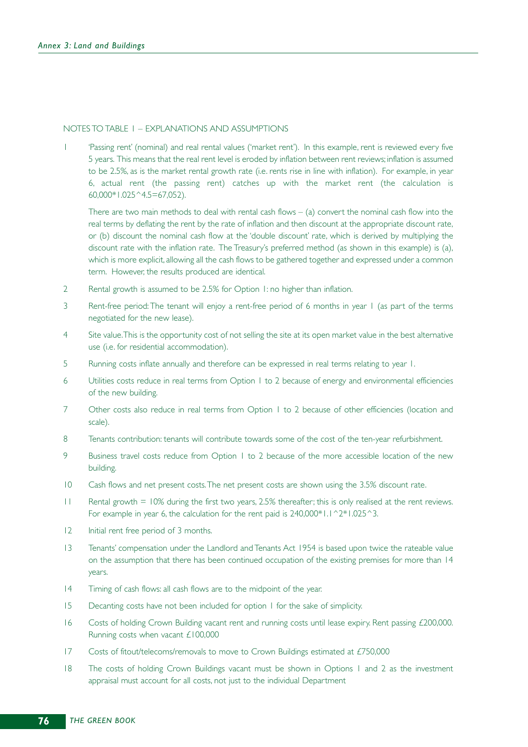#### NOTES TO TABLE 1 – EXPLANATIONS AND ASSUMPTIONS

1 'Passing rent' (nominal) and real rental values ('market rent'). In this example, rent is reviewed every five 5 years. This means that the real rent level is eroded by inflation between rent reviews; inflation is assumed to be 2.5%, as is the market rental growth rate (i.e. rents rise in line with inflation). For example, in year 6, actual rent (the passing rent) catches up with the market rent (the calculation is 60,000\*1.025^4.5=67,052).

There are two main methods to deal with rental cash flows  $-$  (a) convert the nominal cash flow into the real terms by deflating the rent by the rate of inflation and then discount at the appropriate discount rate, or (b) discount the nominal cash flow at the 'double discount' rate, which is derived by multiplying the discount rate with the inflation rate. The Treasury's preferred method (as shown in this example) is (a), which is more explicit, allowing all the cash flows to be gathered together and expressed under a common term. However, the results produced are identical.

- 2 Rental growth is assumed to be 2.5% for Option 1: no higher than inflation.
- 3 Rent-free period: The tenant will enjoy a rent-free period of 6 months in year 1 (as part of the terms negotiated for the new lease).
- 4 Site value.This is the opportunity cost of not selling the site at its open market value in the best alternative use (i.e. for residential accommodation).
- 5 Running costs inflate annually and therefore can be expressed in real terms relating to year 1.
- 6 Utilities costs reduce in real terms from Option 1 to 2 because of energy and environmental efficiencies of the new building.
- 7 Other costs also reduce in real terms from Option 1 to 2 because of other efficiencies (location and scale).
- 8 Tenants contribution: tenants will contribute towards some of the cost of the ten-year refurbishment.
- 9 Business travel costs reduce from Option 1 to 2 because of the more accessible location of the new building.
- 10 Cash flows and net present costs.The net present costs are shown using the 3.5% discount rate.
- 11 Rental growth = 10% during the first two years, 2.5% thereafter; this is only realised at the rent reviews. For example in year 6, the calculation for the rent paid is  $240,000*1.1^{\circ}2*1.025^{\circ}3.$
- 12 Initial rent free period of 3 months.
- 13 Tenants' compensation under the Landlord and Tenants Act 1954 is based upon twice the rateable value on the assumption that there has been continued occupation of the existing premises for more than 14 years.
- 14 Timing of cash flows: all cash flows are to the midpoint of the year.
- 15 Decanting costs have not been included for option 1 for the sake of simplicity.
- 16 Costs of holding Crown Building vacant rent and running costs until lease expiry. Rent passing £200,000. Running costs when vacant £100,000
- 17 Costs of fitout/telecoms/removals to move to Crown Buildings estimated at £750,000
- 18 The costs of holding Crown Buildings vacant must be shown in Options 1 and 2 as the investment appraisal must account for all costs, not just to the individual Department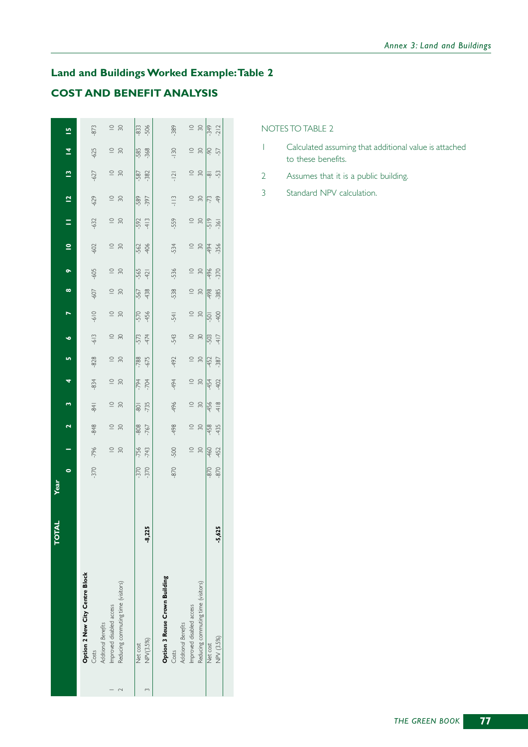## **Land and Buildings Worked Example:Table 2 COST AND BENEFIT ANALYSIS**

|                                    | FOTAL    | <b>Teat</b> |             |             |                |             |             |               |             |             |             |                         |                |                |              |                |             |
|------------------------------------|----------|-------------|-------------|-------------|----------------|-------------|-------------|---------------|-------------|-------------|-------------|-------------------------|----------------|----------------|--------------|----------------|-------------|
|                                    |          | 0           |             | 2           | m              | 4           | <u>in</u>   | ۰             |             | ∞           | $\bullet$   | $\overline{\mathsf{C}}$ | Ξ              | $\overline{a}$ | $\mathbf{r}$ | $\overline{4}$ | 므           |
| Option 2 New City Centre Block     |          |             |             |             |                |             |             |               |             |             |             |                         |                |                |              |                |             |
| Costs                              |          | $-370$      | $-796$      | -848        | $-84$          | -834        | $-828$      | $-613$        | $-610$      | -607        | $-605$      | -602                    | $-632$         | $-629$         | $-627$       | $-625$         | -873        |
| Additional Benefits                |          |             |             |             |                |             |             |               |             |             |             |                         |                |                |              |                |             |
| Improved disabled access           |          |             | $\subseteq$ | $\subseteq$ | $\subseteq$    | $\subseteq$ | $\subseteq$ | $\subseteq$   | $\subseteq$ | $\subseteq$ | $\subseteq$ | $\subseteq$             |                | $\subseteq$    | $\subseteq$  | $\subseteq$    | $\subseteq$ |
| Reducing commuting time (visitors) |          |             | $\approx$   | 30          | $\approx$      | 30          | $\approx$   | 30            | $\approx$   | $\approx$   | $\approx$   | $\approx$               | $\frac{10}{2}$ | 30             | $\approx$    | 30             | 50          |
| Net cost                           |          | $-370$      | -756        | 808         | $\overline{5}$ | $-794$      | $-788$      | -573          | -570        | -567        | -565        | $-562$                  | -592           | -589           | -587         | $-585$         | -833        |
| NPV(3.5%)                          | $-8,225$ | $-370$      | $-743$      | -767        | $-735$         | $-704$      | $-675$      | 474           | -456        | -438        | 421         | -406                    | 413            | -397           | -382         | -368           | -506        |
| Option 3 Reuse Crown Building      |          |             |             |             |                |             |             |               |             |             |             |                         |                |                |              |                |             |
| Costs                              |          | $-870$      | -500        | 498         | 496            | 494         | 492         | -543          | $-54$       | -538        | -536        | $-534$                  | -559           | $-113$         | $-121$       | $-130$         | -389        |
| <b>Additional Benefits</b>         |          |             |             |             |                |             |             |               |             |             |             |                         |                |                |              |                |             |
| Improved disabled access           |          |             | $\subseteq$ | $\subseteq$ | $\subseteq$    | $\subseteq$ | $\subseteq$ | $\subseteq$   | $\subseteq$ | $\subseteq$ | $\subseteq$ | $\subseteq$             | $\subseteq$    | $\subseteq$    | $\subseteq$  | $\subseteq$    | $\subseteq$ |
| Reducing commuting time (visitors) |          |             | $\approx$   | $\approx$   | $\approx$      | $\approx$   | $\approx$   | $\approx$     | $\approx$   | 20          | 20          | 8                       | $\approx$      | $\approx$      | 20           | $\approx$      | $\approx$   |
| Net cost                           |          | $-870$      | -460        | 458         | 456            | 454         | 452         | -503          | $-501$      | -498        | 496         | -494                    | $-519$         | -73            | ဆု           | 90             | -349        |
| NPV (3.5%)                         | -5,625   | $-870$      | 452         | 435         | 418            | 402         | -387        | $\frac{1}{4}$ | 90          | $-385$      | $-370$      | $-356$                  | $-361$         | 49             | -53          | -57            | $-212$      |
|                                    |          |             |             |             |                |             |             |               |             |             |             |                         |                |                |              |                |             |

NOTES TO TABLE 2

- 1 Calculated assuming that additional value is attached to these benefits.
- 2 Assumes that it is a public building.
- 3 Standard NPV calculation.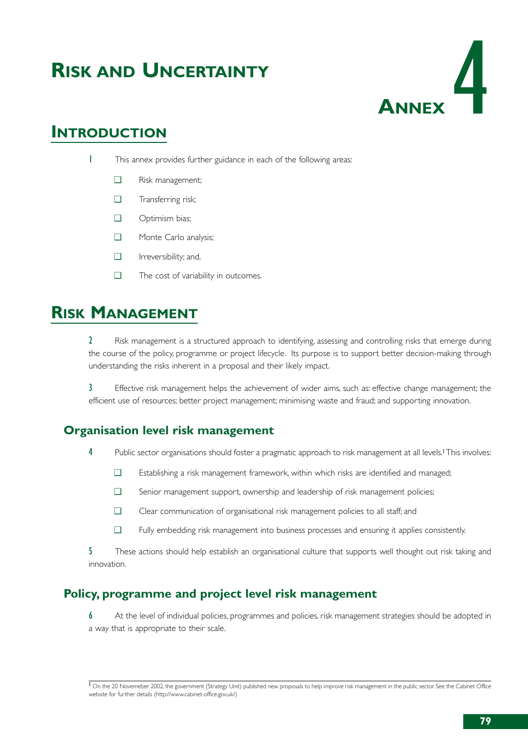# **RISK AND UNCERTAINTY**



## **INTRODUCTION**

- 1 This annex provides further guidance in each of the following areas:
	- ❑ Risk management;
	- ❑ Transferring risk;
	- ❑ Optimism bias;
	- ❑ Monte Carlo analysis;
	- ❑ Irreversibility; and,
	- ❑ The cost of variability in outcomes.

# **RISK MANAGEMENT**

2 Risk management is a structured approach to identifying, assessing and controlling risks that emerge during the course of the policy, programme or project lifecycle. Its purpose is to support better decision-making through understanding the risks inherent in a proposal and their likely impact.

3 Effective risk management helps the achievement of wider aims, such as: effective change management; the efficient use of resources; better project management; minimising waste and fraud; and supporting innovation.

## **Organisation level risk management**

- 4 Public sector organisations should foster a pragmatic approach to risk management at all levels.<sup>1</sup>This involves:
	- ❑ Establishing a risk management framework, within which risks are identified and managed;
	- ❑ Senior management support, ownership and leadership of risk management policies;
	- ❑ Clear communication of organisational risk management policies to all staff; and
	- ❑ Fully embedding risk management into business processes and ensuring it applies consistently.

5 These actions should help establish an organisational culture that supports well thought out risk taking and innovation.

## **Policy, programme and project level risk management**

6 At the level of individual policies, programmes and policies, risk management strategies should be adopted in a way that is appropriate to their scale.

 $\overline{1}$  On the 20 Novemeber 2002, the government (Strategy Unit) published new proposals to help improve risk management in the public sector. See the Cabinet Office website for further details (http://www.cabinet-office.gov.uk/)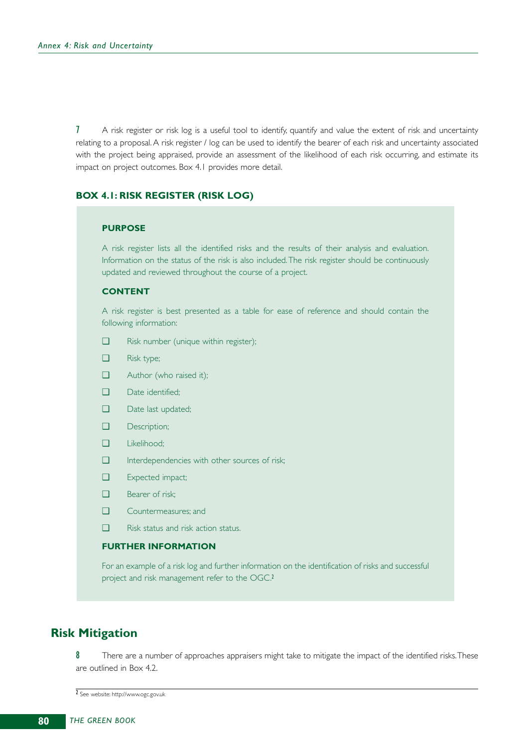7 A risk register or risk log is a useful tool to identify, quantify and value the extent of risk and uncertainty relating to a proposal. A risk register / log can be used to identify the bearer of each risk and uncertainty associated with the project being appraised, provide an assessment of the likelihood of each risk occurring, and estimate its impact on project outcomes. Box 4.1 provides more detail.

### **BOX 4.1: RISK REGISTER (RISK LOG)**

#### **PURPOSE**

A risk register lists all the identified risks and the results of their analysis and evaluation. Information on the status of the risk is also included.The risk register should be continuously updated and reviewed throughout the course of a project.

### **CONTENT**

A risk register is best presented as a table for ease of reference and should contain the following information:

- ❑ Risk number (unique within register);
- ❑ Risk type;
- ❑ Author (who raised it);
- ❑ Date identified;
- □ Date last updated;
- ❑ Description;
- ❑ Likelihood;
- ❑ Interdependencies with other sources of risk;
- ❑ Expected impact;
- ❑ Bearer of risk;
- ❑ Countermeasures; and
- ❑ Risk status and risk action status.

### **FURTHER INFORMATION**

For an example of a risk log and further information on the identification of risks and successful project and risk management refer to the OGC.<sup>2</sup>

### **Risk Mitigation**

8 There are a number of approaches appraisers might take to mitigate the impact of the identified risks. These are outlined in Box 4.2.

<sup>2</sup> See website: http://www.ogc.gov.uk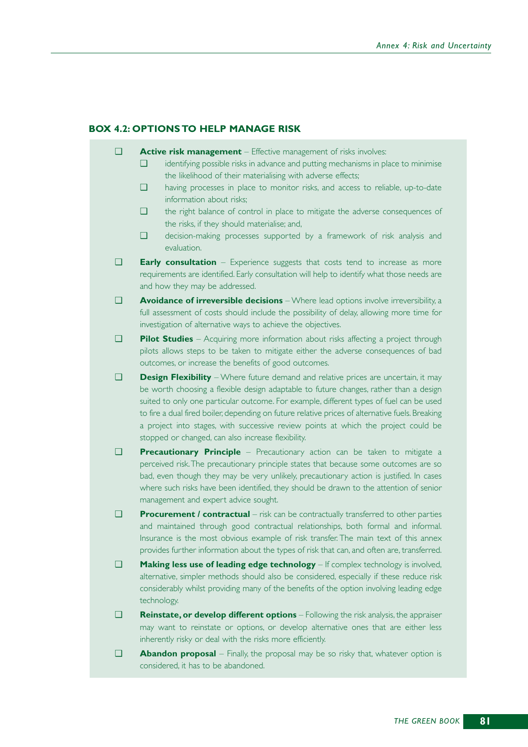#### **BOX 4.2: OPTIONS TO HELP MANAGE RISK**

- ❑ **Active risk management** Effective management of risks involves:
	- ❑ identifying possible risks in advance and putting mechanisms in place to minimise the likelihood of their materialising with adverse effects;
	- ❑ having processes in place to monitor risks, and access to reliable, up-to-date information about risks;
	- ❑ the right balance of control in place to mitigate the adverse consequences of the risks, if they should materialise; and,
	- ❑ decision-making processes supported by a framework of risk analysis and evaluation.
- ❑ **Early consultation** Experience suggests that costs tend to increase as more requirements are identified. Early consultation will help to identify what those needs are and how they may be addressed.
- ❑ **Avoidance of irreversible decisions** Where lead options involve irreversibility, a full assessment of costs should include the possibility of delay, allowing more time for investigation of alternative ways to achieve the objectives.
- ❑ **Pilot Studies** Acquiring more information about risks affecting a project through pilots allows steps to be taken to mitigate either the adverse consequences of bad outcomes, or increase the benefits of good outcomes.
- ❑ **Design Flexibility** Where future demand and relative prices are uncertain, it may be worth choosing a flexible design adaptable to future changes, rather than a design suited to only one particular outcome. For example, different types of fuel can be used to fire a dual fired boiler, depending on future relative prices of alternative fuels. Breaking a project into stages, with successive review points at which the project could be stopped or changed, can also increase flexibility.
- ❑ **Precautionary Principle** Precautionary action can be taken to mitigate a perceived risk.The precautionary principle states that because some outcomes are so bad, even though they may be very unlikely, precautionary action is justified. In cases where such risks have been identified, they should be drawn to the attention of senior management and expert advice sought.
- ❑ **Procurement / contractual** risk can be contractually transferred to other parties and maintained through good contractual relationships, both formal and informal. Insurance is the most obvious example of risk transfer. The main text of this annex provides further information about the types of risk that can, and often are, transferred.
- ❑ **Making less use of leading edge technology** If complex technology is involved, alternative, simpler methods should also be considered, especially if these reduce risk considerably whilst providing many of the benefits of the option involving leading edge technology.
- ❑ **Reinstate, or develop different options** Following the risk analysis, the appraiser may want to reinstate or options, or develop alternative ones that are either less inherently risky or deal with the risks more efficiently.
- ❑ **Abandon proposal** Finally, the proposal may be so risky that, whatever option is considered, it has to be abandoned.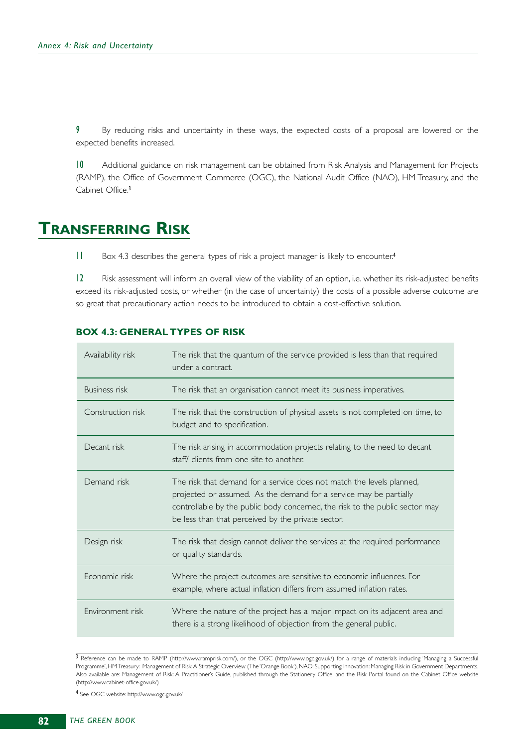9 By reducing risks and uncertainty in these ways, the expected costs of a proposal are lowered or the expected benefits increased.

10 Additional guidance on risk management can be obtained from Risk Analysis and Management for Projects (RAMP), the Office of Government Commerce (OGC), the National Audit Office (NAO), HM Treasury, and the Cabinet Office.<sup>3</sup>

## **TRANSFERRING RISK**

11 Box 4.3 describes the general types of risk a project manager is likely to encounter.<sup>4</sup>

12 Risk assessment will inform an overall view of the viability of an option, i.e. whether its risk-adjusted benefits exceed its risk-adjusted costs, or whether (in the case of uncertainty) the costs of a possible adverse outcome are so great that precautionary action needs to be introduced to obtain a cost-effective solution.

### **BOX 4.3: GENERAL TYPES OF RISK**

| Availability risk    | The risk that the quantum of the service provided is less than that required<br>under a contract.                                                                                                                                                                                 |
|----------------------|-----------------------------------------------------------------------------------------------------------------------------------------------------------------------------------------------------------------------------------------------------------------------------------|
| <b>Business risk</b> | The risk that an organisation cannot meet its business imperatives.                                                                                                                                                                                                               |
| Construction risk    | The risk that the construction of physical assets is not completed on time, to<br>budget and to specification.                                                                                                                                                                    |
| Decant risk          | The risk arising in accommodation projects relating to the need to decant<br>staff/ clients from one site to another.                                                                                                                                                             |
| Demand risk          | The risk that demand for a service does not match the levels planned,<br>projected or assumed. As the demand for a service may be partially<br>controllable by the public body concerned, the risk to the public sector may<br>be less than that perceived by the private sector. |
| Design risk          | The risk that design cannot deliver the services at the required performance<br>or quality standards.                                                                                                                                                                             |
| Economic risk        | Where the project outcomes are sensitive to economic influences. For<br>example, where actual inflation differs from assumed inflation rates.                                                                                                                                     |
| Environment risk     | Where the nature of the project has a major impact on its adjacent area and<br>there is a strong likelihood of objection from the general public.                                                                                                                                 |

<sup>3</sup> Reference can be made to RAMP (http://www.ramprisk.com/), or the OGC (http://www.ogc.gov.uk/) for a range of materials including 'Managing a Successful Programme', HM Treasury: Management of Risk:A Strategic Overview (The 'Orange Book'), NAO: Supporting Innovation: Managing Risk in Government Departments. Also available are: Management of Risk: A Practitioner's Guide, published through the Stationery Office, and the Risk Portal found on the Cabinet Office website (http://www.cabinet-office.gov.uk/)

4 See OGC website: http://www.ogc.gov.uk/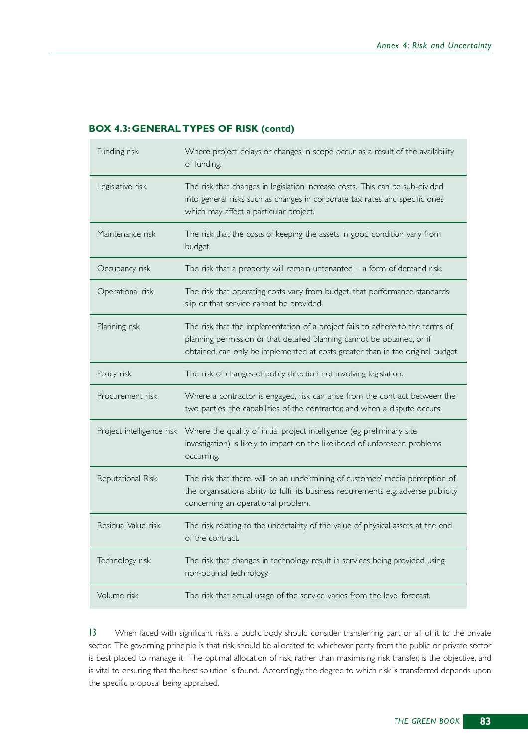### **BOX 4.3: GENERAL TYPES OF RISK (contd)**

| Funding risk              | Where project delays or changes in scope occur as a result of the availability<br>of funding.                                                                                                                                               |
|---------------------------|---------------------------------------------------------------------------------------------------------------------------------------------------------------------------------------------------------------------------------------------|
| Legislative risk          | The risk that changes in legislation increase costs. This can be sub-divided<br>into general risks such as changes in corporate tax rates and specific ones<br>which may affect a particular project.                                       |
| Maintenance risk          | The risk that the costs of keeping the assets in good condition vary from<br>budget.                                                                                                                                                        |
| Occupancy risk            | The risk that a property will remain untenanted $-$ a form of demand risk.                                                                                                                                                                  |
| Operational risk          | The risk that operating costs vary from budget, that performance standards<br>slip or that service cannot be provided.                                                                                                                      |
| Planning risk             | The risk that the implementation of a project fails to adhere to the terms of<br>planning permission or that detailed planning cannot be obtained, or if<br>obtained, can only be implemented at costs greater than in the original budget. |
| Policy risk               | The risk of changes of policy direction not involving legislation.                                                                                                                                                                          |
| Procurement risk          | Where a contractor is engaged, risk can arise from the contract between the<br>two parties, the capabilities of the contractor, and when a dispute occurs.                                                                                  |
| Project intelligence risk | Where the quality of initial project intelligence (eg preliminary site<br>investigation) is likely to impact on the likelihood of unforeseen problems<br>occurring.                                                                         |
| Reputational Risk         | The risk that there, will be an undermining of customer/ media perception of<br>the organisations ability to fulfil its business requirements e.g. adverse publicity<br>concerning an operational problem.                                  |
| Residual Value risk       | The risk relating to the uncertainty of the value of physical assets at the end<br>of the contract.                                                                                                                                         |
| Technology risk           | The risk that changes in technology result in services being provided using<br>non-optimal technology.                                                                                                                                      |
| Volume risk               | The risk that actual usage of the service varies from the level forecast.                                                                                                                                                                   |

13 When faced with significant risks, a public body should consider transferring part or all of it to the private sector. The governing principle is that risk should be allocated to whichever party from the public or private sector is best placed to manage it. The optimal allocation of risk, rather than maximising risk transfer, is the objective, and is vital to ensuring that the best solution is found. Accordingly, the degree to which risk is transferred depends upon the specific proposal being appraised.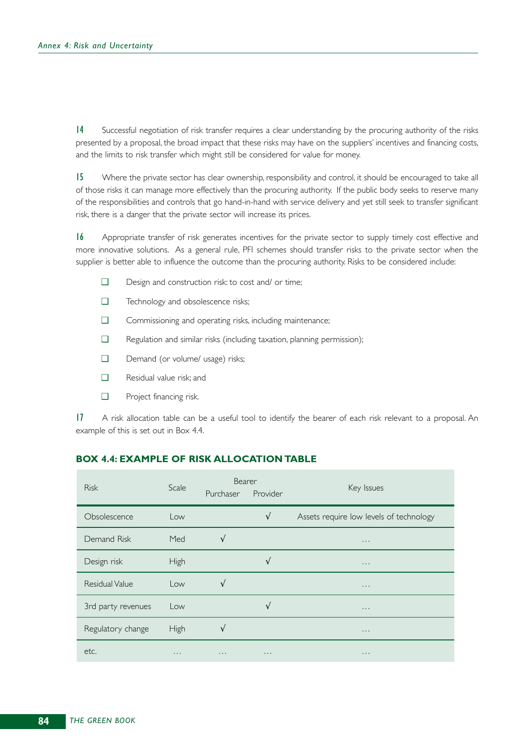14 Successful negotiation of risk transfer requires a clear understanding by the procuring authority of the risks presented by a proposal, the broad impact that these risks may have on the suppliers' incentives and financing costs, and the limits to risk transfer which might still be considered for value for money.

15 Where the private sector has clear ownership, responsibility and control, it should be encouraged to take all of those risks it can manage more effectively than the procuring authority. If the public body seeks to reserve many of the responsibilities and controls that go hand-in-hand with service delivery and yet still seek to transfer significant risk, there is a danger that the private sector will increase its prices.

16 Appropriate transfer of risk generates incentives for the private sector to supply timely cost effective and more innovative solutions. As a general rule, PFI schemes should transfer risks to the private sector when the supplier is better able to influence the outcome than the procuring authority. Risks to be considered include:

- ❑ Design and construction risk: to cost and/ or time;
- ❑ Technology and obsolescence risks;
- ❑ Commissioning and operating risks, including maintenance;
- ❑ Regulation and similar risks (including taxation, planning permission);
- ❑ Demand (or volume/ usage) risks;
- ❑ Residual value risk; and
- ❑ Project financing risk.

17 A risk allocation table can be a useful tool to identify the bearer of each risk relevant to a proposal. An example of this is set out in Box 4.4.

### **BOX 4.4: EXAMPLE OF RISK ALLOCATION TABLE**

| <b>Risk</b>           | Scale    | Bearer<br>Purchaser | Provider   | Key Issues                              |
|-----------------------|----------|---------------------|------------|-----------------------------------------|
| Obsolescence          | Low      |                     | $\sqrt{ }$ | Assets require low levels of technology |
| Demand Risk           | Med      | $\sqrt{ }$          |            | $\sim$ $\sim$ $\sim$                    |
| Design risk           | High     |                     | V          | $\sim$ $\sim$ $\sim$                    |
| <b>Residual Value</b> | Low      | N                   |            | $\sim$ $\sim$ $\sim$                    |
| 3rd party revenues    | Low      |                     | V          | $\cdots$                                |
| Regulatory change     | High     |                     |            | $\cdots$                                |
| etc.                  | $\cdots$ | $\cdots$            | $\cdots$   | $\cdots$                                |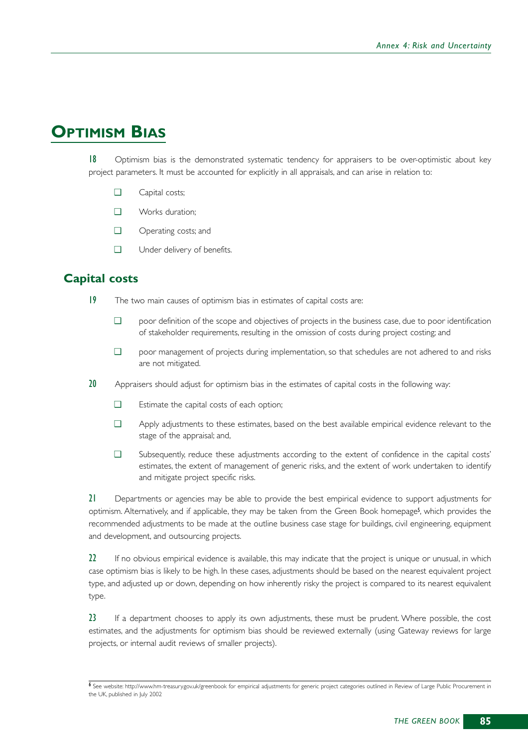# **OPTIMISM BIAS**

18 Optimism bias is the demonstrated systematic tendency for appraisers to be over-optimistic about key project parameters. It must be accounted for explicitly in all appraisals, and can arise in relation to:

- ❑ Capital costs;
- ❑ Works duration;
- ❑ Operating costs; and
- ❑ Under delivery of benefits.

## **Capital costs**

- 19 The two main causes of optimism bias in estimates of capital costs are:
	- ❑ poor definition of the scope and objectives of projects in the business case, due to poor identification of stakeholder requirements, resulting in the omission of costs during project costing; and
	- ❑ poor management of projects during implementation, so that schedules are not adhered to and risks are not mitigated.
- 20 Appraisers should adjust for optimism bias in the estimates of capital costs in the following way:
	- ❑ Estimate the capital costs of each option;
	- ❑ Apply adjustments to these estimates, based on the best available empirical evidence relevant to the stage of the appraisal; and,
	- ❑ Subsequently, reduce these adjustments according to the extent of confidence in the capital costs' estimates, the extent of management of generic risks, and the extent of work undertaken to identify and mitigate project specific risks.

21 Departments or agencies may be able to provide the best empirical evidence to support adjustments for optimism. Alternatively, and if applicable, they may be taken from the Green Book homepage<sup>5</sup>, which provides the recommended adjustments to be made at the outline business case stage for buildings, civil engineering, equipment and development, and outsourcing projects.

22 If no obvious empirical evidence is available, this may indicate that the project is unique or unusual, in which case optimism bias is likely to be high. In these cases, adjustments should be based on the nearest equivalent project type, and adjusted up or down, depending on how inherently risky the project is compared to its nearest equivalent type.

23 If a department chooses to apply its own adjustments, these must be prudent. Where possible, the cost estimates, and the adjustments for optimism bias should be reviewed externally (using Gateway reviews for large projects, or internal audit reviews of smaller projects).

<sup>6</sup> See website: http://www.hm-treasury.gov.uk/greenbook for empirical adjustments for generic project categories outlined in Review of Large Public Procurement in the UK, published in July 2002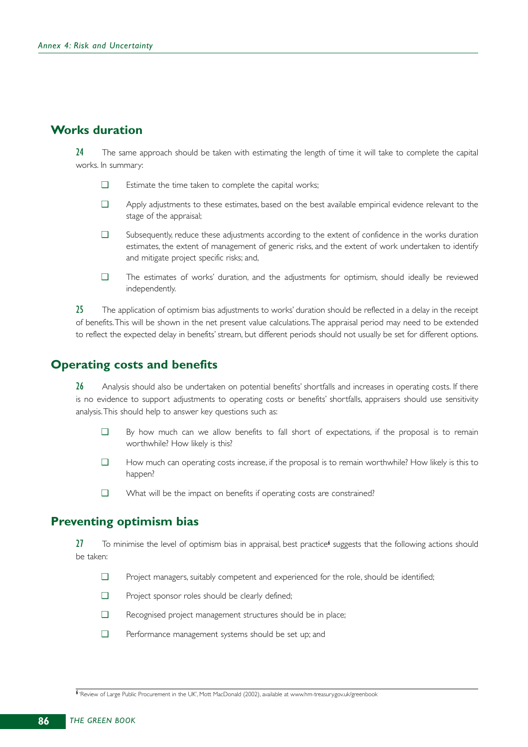## **Works duration**

24 The same approach should be taken with estimating the length of time it will take to complete the capital works. In summary:

- ❑ Estimate the time taken to complete the capital works;
- ❑ Apply adjustments to these estimates, based on the best available empirical evidence relevant to the stage of the appraisal;
- ❑ Subsequently, reduce these adjustments according to the extent of confidence in the works duration estimates, the extent of management of generic risks, and the extent of work undertaken to identify and mitigate project specific risks; and,
- ❑ The estimates of works' duration, and the adjustments for optimism, should ideally be reviewed independently.

25 The application of optimism bias adjustments to works' duration should be reflected in a delay in the receipt of benefits.This will be shown in the net present value calculations.The appraisal period may need to be extended to reflect the expected delay in benefits' stream, but different periods should not usually be set for different options.

## **Operating costs and benefits**

26 Analysis should also be undertaken on potential benefits' shortfalls and increases in operating costs. If there is no evidence to support adjustments to operating costs or benefits' shortfalls, appraisers should use sensitivity analysis.This should help to answer key questions such as:

- ❑ By how much can we allow benefits to fall short of expectations, if the proposal is to remain worthwhile? How likely is this?
- ❑ How much can operating costs increase, if the proposal is to remain worthwhile? How likely is this to happen?
- ❑ What will be the impact on benefits if operating costs are constrained?

## **Preventing optimism bias**

 $27$  To minimise the level of optimism bias in appraisal, best practice<sup>6</sup> suggests that the following actions should be taken:

- ❑ Project managers, suitably competent and experienced for the role, should be identified;
- ❑ Project sponsor roles should be clearly defined;
- ❑ Recognised project management structures should be in place;
- ❑ Performance management systems should be set up; and

6 'Review of Large Public Procurement in the UK', Mott MacDonald (2002), available at www.hm-treasury.gov.uk/greenbook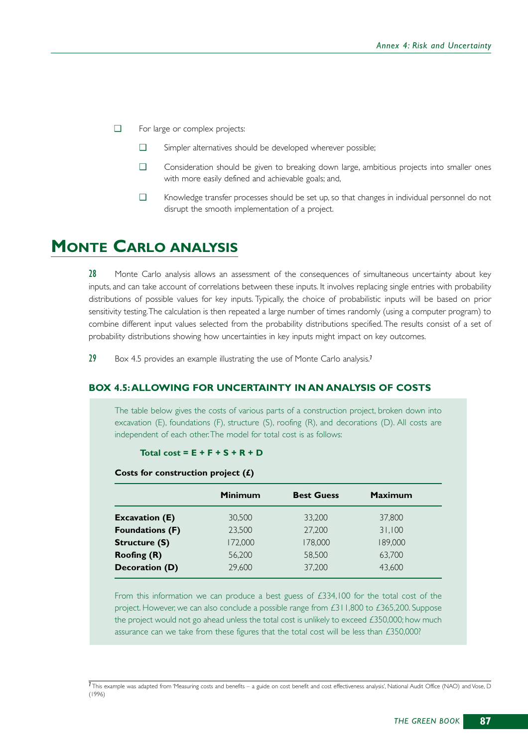- ❑ For large or complex projects:
	- ❑ Simpler alternatives should be developed wherever possible;
	- ❑ Consideration should be given to breaking down large, ambitious projects into smaller ones with more easily defined and achievable goals; and,
	- ❑ Knowledge transfer processes should be set up, so that changes in individual personnel do not disrupt the smooth implementation of a project.

# **MONTE CARLO ANALYSIS**

28 Monte Carlo analysis allows an assessment of the consequences of simultaneous uncertainty about key inputs, and can take account of correlations between these inputs. It involves replacing single entries with probability distributions of possible values for key inputs. Typically, the choice of probabilistic inputs will be based on prior sensitivity testing.The calculation is then repeated a large number of times randomly (using a computer program) to combine different input values selected from the probability distributions specified. The results consist of a set of probability distributions showing how uncertainties in key inputs might impact on key outcomes.

29 Box 4.5 provides an example illustrating the use of Monte Carlo analysis.<sup>7</sup>

### **BOX 4.5:ALLOWING FOR UNCERTAINTY IN AN ANALYSIS OF COSTS**

The table below gives the costs of various parts of a construction project, broken down into excavation (E), foundations (F), structure (S), roofing (R), and decorations (D). All costs are independent of each other.The model for total cost is as follows:

#### **Total cost = E + F + S + R + D**

#### **Costs for construction project (£)**

|                        | <b>Minimum</b> | <b>Best Guess</b> | <b>Maximum</b> |
|------------------------|----------------|-------------------|----------------|
| <b>Excavation (E)</b>  | 30,500         | 33,200            | 37,800         |
| <b>Foundations (F)</b> | 23,500         | 27,200            | 31,100         |
| <b>Structure (S)</b>   | 172,000        | 178,000           | 189,000        |
| Roofing (R)            | 56,200         | 58,500            | 63,700         |
| Decoration (D)         | 29,600         | 37,200            | 43.600         |

From this information we can produce a best guess of £334,100 for the total cost of the project. However, we can also conclude a possible range from £311,800 to £365,200. Suppose the project would not go ahead unless the total cost is unlikely to exceed  $£350,000$ ; how much assurance can we take from these figures that the total cost will be less than £350,000?

 $7$ This example was adapted from 'Measuring costs and benefits – a guide on cost benefit and cost effectiveness analysis', National Audit Office (NAO) and Vose, D (1996)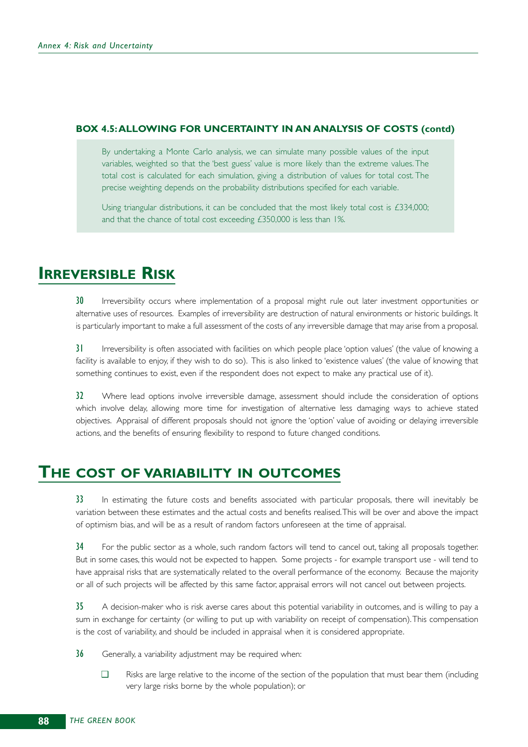### **BOX 4.5:ALLOWING FOR UNCERTAINTY IN AN ANALYSIS OF COSTS (contd)**

By undertaking a Monte Carlo analysis, we can simulate many possible values of the input variables, weighted so that the 'best guess' value is more likely than the extreme values. The total cost is calculated for each simulation, giving a distribution of values for total cost. The precise weighting depends on the probability distributions specified for each variable.

Using triangular distributions, it can be concluded that the most likely total cost is £334,000; and that the chance of total cost exceeding £350,000 is less than 1%.

## **IRREVERSIBLE RISK**

30 Irreversibility occurs where implementation of a proposal might rule out later investment opportunities or alternative uses of resources. Examples of irreversibility are destruction of natural environments or historic buildings. It is particularly important to make a full assessment of the costs of any irreversible damage that may arise from a proposal.

31 Irreversibility is often associated with facilities on which people place 'option values' (the value of knowing a facility is available to enjoy, if they wish to do so). This is also linked to 'existence values' (the value of knowing that something continues to exist, even if the respondent does not expect to make any practical use of it).

32 Where lead options involve irreversible damage, assessment should include the consideration of options which involve delay, allowing more time for investigation of alternative less damaging ways to achieve stated objectives. Appraisal of different proposals should not ignore the 'option' value of avoiding or delaying irreversible actions, and the benefits of ensuring flexibility to respond to future changed conditions.

## **THE COST OF VARIABILITY IN OUTCOMES**

33 In estimating the future costs and benefits associated with particular proposals, there will inevitably be variation between these estimates and the actual costs and benefits realised.This will be over and above the impact of optimism bias, and will be as a result of random factors unforeseen at the time of appraisal.

34 For the public sector as a whole, such random factors will tend to cancel out, taking all proposals together. But in some cases, this would not be expected to happen. Some projects - for example transport use - will tend to have appraisal risks that are systematically related to the overall performance of the economy. Because the majority or all of such projects will be affected by this same factor, appraisal errors will not cancel out between projects.

35 A decision-maker who is risk averse cares about this potential variability in outcomes, and is willing to pay a sum in exchange for certainty (or willing to put up with variability on receipt of compensation).This compensation is the cost of variability, and should be included in appraisal when it is considered appropriate.

36 Generally, a variability adjustment may be required when:

❑ Risks are large relative to the income of the section of the population that must bear them (including very large risks borne by the whole population); or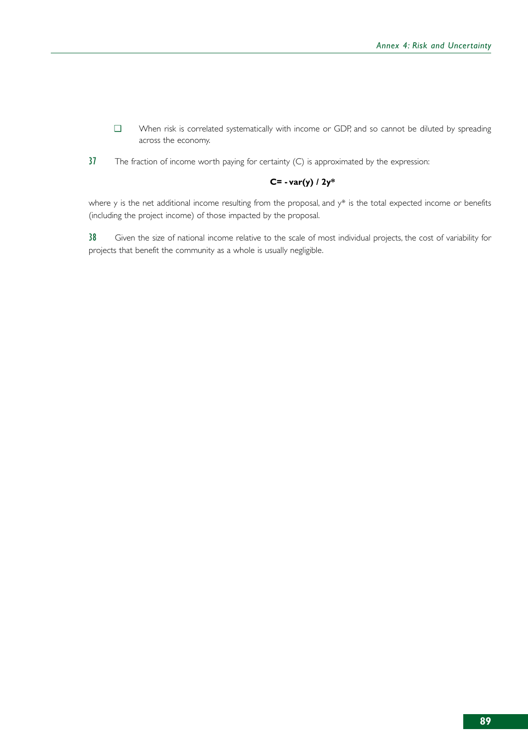- ❑ When risk is correlated systematically with income or GDP, and so cannot be diluted by spreading across the economy.
- $37$  The fraction of income worth paying for certainty (C) is approximated by the expression:

### **C= - var(y) / 2y\***

where y is the net additional income resulting from the proposal, and y\* is the total expected income or benefits (including the project income) of those impacted by the proposal.

38 Given the size of national income relative to the scale of most individual projects, the cost of variability for projects that benefit the community as a whole is usually negligible.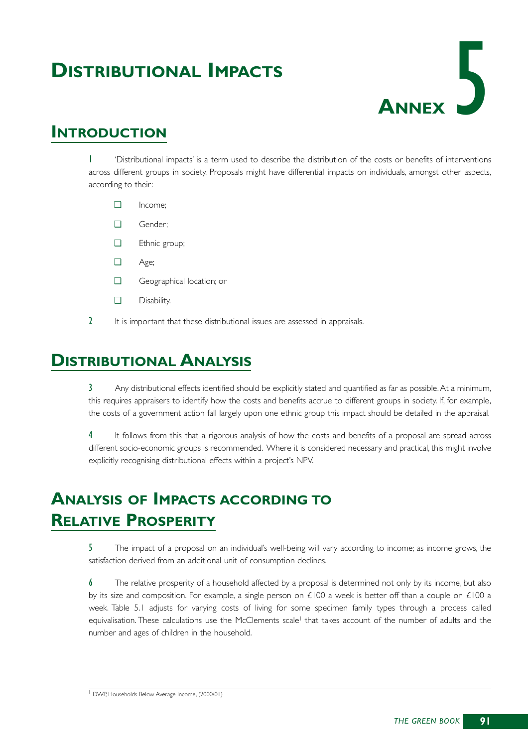# **DISTRIBUTIONAL IMPACTS**



## **INTRODUCTION**

1 'Distributional impacts' is a term used to describe the distribution of the costs or benefits of interventions across different groups in society. Proposals might have differential impacts on individuals, amongst other aspects, according to their:

- ❑ Income;
- ❑ Gender;
- ❑ Ethnic group;
- ❑ Age;
- ❑ Geographical location; or
- ❑ Disability.
- 2 It is important that these distributional issues are assessed in appraisals.

# **DISTRIBUTIONAL ANALYSIS**

3 Any distributional effects identified should be explicitly stated and quantified as far as possible.At a minimum, this requires appraisers to identify how the costs and benefits accrue to different groups in society. If, for example, the costs of a government action fall largely upon one ethnic group this impact should be detailed in the appraisal.

4 It follows from this that a rigorous analysis of how the costs and benefits of a proposal are spread across different socio-economic groups is recommended. Where it is considered necessary and practical, this might involve explicitly recognising distributional effects within a project's NPV.

# **ANALYSIS OF IMPACTS ACCORDING TO RELATIVE PROSPERITY**

5 The impact of a proposal on an individual's well-being will vary according to income; as income grows, the satisfaction derived from an additional unit of consumption declines.

6 The relative prosperity of a household affected by a proposal is determined not only by its income, but also by its size and composition. For example, a single person on £100 a week is better off than a couple on £100 a week. Table 5.1 adjusts for varying costs of living for some specimen family types through a process called equivalisation. These calculations use the McClements scale<sup>1</sup> that takes account of the number of adults and the number and ages of children in the household.

<sup>1</sup> DWP, Households Below Average Income, (2000/01)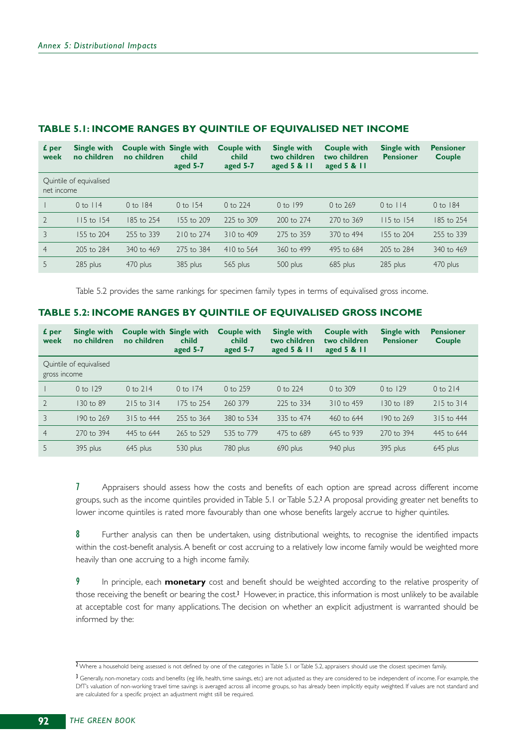| £ per<br>week  | <b>Single with</b><br>no children | <b>Couple with Single with</b><br>no children | child<br>aged 5-7 | <b>Couple with</b><br>child<br>aged 5-7 | <b>Single with</b><br>two children<br>aged $5 & 11$ | <b>Couple with</b><br>two children<br>aged $5 & 11$ | <b>Single with</b><br><b>Pensioner</b> | <b>Pensioner</b><br><b>Couple</b> |
|----------------|-----------------------------------|-----------------------------------------------|-------------------|-----------------------------------------|-----------------------------------------------------|-----------------------------------------------------|----------------------------------------|-----------------------------------|
| net income     | Quintile of equivalised           |                                               |                   |                                         |                                                     |                                                     |                                        |                                   |
|                | $0$ to $114$                      | 0 to 184                                      | $0$ to $154$      | 0 to 224                                | $0$ to 199                                          | $0$ to 269                                          | $0$ to $114$                           | 0 to 184                          |
| $\overline{2}$ | $115$ to $154$                    | 185 to 254                                    | 155 to 209        | 225 to 309                              | 200 to 274                                          | 270 to 369                                          | 115 to 154                             | 185 to 254                        |
| 3              | 155 to 204                        | 255 to 339                                    | 210 to 274        | 310 to 409                              | 275 to 359                                          | 370 to 494                                          | 155 to 204                             | 255 to 339                        |
| $\overline{4}$ | 205 to 284                        | 340 to 469                                    | 275 to 384        | 410 to 564                              | 360 to 499                                          | 495 to 684                                          | 205 to 284                             | 340 to 469                        |
| 5              | 285 plus                          | 470 plus                                      | 385 plus          | 565 plus                                | 500 plus                                            | 685 plus                                            | 285 plus                               | 470 plus                          |

### **TABLE 5.1: INCOME RANGES BY QUINTILE OF EQUIVALISED NET INCOME**

Table 5.2 provides the same rankings for specimen family types in terms of equivalised gross income.

### **TABLE 5.2: INCOME RANGES BY QUINTILE OF EQUIVALISED GROSS INCOME**

| £ per<br>week  | <b>Single with</b><br>no children | <b>Couple with Single with</b><br>no children | child<br>aged 5-7 | <b>Couple with</b><br>child<br>aged 5-7 | <b>Single with</b><br>two children<br>aged $5 & 11$ | <b>Couple with</b><br>two children<br>aged $5 & 11$ | <b>Single with</b><br><b>Pensioner</b> | <b>Pensioner</b><br><b>Couple</b> |
|----------------|-----------------------------------|-----------------------------------------------|-------------------|-----------------------------------------|-----------------------------------------------------|-----------------------------------------------------|----------------------------------------|-----------------------------------|
| gross income   | Quintile of equivalised           |                                               |                   |                                         |                                                     |                                                     |                                        |                                   |
|                | $0$ to 129                        | $0$ to $214$                                  | $0$ to $174$      | $0$ to 259                              | 0 to 224                                            | 0 to $309$                                          | $0$ to $129$                           | $0$ to $214$                      |
| $\overline{2}$ | 130 to 89                         | $215$ to $314$                                | 175 to 254        | 260 379                                 | 225 to 334                                          | 310 to 459                                          | 130 to 189                             | 215 to 314                        |
| 3              | 190 to 269                        | 315 to 444                                    | 255 to 364        | 380 to 534                              | 335 to 474                                          | 460 to 644                                          | 190 to 269                             | 315 to 444                        |
| $\overline{4}$ | 270 to 394                        | 445 to 644                                    | 265 to 529        | 535 to 779                              | 475 to 689                                          | 645 to 939                                          | 270 to 394                             | 445 to 644                        |
| 5              | 395 plus                          | 645 plus                                      | 530 plus          | 780 plus                                | 690 plus                                            | 940 plus                                            | 395 plus                               | 645 plus                          |

7 Appraisers should assess how the costs and benefits of each option are spread across different income groups, such as the income quintiles provided in Table 5.1 or Table 5.2.<sup>2</sup> A proposal providing greater net benefits to lower income quintiles is rated more favourably than one whose benefits largely accrue to higher quintiles.

8 Further analysis can then be undertaken, using distributional weights, to recognise the identified impacts within the cost-benefit analysis.A benefit or cost accruing to a relatively low income family would be weighted more heavily than one accruing to a high income family.

9 In principle, each **monetary** cost and benefit should be weighted according to the relative prosperity of those receiving the benefit or bearing the cost.<sup>3</sup> However, in practice, this information is most unlikely to be available at acceptable cost for many applications. The decision on whether an explicit adjustment is warranted should be informed by the:

<sup>&</sup>lt;sup>2</sup> Where a household being assessed is not defined by one of the categories in Table 5.1 or Table 5.2, appraisers should use the closest specimen family.

<sup>3</sup> Generally, non-monetary costs and benefits (eg life, health, time savings, etc) are not adjusted as they are considered to be independent of income. For example, the DfT's valuation of non-working travel time savings is averaged across all income groups, so has already been implicitly equity weighted. If values are not standard and are calculated for a specific project an adjustment might still be required.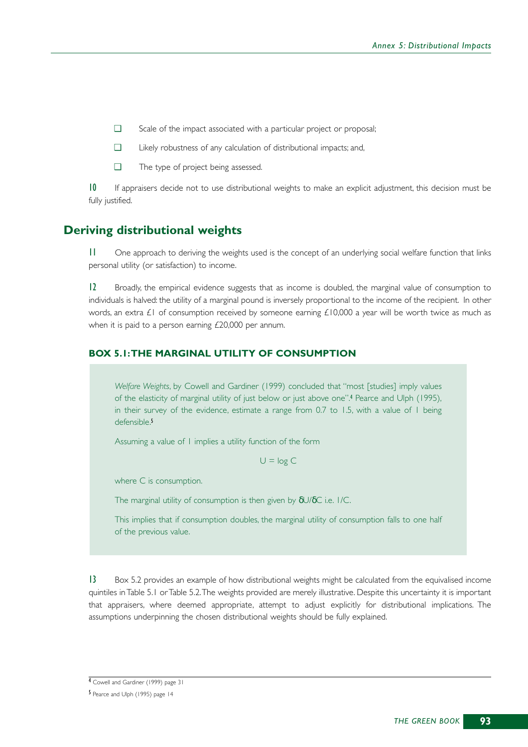- ❑ Scale of the impact associated with a particular project or proposal;
- ❑ Likely robustness of any calculation of distributional impacts; and,
- ❑ The type of project being assessed.

10 If appraisers decide not to use distributional weights to make an explicit adjustment, this decision must be fully justified.

### **Deriving distributional weights**

11 One approach to deriving the weights used is the concept of an underlying social welfare function that links personal utility (or satisfaction) to income.

12 Broadly, the empirical evidence suggests that as income is doubled, the marginal value of consumption to individuals is halved: the utility of a marginal pound is inversely proportional to the income of the recipient. In other words, an extra £1 of consumption received by someone earning £10,000 a year will be worth twice as much as when it is paid to a person earning £20,000 per annum.

#### **BOX 5.1:THE MARGINAL UTILITY OF CONSUMPTION**

*Welfare Weights*, by Cowell and Gardiner (1999) concluded that "most [studies] imply values of the elasticity of marginal utility of just below or just above one". <sup>4</sup> Pearce and Ulph (1995), in their survey of the evidence, estimate a range from 0.7 to 1.5, with a value of 1 being defensible.<sup>5</sup>

Assuming a value of 1 implies a utility function of the form

 $U = log C$ 

where C is consumption.

The marginal utility of consumption is then given by δU/δC i.e. 1/C.

This implies that if consumption doubles, the marginal utility of consumption falls to one half of the previous value.

13 Box 5.2 provides an example of how distributional weights might be calculated from the equivalised income quintiles in Table 5.1 or Table 5.2.The weights provided are merely illustrative. Despite this uncertainty it is important that appraisers, where deemed appropriate, attempt to adjust explicitly for distributional implications. The assumptions underpinning the chosen distributional weights should be fully explained.

<sup>4</sup> Cowell and Gardiner (1999) page 31

<sup>5</sup> Pearce and Ulph (1995) page 14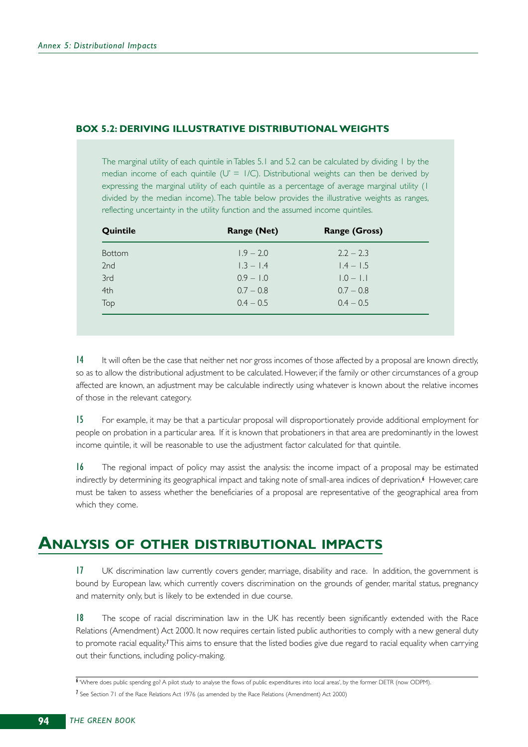### **BOX 5.2: DERIVING ILLUSTRATIVE DISTRIBUTIONAL WEIGHTS**

The marginal utility of each quintile in Tables 5.1 and 5.2 can be calculated by dividing 1 by the median income of each quintile ( $U' = I/C$ ). Distributional weights can then be derived by expressing the marginal utility of each quintile as a percentage of average marginal utility (1 divided by the median income). The table below provides the illustrative weights as ranges, reflecting uncertainty in the utility function and the assumed income quintiles.

| Quintile        | <b>Range (Net)</b> | <b>Range (Gross)</b> |  |
|-----------------|--------------------|----------------------|--|
| <b>Bottom</b>   | $1.9 - 2.0$        | $2.2 - 2.3$          |  |
| 2 <sub>nd</sub> | $1.3 - 1.4$        | $1.4 - 1.5$          |  |
| 3rd             | $0.9 - 1.0$        | $1.0 - 1.1$          |  |
| 4th             | $0.7 - 0.8$        | $0.7 - 0.8$          |  |
| Top             | $0.4 - 0.5$        | $0.4 - 0.5$          |  |
|                 |                    |                      |  |

14 It will often be the case that neither net nor gross incomes of those affected by a proposal are known directly, so as to allow the distributional adjustment to be calculated. However, if the family or other circumstances of a group affected are known, an adjustment may be calculable indirectly using whatever is known about the relative incomes of those in the relevant category.

15 For example, it may be that a particular proposal will disproportionately provide additional employment for people on probation in a particular area. If it is known that probationers in that area are predominantly in the lowest income quintile, it will be reasonable to use the adjustment factor calculated for that quintile.

16 The regional impact of policy may assist the analysis: the income impact of a proposal may be estimated indirectly by determining its geographical impact and taking note of small-area indices of deprivation.<sup>6</sup> However, care must be taken to assess whether the beneficiaries of a proposal are representative of the geographical area from which they come.

## **ANALYSIS OF OTHER DISTRIBUTIONAL IMPACTS**

17 UK discrimination law currently covers gender, marriage, disability and race. In addition, the government is bound by European law, which currently covers discrimination on the grounds of gender, marital status, pregnancy and maternity only, but is likely to be extended in due course.

18 The scope of racial discrimination law in the UK has recently been significantly extended with the Race Relations (Amendment) Act 2000. It now requires certain listed public authorities to comply with a new general duty to promote racial equality.<sup>7</sup>This aims to ensure that the listed bodies give due regard to racial equality when carrying out their functions, including policy-making.

<sup>6</sup> 'Where does public spending go? A pilot study to analyse the flows of public expenditures into local areas', by the former DETR (now ODPM). 7 See Section 71 of the Race Relations Act 1976 (as amended by the Race Relations (Amendment) Act 2000)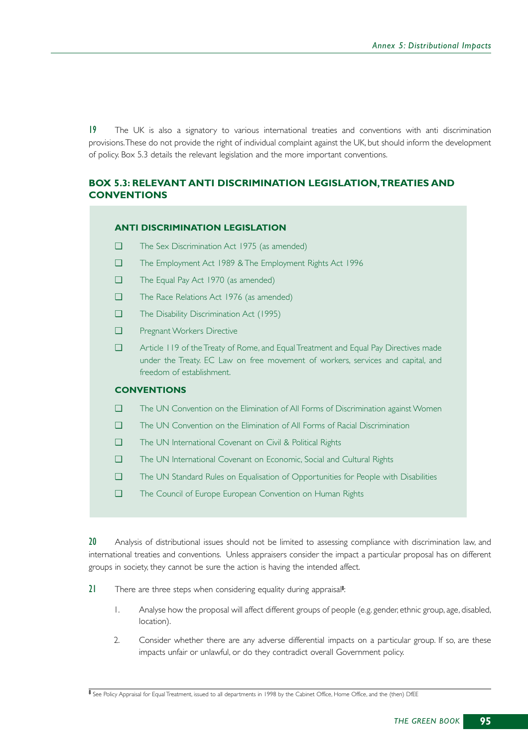19 The UK is also a signatory to various international treaties and conventions with anti discrimination provisions.These do not provide the right of individual complaint against the UK, but should inform the development of policy. Box 5.3 details the relevant legislation and the more important conventions.

### **BOX 5.3: RELEVANT ANTI DISCRIMINATION LEGISLATION,TREATIES AND CONVENTIONS**

#### **ANTI DISCRIMINATION LEGISLATION**

- ❑ The Sex Discrimination Act 1975 (as amended)
- ❑ The Employment Act 1989 & The Employment Rights Act 1996
- ❑ The Equal Pay Act 1970 (as amended)
- ❑ The Race Relations Act 1976 (as amended)
- ❑ The Disability Discrimination Act (1995)
- ❑ Pregnant Workers Directive
- ❑ Article 119 of the Treaty of Rome, and Equal Treatment and Equal Pay Directives made under the Treaty. EC Law on free movement of workers, services and capital, and freedom of establishment.

### **CONVENTIONS**

- ❑ The UN Convention on the Elimination of All Forms of Discrimination against Women
- ❑ The UN Convention on the Elimination of All Forms of Racial Discrimination
- ❑ The UN International Covenant on Civil & Political Rights
- ❑ The UN International Covenant on Economic, Social and Cultural Rights
- ❑ The UN Standard Rules on Equalisation of Opportunities for People with Disabilities
- ❑ The Council of Europe European Convention on Human Rights

20 Analysis of distributional issues should not be limited to assessing compliance with discrimination law, and international treaties and conventions. Unless appraisers consider the impact a particular proposal has on different groups in society, they cannot be sure the action is having the intended affect.

- 21 There are three steps when considering equality during appraisal<sup>8</sup>:
	- 1. Analyse how the proposal will affect different groups of people (e.g. gender, ethnic group, age, disabled, location).
	- 2. Consider whether there are any adverse differential impacts on a particular group. If so, are these impacts unfair or unlawful, or do they contradict overall Government policy.

<sup>8</sup> See Policy Appraisal for Equal Treatment, issued to all departments in 1998 by the Cabinet Office, Home Office, and the (then) DfEE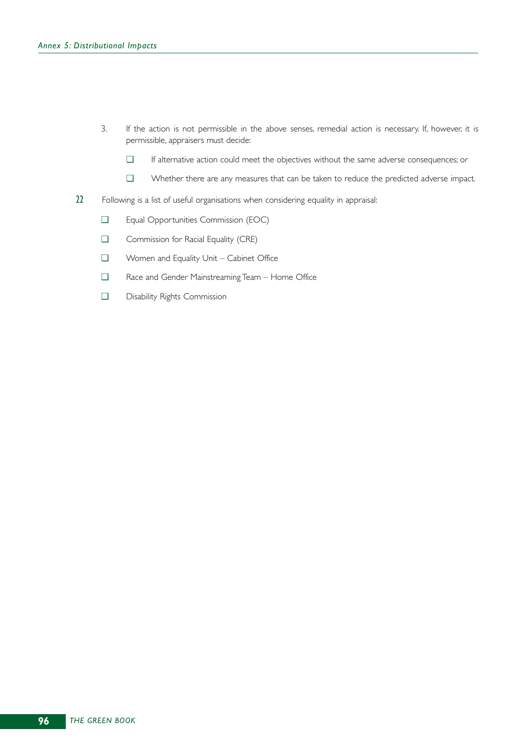- 3. If the action is not permissible in the above senses, remedial action is necessary. If, however, it is permissible, appraisers must decide:
	- ❑ If alternative action could meet the objectives without the same adverse consequences; or
	- ❑ Whether there are any measures that can be taken to reduce the predicted adverse impact.
- 22 Following is a list of useful organisations when considering equality in appraisal:
	- ❑ Equal Opportunities Commission (EOC)
	- ❑ Commission for Racial Equality (CRE)
	- ❑ Women and Equality Unit Cabinet Office
	- ❑ Race and Gender Mainstreaming Team Home Office
	- ❑ Disability Rights Commission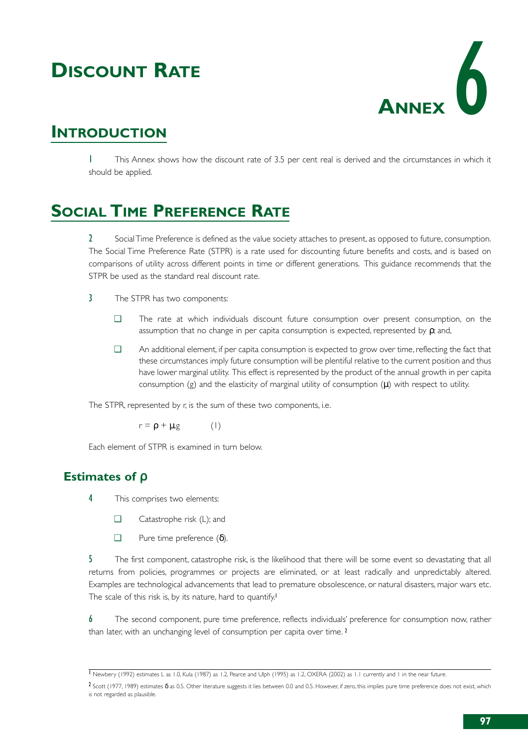# **DISCOUNT RATE**



# **INTRODUCTION**

1 This Annex shows how the discount rate of 3.5 per cent real is derived and the circumstances in which it should be applied.

# **SOCIAL TIME PREFERENCE RATE**

2 Social Time Preference is defined as the value society attaches to present, as opposed to future, consumption. The Social Time Preference Rate (STPR) is a rate used for discounting future benefits and costs, and is based on comparisons of utility across different points in time or different generations. This guidance recommends that the STPR be used as the standard real discount rate.

- 3 The STPR has two components:
	- ❑ The rate at which individuals discount future consumption over present consumption, on the assumption that no change in per capita consumption is expected, represented by  $\rho$ ; and,
	- ❑ An additional element, if per capita consumption is expected to grow over time, reflecting the fact that these circumstances imply future consumption will be plentiful relative to the current position and thus have lower marginal utility. This effect is represented by the product of the annual growth in per capita consumption  $(g)$  and the elasticity of marginal utility of consumption  $(\mu)$  with respect to utility.

The STPR, represented by r, is the sum of these two components, i.e.

 $r = \rho + \mu$ .g (1)

Each element of STPR is examined in turn below.

## **Estimates of** ρ

- 4 This comprises two elements:
	- ❑ Catastrophe risk (L); and
	- $\Box$  Pure time preference (δ).

5 The first component, catastrophe risk, is the likelihood that there will be some event so devastating that all returns from policies, programmes or projects are eliminated, or at least radically and unpredictably altered. Examples are technological advancements that lead to premature obsolescence, or natural disasters, major wars etc. The scale of this risk is, by its nature, hard to quantify.<sup>1</sup>

6 The second component, pure time preference, reflects individuals' preference for consumption now, rather than later, with an unchanging level of consumption per capita over time.<sup>2</sup>

<sup>1</sup> Newbery (1992) estimates L as 1.0, Kula (1987) as 1.2, Pearce and Ulph (1995) as 1.2, OXERA (2002) as 1.1 currently and 1 in the near future.

 $2$  Scott (1977, 1989) estimates δ as 0.5. Other literature suggests it lies between 0.0 and 0.5. However, if zero, this implies pure time preference does not exist, which is not regarded as plausible.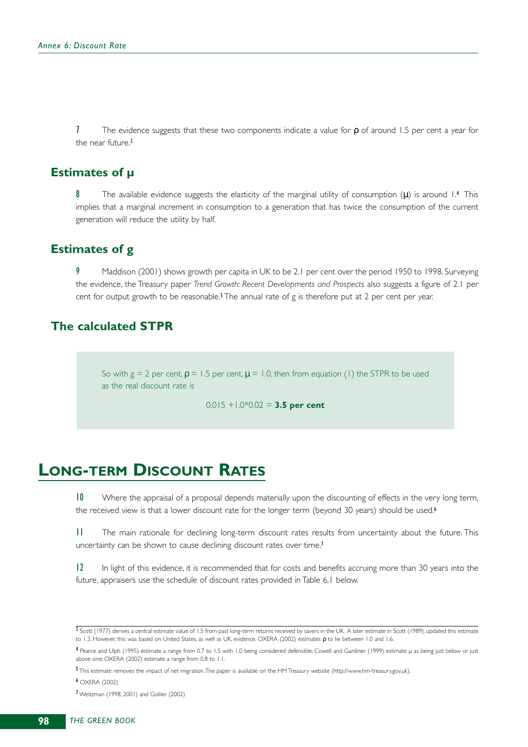7 The evidence suggests that these two components indicate a value for  $\rho$  of around 1.5 per cent a year for the near future.<sup>3</sup>

### **Estimates of µ**

The available evidence suggests the elasticity of the marginal utility of consumption  $(\mu)$  is around 1.4 This implies that a marginal increment in consumption to a generation that has twice the consumption of the current generation will reduce the utility by half.

## **Estimates of g**

Maddison (2001) shows growth per capita in UK to be 2.1 per cent over the period 1950 to 1998. Surveying the evidence, the Treasury paper *Trend Growth: Recent Developments and Prospects* also suggests a figure of 2.1 per cent for output growth to be reasonable.<sup>5</sup> The annual rate of g is therefore put at 2 per cent per year.

## **The calculated STPR**

So with g = 2 per cent,  $p = 1.5$  per cent,  $\mu = 1.0$ , then from equation (1) the STPR to be used as the real discount rate is

0.015 +1.0\*0.02 = **3.5 per cent**

## **LONG-TERM DISCOUNT RATES**

10 Where the appraisal of a proposal depends materially upon the discounting of effects in the very long term, the received view is that a lower discount rate for the longer term (beyond 30 years) should be used.<sup>6</sup>

11 The main rationale for declining long-term discount rates results from uncertainty about the future. This uncertainty can be shown to cause declining discount rates over time.<sup>7</sup>

12 In light of this evidence, it is recommended that for costs and benefits accruing more than 30 years into the future, appraisers use the schedule of discount rates provided in Table 6.1 below.

6 OXERA (2002)

7 Weitzman (1998, 2001) and Gollier (2002)

<sup>3</sup> Scott (1977) derives a central estimate value of 1.5 from past long-term returns received by savers in the UK. A later estimate in Scott (1989), updated this estimate to 1.3. However, this was based on United States, as well as UK, evidence. OXERA (2002) estimates  $ρ$  to lie between 1.0 and 1.6.

<sup>4</sup> Pearce and Ulph (1995) estimate a range from 0.7 to 1.5 with 1.0 being considered defensible; Cowell and Gardiner (1999) estimate µ as being just below or just above one; OXERA (2002) estimate a range from 0.8 to 1.1.

<sup>5</sup> This estimate removes the impact of net migration.The paper is available on the HM Treasury website (http://www.hm-treasury.gov.uk).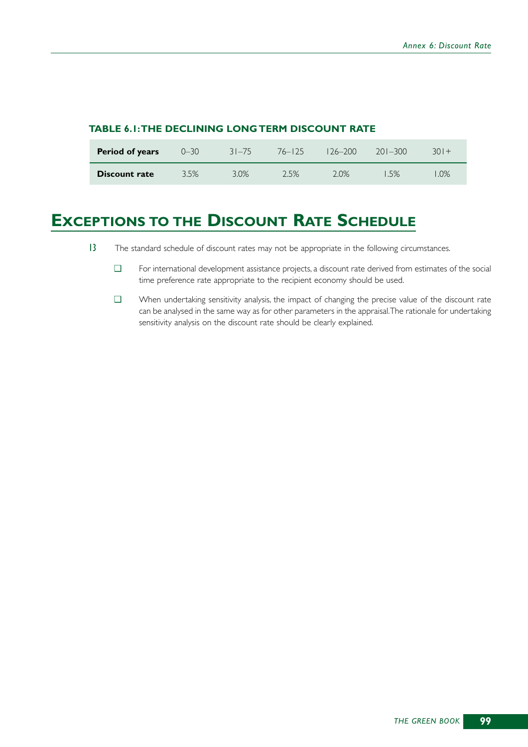| Period of years      | $0 - 30$ | $31 - 75$ | 76–125  | $126 - 200$ | $201 - 300$ | 301+ |
|----------------------|----------|-----------|---------|-------------|-------------|------|
| <b>Discount rate</b> | 3.5%     | $3.0\%$   | $2.5\%$ | $2.0\%$     | .5%         | .0%  |

### **TABLE 6.1:THE DECLINING LONG TERM DISCOUNT RATE**

# **EXCEPTIONS TO THE DISCOUNT RATE SCHEDULE**

- 13 The standard schedule of discount rates may not be appropriate in the following circumstances.
	- ❑ For international development assistance projects, a discount rate derived from estimates of the social time preference rate appropriate to the recipient economy should be used.
	- ❑ When undertaking sensitivity analysis, the impact of changing the precise value of the discount rate can be analysed in the same way as for other parameters in the appraisal.The rationale for undertaking sensitivity analysis on the discount rate should be clearly explained.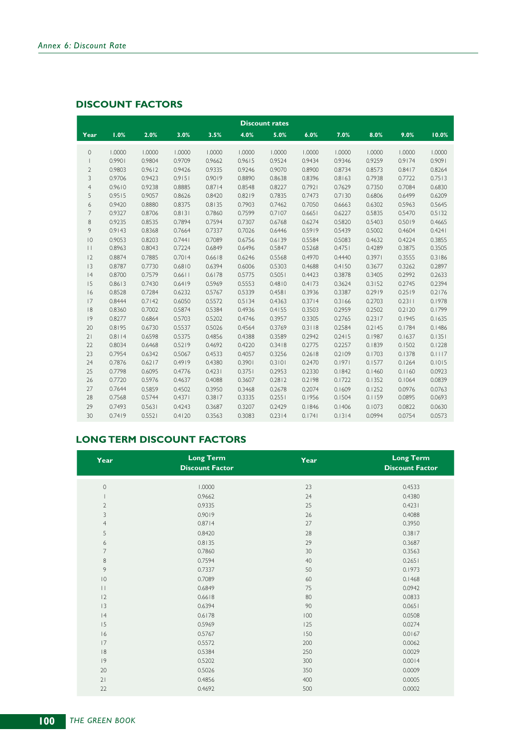### **DISCOUNT FACTORS**

|                |        |        |        |        |        | <b>Discount rates</b> |        |        |        |        |        |
|----------------|--------|--------|--------|--------|--------|-----------------------|--------|--------|--------|--------|--------|
| Year           | 1.0%   | 2.0%   | 3.0%   | 3.5%   | 4.0%   | 5.0%                  | 6.0%   | 7.0%   | 8.0%   | 9.0%   | 10.0%  |
| $\circ$        | 1.0000 | 1.0000 | 1.0000 | 1.0000 | 1.0000 | 1.0000                | 1.0000 | 1.0000 | 1.0000 | 1.0000 | 1.0000 |
| $\mathbf{I}$   | 0.9901 | 0.9804 | 0.9709 | 0.9662 | 0.9615 | 0.9524                | 0.9434 | 0.9346 | 0.9259 | 0.9174 | 0.9091 |
| $\overline{2}$ | 0.9803 | 0.9612 | 0.9426 | 0.9335 | 0.9246 | 0.9070                | 0.8900 | 0.8734 | 0.8573 | 0.8417 | 0.8264 |
| 3              | 0.9706 | 0.9423 | 0.9151 | 0.9019 | 0.8890 | 0.8638                | 0.8396 | 0.8163 | 0.7938 | 0.7722 | 0.7513 |
| $\overline{4}$ | 0.9610 | 0.9238 | 0.8885 | 0.8714 | 0.8548 | 0.8227                | 0.7921 | 0.7629 | 0.7350 | 0.7084 | 0.6830 |
| 5              | 0.9515 | 0.9057 | 0.8626 | 0.8420 | 0.8219 | 0.7835                | 0.7473 | 0.7130 | 0.6806 | 0.6499 | 0.6209 |
| 6              | 0.9420 | 0.8880 | 0.8375 | 0.8135 | 0.7903 | 0.7462                | 0.7050 | 0.6663 | 0.6302 | 0.5963 | 0.5645 |
| $\overline{7}$ | 0.9327 | 0.8706 | 0.8131 | 0.7860 | 0.7599 | 0.7107                | 0.6651 | 0.6227 | 0.5835 | 0.5470 | 0.5132 |
| 8              | 0.9235 | 0.8535 | 0.7894 | 0.7594 | 0.7307 | 0.6768                | 0.6274 | 0.5820 | 0.5403 | 0.5019 | 0.4665 |
| 9              | 0.9143 | 0.8368 | 0.7664 | 0.7337 | 0.7026 | 0.6446                | 0.5919 | 0.5439 | 0.5002 | 0.4604 | 0.4241 |
| $ 0\rangle$    | 0.9053 | 0.8203 | 0.7441 | 0.7089 | 0.6756 | 0.6139                | 0.5584 | 0.5083 | 0.4632 | 0.4224 | 0.3855 |
| $\perp$        | 0.8963 | 0.8043 | 0.7224 | 0.6849 | 0.6496 | 0.5847                | 0.5268 | 0.4751 | 0.4289 | 0.3875 | 0.3505 |
| 12             | 0.8874 | 0.7885 | 0.7014 | 0.6618 | 0.6246 | 0.5568                | 0.4970 | 0.4440 | 0.3971 | 0.3555 | 0.3186 |
| 3              | 0.8787 | 0.7730 | 0.6810 | 0.6394 | 0.6006 | 0.5303                | 0.4688 | 0.4150 | 0.3677 | 0.3262 | 0.2897 |
| 4              | 0.8700 | 0.7579 | 0.6611 | 0.6178 | 0.5775 | 0.5051                | 0.4423 | 0.3878 | 0.3405 | 0.2992 | 0.2633 |
| 15             | 0.8613 | 0.7430 | 0.6419 | 0.5969 | 0.5553 | 0.4810                | 0.4173 | 0.3624 | 0.3152 | 0.2745 | 0.2394 |
| 16             | 0.8528 | 0.7284 | 0.6232 | 0.5767 | 0.5339 | 0.4581                | 0.3936 | 0.3387 | 0.2919 | 0.2519 | 0.2176 |
| 17             | 0.8444 | 0.7142 | 0.6050 | 0.5572 | 0.5134 | 0.4363                | 0.3714 | 0.3166 | 0.2703 | 0.2311 | 0.1978 |
| 8              | 0.8360 | 0.7002 | 0.5874 | 0.5384 | 0.4936 | 0.4155                | 0.3503 | 0.2959 | 0.2502 | 0.2120 | 0.1799 |
| 9              | 0.8277 | 0.6864 | 0.5703 | 0.5202 | 0.4746 | 0.3957                | 0.3305 | 0.2765 | 0.2317 | 0.1945 | 0.1635 |
| 20             | 0.8195 | 0.6730 | 0.5537 | 0.5026 | 0.4564 | 0.3769                | 0.3118 | 0.2584 | 0.2145 | 0.1784 | 0.1486 |
| 21             | 0.8114 | 0.6598 | 0.5375 | 0.4856 | 0.4388 | 0.3589                | 0.2942 | 0.2415 | 0.1987 | 0.1637 | 0.1351 |
| 22             | 0.8034 | 0.6468 | 0.5219 | 0.4692 | 0.4220 | 0.3418                | 0.2775 | 0.2257 | 0.1839 | 0.1502 | 0.1228 |
| 23             | 0.7954 | 0.6342 | 0.5067 | 0.4533 | 0.4057 | 0.3256                | 0.2618 | 0.2109 | 0.1703 | 0.1378 | 0.1117 |
| 24             | 0.7876 | 0.6217 | 0.4919 | 0.4380 | 0.3901 | 0.3101                | 0.2470 | 0.1971 | 0.1577 | 0.1264 | 0.1015 |
| 25             | 0.7798 | 0.6095 | 0.4776 | 0.4231 | 0.3751 | 0.2953                | 0.2330 | 0.1842 | 0.1460 | 0.1160 | 0.0923 |
| 26             | 0.7720 | 0.5976 | 0.4637 | 0.4088 | 0.3607 | 0.2812                | 0.2198 | 0.1722 | 0.1352 | 0.1064 | 0.0839 |
| 27             | 0.7644 | 0.5859 | 0.4502 | 0.3950 | 0.3468 | 0.2678                | 0.2074 | 0.1609 | 0.1252 | 0.0976 | 0.0763 |
| 28             | 0.7568 | 0.5744 | 0.4371 | 0.3817 | 0.3335 | 0.2551                | 0.1956 | 0.1504 | 0.1159 | 0.0895 | 0.0693 |
| 29             | 0.7493 | 0.5631 | 0.4243 | 0.3687 | 0.3207 | 0.2429                | 0.1846 | 0.1406 | 0.1073 | 0.0822 | 0.0630 |
| 30             | 0.7419 | 0.5521 | 0.4120 | 0.3563 | 0.3083 | 0.2314                | 0.1741 | 0.1314 | 0.0994 | 0.0754 | 0.0573 |

### **LONG TERM DISCOUNT FACTORS**

| Year                                  | <b>Long Term</b><br><b>Discount Factor</b> | Year | <b>Long Term</b><br><b>Discount Factor</b> |
|---------------------------------------|--------------------------------------------|------|--------------------------------------------|
| $\mathbb O$                           | 1.0000                                     | 23   | 0.4533                                     |
| $\overline{1}$                        | 0.9662                                     | 24   | 0.4380                                     |
| $\mathbf{2}$                          | 0.9335                                     | 25   | 0.4231                                     |
| 3                                     | 0.9019                                     | 26   | 0.4088                                     |
| $\overline{4}$                        | 0.8714                                     | 27   | 0.3950                                     |
| 5                                     | 0.8420                                     | 28   | 0.3817                                     |
| 6                                     | 0.8135                                     | 29   | 0.3687                                     |
| $\overline{7}$                        | 0.7860                                     | 30   | 0.3563                                     |
| 8                                     | 0.7594                                     | 40   | 0.2651                                     |
| 9                                     | 0.7337                                     | 50   | 0.1973                                     |
| $ 0\rangle$                           | 0.7089                                     | 60   | 0.1468                                     |
| $\begin{array}{c} \hline \end{array}$ | 0.6849                                     | 75   | 0.0942                                     |
| 2                                     | 0.6618                                     | 80   | 0.0833                                     |
| 3                                     | 0.6394                                     | 90   | 0.0651                                     |
| 4                                     | 0.6178                                     | 100  | 0.0508                                     |
| 15                                    | 0.5969                                     | 125  | 0.0274                                     |
| 6                                     | 0.5767                                     | 150  | 0.0167                                     |
| 17                                    | 0.5572                                     | 200  | 0.0062                                     |
| 8                                     | 0.5384                                     | 250  | 0.0029                                     |
| 9                                     | 0.5202                                     | 300  | 0.0014                                     |
| 20                                    | 0.5026                                     | 350  | 0.0009                                     |
| 21                                    | 0.4856                                     | 400  | 0.0005                                     |
| 22                                    | 0.4692                                     | 500  | 0.0002                                     |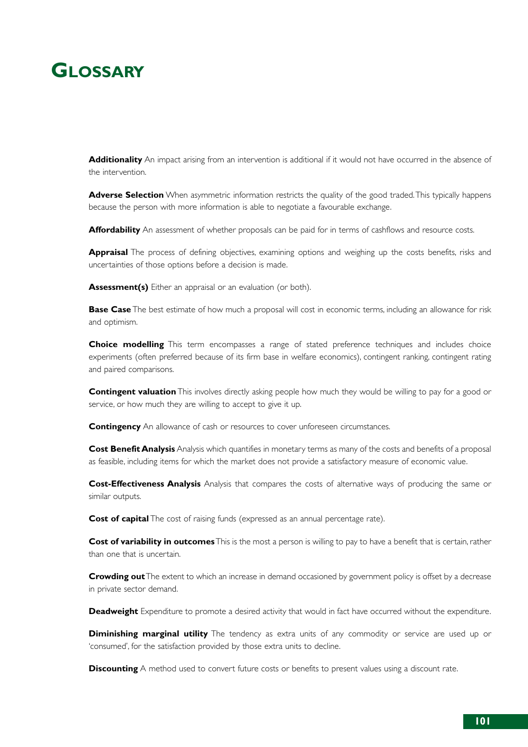# **GLOSSARY**

**Additionality** An impact arising from an intervention is additional if it would not have occurred in the absence of the intervention.

**Adverse Selection** When asymmetric information restricts the quality of the good traded.This typically happens because the person with more information is able to negotiate a favourable exchange.

**Affordability** An assessment of whether proposals can be paid for in terms of cashflows and resource costs.

**Appraisal** The process of defining objectives, examining options and weighing up the costs benefits, risks and uncertainties of those options before a decision is made.

**Assessment(s)** Either an appraisal or an evaluation (or both).

**Base Case** The best estimate of how much a proposal will cost in economic terms, including an allowance for risk and optimism.

**Choice modelling** This term encompasses a range of stated preference techniques and includes choice experiments (often preferred because of its firm base in welfare economics), contingent ranking, contingent rating and paired comparisons.

**Contingent valuation** This involves directly asking people how much they would be willing to pay for a good or service, or how much they are willing to accept to give it up.

**Contingency** An allowance of cash or resources to cover unforeseen circumstances.

**Cost Benefit Analysis** Analysis which quantifies in monetary terms as many of the costs and benefits of a proposal as feasible, including items for which the market does not provide a satisfactory measure of economic value.

**Cost-Effectiveness Analysis** Analysis that compares the costs of alternative ways of producing the same or similar outputs.

**Cost of capital** The cost of raising funds (expressed as an annual percentage rate).

**Cost of variability in outcomes**This is the most a person is willing to pay to have a benefit that is certain, rather than one that is uncertain.

**Crowding out** The extent to which an increase in demand occasioned by government policy is offset by a decrease in private sector demand.

**Deadweight** Expenditure to promote a desired activity that would in fact have occurred without the expenditure.

**Diminishing marginal utility** The tendency as extra units of any commodity or service are used up or 'consumed', for the satisfaction provided by those extra units to decline.

**Discounting** A method used to convert future costs or benefits to present values using a discount rate.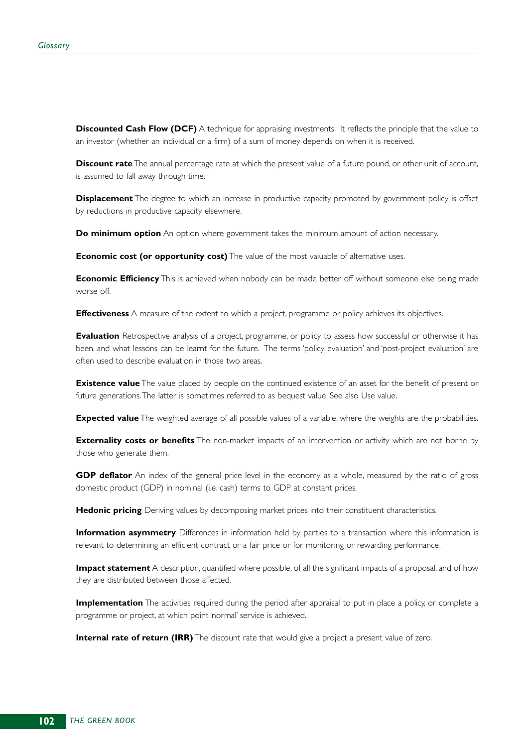**Discounted Cash Flow (DCF)** A technique for appraising investments. It reflects the principle that the value to an investor (whether an individual or a firm) of a sum of money depends on when it is received.

**Discount rate** The annual percentage rate at which the present value of a future pound, or other unit of account, is assumed to fall away through time.

**Displacement** The degree to which an increase in productive capacity promoted by government policy is offset by reductions in productive capacity elsewhere.

**Do minimum option** An option where government takes the minimum amount of action necessary.

**Economic cost (or opportunity cost)** The value of the most valuable of alternative uses.

**Economic Efficiency** This is achieved when nobody can be made better off without someone else being made worse off.

**Effectiveness** A measure of the extent to which a project, programme or policy achieves its objectives.

**Evaluation** Retrospective analysis of a project, programme, or policy to assess how successful or otherwise it has been, and what lessons can be learnt for the future. The terms 'policy evaluation' and 'post-project evaluation' are often used to describe evaluation in those two areas.

**Existence value** The value placed by people on the continued existence of an asset for the benefit of present or future generations.The latter is sometimes referred to as bequest value. See also Use value.

**Expected value** The weighted average of all possible values of a variable, where the weights are the probabilities.

**Externality costs or benefits** The non-market impacts of an intervention or activity which are not borne by those who generate them.

**GDP deflator** An index of the general price level in the economy as a whole, measured by the ratio of gross domestic product (GDP) in nominal (i.e. cash) terms to GDP at constant prices.

**Hedonic pricing** Deriving values by decomposing market prices into their constituent characteristics.

**Information asymmetry** Differences in information held by parties to a transaction where this information is relevant to determining an efficient contract or a fair price or for monitoring or rewarding performance.

**Impact statement** A description, quantified where possible, of all the significant impacts of a proposal, and of how they are distributed between those affected.

**Implementation** The activities required during the period after appraisal to put in place a policy, or complete a programme or project, at which point 'normal' service is achieved.

**Internal rate of return (IRR)** The discount rate that would give a project a present value of zero.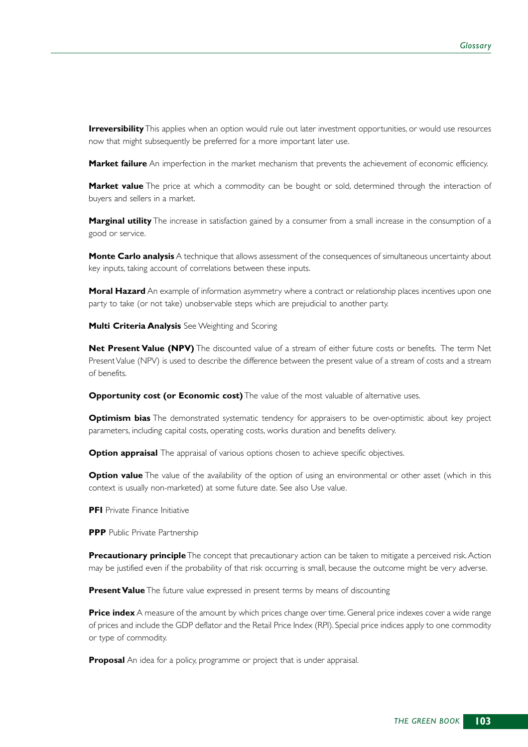**Irreversibility** This applies when an option would rule out later investment opportunities, or would use resources now that might subsequently be preferred for a more important later use.

**Market failure** An imperfection in the market mechanism that prevents the achievement of economic efficiency.

**Market value** The price at which a commodity can be bought or sold, determined through the interaction of buyers and sellers in a market.

**Marginal utility** The increase in satisfaction gained by a consumer from a small increase in the consumption of a good or service.

**Monte Carlo analysis** A technique that allows assessment of the consequences of simultaneous uncertainty about key inputs, taking account of correlations between these inputs.

**Moral Hazard** An example of information asymmetry where a contract or relationship places incentives upon one party to take (or not take) unobservable steps which are prejudicial to another party.

**Multi Criteria Analysis** See Weighting and Scoring

**Net Present Value (NPV)** The discounted value of a stream of either future costs or benefits. The term Net Present Value (NPV) is used to describe the difference between the present value of a stream of costs and a stream of benefits.

**Opportunity cost (or Economic cost)** The value of the most valuable of alternative uses.

**Optimism bias** The demonstrated systematic tendency for appraisers to be over-optimistic about key project parameters, including capital costs, operating costs, works duration and benefits delivery.

**Option appraisal** The appraisal of various options chosen to achieve specific objectives.

**Option value** The value of the availability of the option of using an environmental or other asset (which in this context is usually non-marketed) at some future date. See also Use value.

**PFI** Private Finance Initiative

**PPP** Public Private Partnership

**Precautionary principle** The concept that precautionary action can be taken to mitigate a perceived risk. Action may be justified even if the probability of that risk occurring is small, because the outcome might be very adverse.

**Present Value** The future value expressed in present terms by means of discounting

**Price index** A measure of the amount by which prices change over time. General price indexes cover a wide range of prices and include the GDP deflator and the Retail Price Index (RPI). Special price indices apply to one commodity or type of commodity.

**Proposal** An idea for a policy, programme or project that is under appraisal.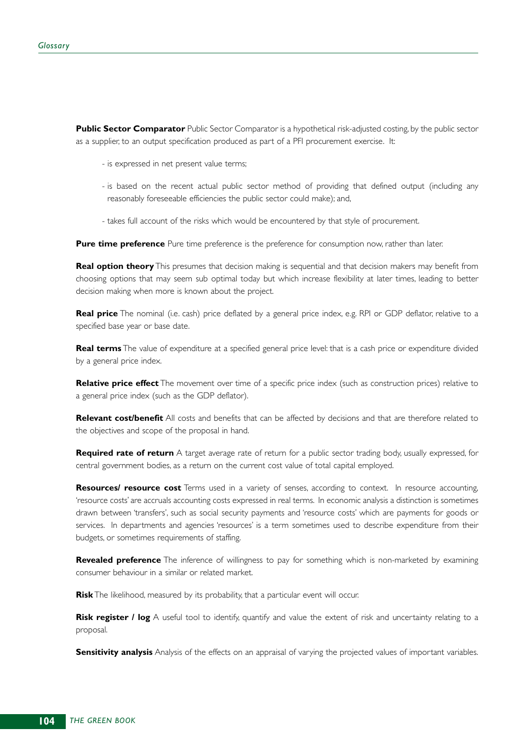**Public Sector Comparator** Public Sector Comparator is a hypothetical risk-adjusted costing, by the public sector as a supplier, to an output specification produced as part of a PFI procurement exercise. It:

- is expressed in net present value terms;
- is based on the recent actual public sector method of providing that defined output (including any reasonably foreseeable efficiencies the public sector could make); and,
- takes full account of the risks which would be encountered by that style of procurement.

**Pure time preference** Pure time preference is the preference for consumption now, rather than later.

**Real option theory** This presumes that decision making is sequential and that decision makers may benefit from choosing options that may seem sub optimal today but which increase flexibility at later times, leading to better decision making when more is known about the project.

**Real price** The nominal (i.e. cash) price deflated by a general price index, e.g. RPI or GDP deflator, relative to a specified base year or base date.

**Real terms** The value of expenditure at a specified general price level: that is a cash price or expenditure divided by a general price index.

**Relative price effect** The movement over time of a specific price index (such as construction prices) relative to a general price index (such as the GDP deflator).

**Relevant cost/benefit** All costs and benefits that can be affected by decisions and that are therefore related to the objectives and scope of the proposal in hand.

**Required rate of return** A target average rate of return for a public sector trading body, usually expressed, for central government bodies, as a return on the current cost value of total capital employed.

**Resources/ resource cost** Terms used in a variety of senses, according to context. In resource accounting, 'resource costs' are accruals accounting costs expressed in real terms. In economic analysis a distinction is sometimes drawn between 'transfers', such as social security payments and 'resource costs' which are payments for goods or services. In departments and agencies 'resources' is a term sometimes used to describe expenditure from their budgets, or sometimes requirements of staffing.

**Revealed preference** The inference of willingness to pay for something which is non-marketed by examining consumer behaviour in a similar or related market.

**Risk** The likelihood, measured by its probability, that a particular event will occur.

**Risk register / log** A useful tool to identify, quantify and value the extent of risk and uncertainty relating to a proposal.

**Sensitivity analysis** Analysis of the effects on an appraisal of varying the projected values of important variables.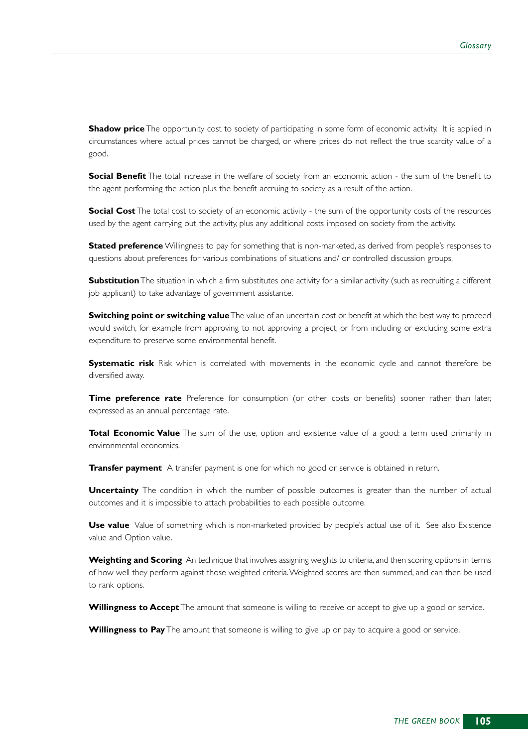**Shadow price** The opportunity cost to society of participating in some form of economic activity. It is applied in circumstances where actual prices cannot be charged, or where prices do not reflect the true scarcity value of a good.

**Social Benefit** The total increase in the welfare of society from an economic action - the sum of the benefit to the agent performing the action plus the benefit accruing to society as a result of the action.

**Social Cost** The total cost to society of an economic activity - the sum of the opportunity costs of the resources used by the agent carrying out the activity, plus any additional costs imposed on society from the activity.

**Stated preference** Willingness to pay for something that is non-marketed, as derived from people's responses to questions about preferences for various combinations of situations and/ or controlled discussion groups.

**Substitution** The situation in which a firm substitutes one activity for a similar activity (such as recruiting a different job applicant) to take advantage of government assistance.

**Switching point or switching value** The value of an uncertain cost or benefit at which the best way to proceed would switch, for example from approving to not approving a project, or from including or excluding some extra expenditure to preserve some environmental benefit.

**Systematic risk** Risk which is correlated with movements in the economic cycle and cannot therefore be diversified away.

**Time preference rate** Preference for consumption (or other costs or benefits) sooner rather than later, expressed as an annual percentage rate.

**Total Economic Value** The sum of the use, option and existence value of a good: a term used primarily in environmental economics.

**Transfer payment** A transfer payment is one for which no good or service is obtained in return.

**Uncertainty** The condition in which the number of possible outcomes is greater than the number of actual outcomes and it is impossible to attach probabilities to each possible outcome.

**Use value** Value of something which is non-marketed provided by people's actual use of it. See also Existence value and Option value.

**Weighting and Scoring** An technique that involves assigning weights to criteria, and then scoring options in terms of how well they perform against those weighted criteria.Weighted scores are then summed, and can then be used to rank options.

**Willingness to Accept** The amount that someone is willing to receive or accept to give up a good or service.

**Willingness to Pay** The amount that someone is willing to give up or pay to acquire a good or service.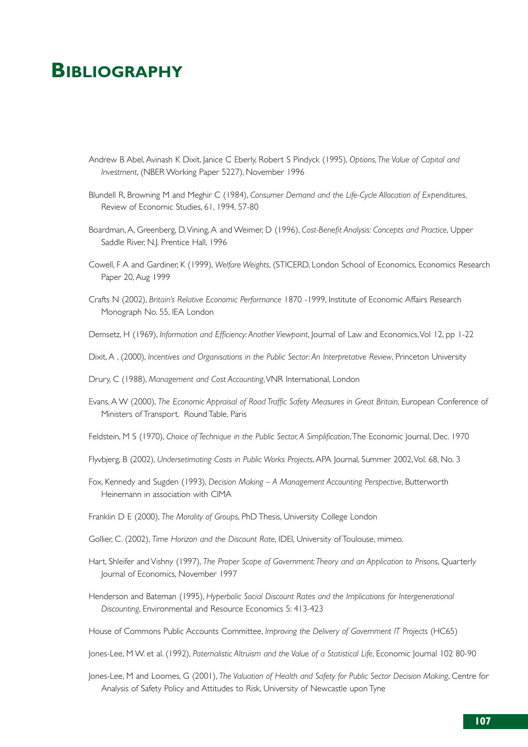## **BIBLIOGRAPHY**

- Andrew B Abel, Avinash K Dixit, Janice C Eberly, Robert S Pindyck (1995), *Options,The Value of Capital and Investment*, (NBER Working Paper 5227), November 1996
- Blundell R, Browning M and Meghir C (1984), *Consumer Demand and the Life-Cycle Allocation of Expenditures*, Review of Economic Studies, 61, 1994, 57-80
- Boardman, A, Greenberg, D,Vining, A and Weimer, D (1996), *Cost-Benefit Analysis: Concepts and Practice*, Upper Saddle River, N.J. Prentice Hall, 1996
- Cowell, F A and Gardiner, K (1999), *Welfare Weights*, (STICERD, London School of Economics, Economics Research Paper 20, Aug 1999
- Crafts N (2002), *Britain's Relative Economic Performance* 1870 -1999, Institute of Economic Affairs Research Monograph No. 55, IEA London
- Demsetz, H (1969), *Information and Efficiency: Another Viewpoint*, Journal of Law and Economics, Vol 12, pp 1-22
- Dixit, A , (2000), *Incentives and Organisations in the Public Sector: An Interpretative Review*, Princeton University
- Drury, C (1988), *Management and Cost Accounting*,VNR International, London
- Evans, A W (2000), *The Economic Appraisal of Road Traffic Safety Measures in Great Britain*, European Conference of Ministers of Transport. Round Table, Paris
- Feldstein, M S (1970), *Choice of Technique in the Public Sector, A Simplification*,The Economic Journal, Dec. 1970
- Flyvbjerg, B (2002), *Undersetimating Costs in Public Works Projects*, APA Journal, Summer 2002,Vol. 68, No. 3
- Fox, Kennedy and Sugden (1993), *Decision Making A Management Accounting Perspective*, Butterworth Heinemann in association with CIMA
- Franklin D E (2000), *The Morality of Groups*, PhD Thesis, University College London
- Gollier, C. (2002), *Time Horizon and the Discount Rate*, IDEI, University of Toulouse, mimeo.
- Hart, Shleifer and Vishny (1997), *The Proper Scope of Government:Theory and an Application to Prisons*, Quarterly Journal of Economics, November 1997
- Henderson and Bateman (1995), *Hyperbolic Social Discount Rates and the Implications for Intergenerational Discounting*, Environmental and Resource Economics 5: 413-423
- House of Commons Public Accounts Committee, *Improving the Delivery of Government IT Projects* (HC65)
- Jones-Lee, M W. et al. (1992), *Paternalistic Altruism and the Value of a Statistical Life*, Economic Journal 102 80-90
- Jones-Lee, M and Loomes, G (2001), *The Valuation of Health and Safety for Public Sector Decision Making*, Centre for Analysis of Safety Policy and Attitudes to Risk, University of Newcastle upon Tyne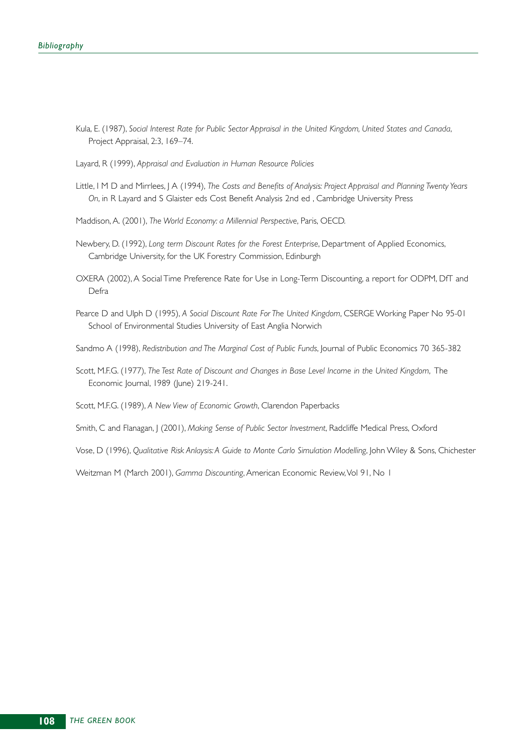- Kula, E. (1987), *Social Interest Rate for Public Sector Appraisal in the United Kingdom, United States and Canada*, Project Appraisal, 2:3, 169–74.
- Layard, R (1999), *Appraisal and Evaluation in Human Resource Policies*
- Little, I M D and Mirrlees, J A (1994), *The Costs and Benefits of Analysis: Project Appraisal and Planning Twenty Years On*, in R Layard and S Glaister eds Cost Benefit Analysis 2nd ed , Cambridge University Press
- Maddison, A. (2001), *The World Economy: a Millennial Perspective*, Paris, OECD.
- Newbery, D. (1992), *Long term Discount Rates for the Forest Enterprise*, Department of Applied Economics, Cambridge University, for the UK Forestry Commission, Edinburgh
- OXERA (2002), A Social Time Preference Rate for Use in Long-Term Discounting, a report for ODPM, DfT and Defra
- Pearce D and Ulph D (1995), *A Social Discount Rate For The United Kingdom*, CSERGE Working Paper No 95-01 School of Environmental Studies University of East Anglia Norwich
- Sandmo A (1998), *Redistribution and The Marginal Cost of Public Funds*, Journal of Public Economics 70 365-382
- Scott, M.F.G. (1977), *The Test Rate of Discount and Changes in Base Level Income in the United Kingdom*, The Economic Journal, 1989 (June) 219-241.
- Scott, M.F.G. (1989), *A New View of Economic Growth*, Clarendon Paperbacks
- Smith, C and Flanagan, J (2001), *Making Sense of Public Sector Investment*, Radcliffe Medical Press, Oxford
- Vose, D (1996), *Qualitative Risk Anlaysis: A Guide to Monte Carlo Simulation Modelling*, John Wiley & Sons, Chichester

Weitzman M (March 2001), Gamma Discounting, American Economic Review, Vol 91, No 1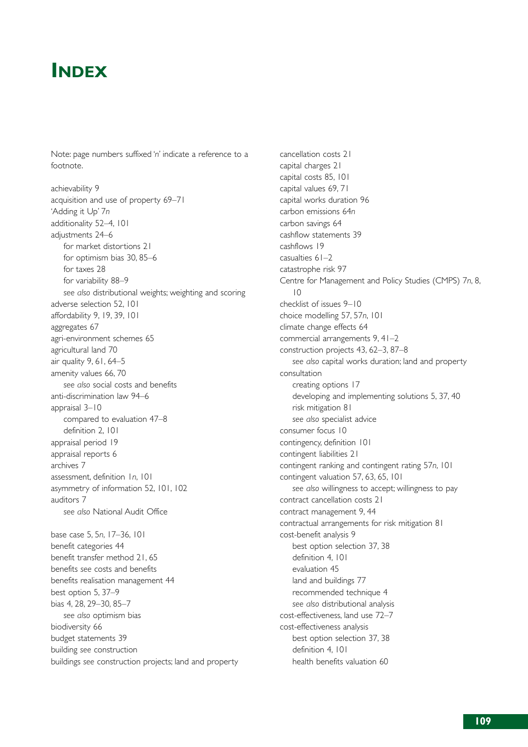## **INDEX**

Note: page numbers suffixed '*n*' indicate a reference to a footnote.

achievability 9 acquisition and use of property 69–71 'Adding it Up' 7*n* additionality 52–4, 101 adjustments 24–6 for market distortions 21 for optimism bias 30, 85–6 for taxes 28 for variability 88–9 *see also* distributional weights; weighting and scoring adverse selection 52, 101 affordability 9, 19, 39, 101 aggregates 67 agri-environment schemes 65 agricultural land 70 air quality 9, 61, 64–5 amenity values 66, 70 *see also* social costs and benefits anti-discrimination law 94–6 appraisal 3–10 compared to evaluation 47–8 definition 2, 101 appraisal period 19 appraisal reports 6 archives 7 assessment, definition 1*n*, 101 asymmetry of information 52, 101, 102 auditors 7 *see also* National Audit Office

base case 5, 5*n*, 17–36, 101 benefit categories 44 benefit transfer method 21, 65 benefits *see* costs and benefits benefits realisation management 44 best option 5, 37–9 bias 4, 28, 29–30, 85–7 *see also* optimism bias biodiversity 66 budget statements 39 building *see* construction buildings *see* construction projects; land and property

cancellation costs 21 capital charges 21 capital costs 85, 101 capital values 69, 71 capital works duration 96 carbon emissions 64*n* carbon savings 64 cashflow statements 39 cashflows 19 casualties 61–2 catastrophe risk 97 Centre for Management and Policy Studies (CMPS) 7*n*, 8,  $1<sub>0</sub>$ checklist of issues 9–10 choice modelling 57, 57*n*, 101 climate change effects 64 commercial arrangements 9, 41–2 construction projects 43, 62–3, 87–8 *see also* capital works duration; land and property consultation creating options 17 developing and implementing solutions 5, 37, 40 risk mitigation 81 *see also* specialist advice consumer focus 10 contingency, definition 101 contingent liabilities 21 contingent ranking and contingent rating 57*n*, 101 contingent valuation 57, 63, 65, 101 *see also* willingness to accept; willingness to pay contract cancellation costs 21 contract management 9, 44 contractual arrangements for risk mitigation 81 cost-benefit analysis 9 best option selection 37, 38 definition 4, 101 evaluation 45 land and buildings 77 recommended technique 4 *see also* distributional analysis cost-effectiveness, land use 72–7 cost-effectiveness analysis best option selection 37, 38 definition 4, 101 health benefits valuation 60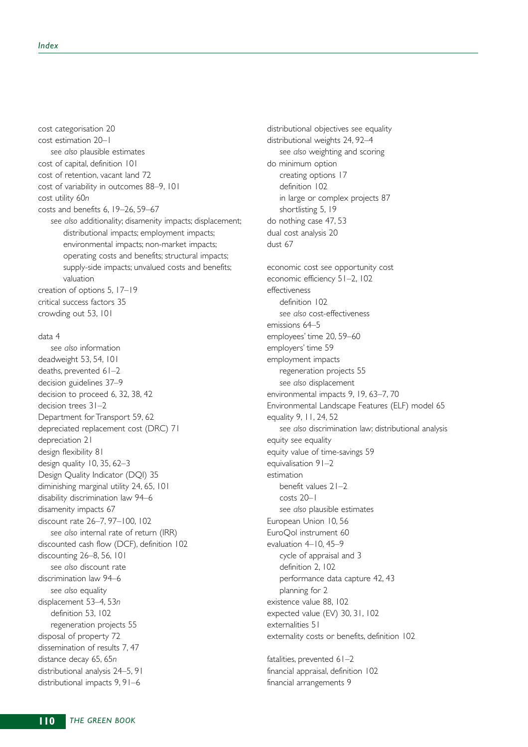cost categorisation 20 cost estimation 20–1 *see also* plausible estimates cost of capital, definition 101 cost of retention, vacant land 72 cost of variability in outcomes 88–9, 101 cost utility 60*n* costs and benefits 6, 19–26, 59–67 *see also* additionality; disamenity impacts; displacement; distributional impacts; employment impacts; environmental impacts; non-market impacts; operating costs and benefits; structural impacts; supply-side impacts; unvalued costs and benefits; valuation creation of options 5, 17–19 critical success factors 35 crowding out 53, 101

## data 4

*see also* information deadweight 53, 54, 101 deaths, prevented 61–2 decision guidelines 37–9 decision to proceed 6, 32, 38, 42 decision trees 31–2 Department for Transport 59, 62 depreciated replacement cost (DRC) 71 depreciation 21 design flexibility 81 design quality 10, 35, 62–3 Design Quality Indicator (DQI) 35 diminishing marginal utility 24, 65, 101 disability discrimination law 94–6 disamenity impacts 67 discount rate 26–7, 97–100, 102 *see also* internal rate of return (IRR) discounted cash flow (DCF), definition 102 discounting 26–8, 56, 101 *see also* discount rate discrimination law 94–6 *see also* equality displacement 53–4, 53*n* definition 53, 102 regeneration projects 55 disposal of property 72 dissemination of results 7, 47 distance decay 65, 65*n* distributional analysis 24–5, 91 distributional impacts 9, 91–6

distributional objectives *see* equality distributional weights 24, 92–4 *see also* weighting and scoring do minimum option creating options 17 definition 102 in large or complex projects 87 shortlisting 5, 19 do nothing case 47, 53 dual cost analysis 20 dust 67 economic cost *see* opportunity cost economic efficiency 51–2, 102 effectiveness definition 102 *see also* cost-effectiveness emissions 64–5 employees' time 20, 59–60 employers' time 59 employment impacts regeneration projects 55 *see also* displacement environmental impacts 9, 19, 63–7, 70 Environmental Landscape Features (ELF) model 65 equality 9, 11, 24, 52 *see also* discrimination law; distributional analysis equity *see* equality equity value of time-savings 59 equivalisation 91–2 estimation benefit values 21–2 costs 20–1 *see also* plausible estimates European Union 10, 56 EuroQol instrument 60 evaluation 4–10, 45–9 cycle of appraisal and 3 definition 2, 102 performance data capture 42, 43 planning for 2 existence value 88, 102 expected value (EV) 30, 31, 102 externalities 51 externality costs or benefits, definition 102

fatalities, prevented 61–2 financial appraisal, definition 102 financial arrangements 9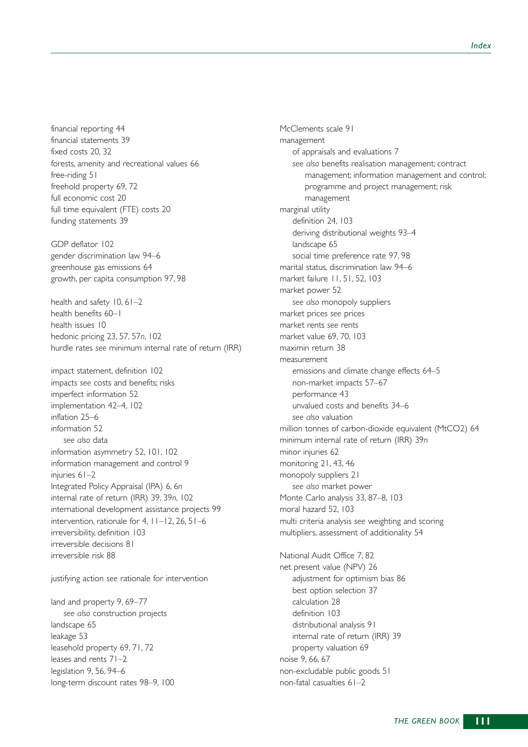financial reporting 44 financial statements 39 fixed costs 20, 32 forests, amenity and recreational values 66 free-riding 51 freehold property 69, 72 full economic cost 20 full time equivalent (FTE) costs 20 funding statements 39

GDP deflator 102 gender discrimination law 94–6 greenhouse gas emissions 64 growth, per capita consumption 97, 98

health and safety 10, 61–2 health benefits 60–1 health issues 10 hedonic pricing 23, 57, 57*n*, 102 hurdle rates *see* minimum internal rate of return (IRR)

impact statement, definition 102 impacts *see* costs and benefits; risks imperfect information 52 implementation 42–4, 102 inflation 25–6 information 52 *see also* data information asymmetry 52, 101, 102 information management and control 9 injuries 61-2 Integrated Policy Appraisal (IPA) 6, 6*n* internal rate of return (IRR) 39, 39*n*, 102 international development assistance projects 99 intervention, rationale for 4, 11–12, 26, 51–6 irreversibility, definition 103 irreversible decisions 81 irreversible risk 88

justifying action *see* rationale for intervention

land and property 9, 69–77 *see also* construction projects landscape 65 leakage 53 leasehold property 69, 71, 72 leases and rents 71–2 legislation 9, 56, 94–6 long-term discount rates 98–9, 100 McClements scale 91 management of appraisals and evaluations 7 *see also* benefits realisation management; contract management; information management and control; programme and project management; risk management marginal utility definition 24, 103 deriving distributional weights 93–4 landscape 65 social time preference rate 97, 98 marital status, discrimination law 94–6 market failure 11, 51, 52, 103 market power 52 *see also* monopoly suppliers market prices *see* prices market rents *see* rents market value 69, 70, 103 maximin return 38 measurement emissions and climate change effects 64–5 non-market impacts 57–67 performance 43 unvalued costs and benefits 34–6 *see also* valuation million tonnes of carbon-dioxide equivalent (MtCO2) 64 minimum internal rate of return (IRR) 39*n* minor injuries 62 monitoring 21, 43, 46 monopoly suppliers 21 *see also* market power Monte Carlo analysis 33, 87–8, 103 moral hazard 52, 103 multi criteria analysis *see* weighting and scoring multipliers, assessment of additionality 54 National Audit Office 7, 82 net present value (NPV) 26 adjustment for optimism bias 86 best option selection 37 calculation 28 definition 103 distributional analysis 91 internal rate of return (IRR) 39 property valuation 69 noise 9, 66, 67 non-excludable public goods 51

non-fatal casualties 61–2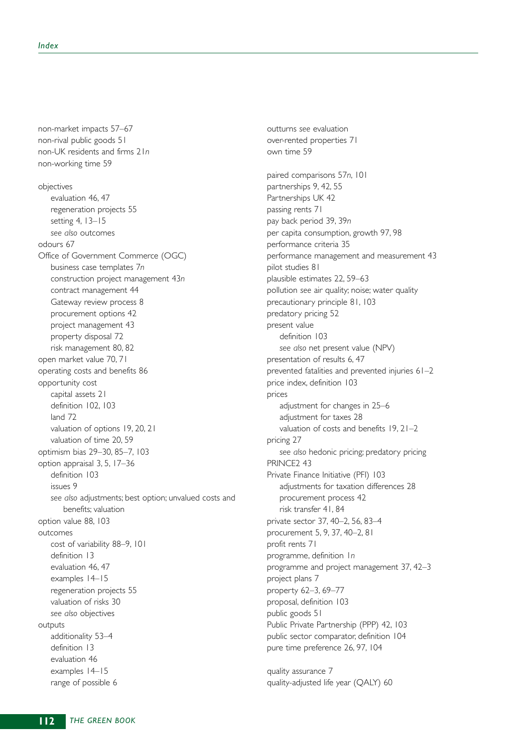non-market impacts 57–67 non-rival public goods 51 non-UK residents and firms 21*n* non-working time 59

objectives evaluation 46, 47 regeneration projects 55 setting 4, 13–15 *see also* outcomes odours 67 Office of Government Commerce (OGC) business case templates 7*n* construction project management 43*n* contract management 44 Gateway review process 8 procurement options 42 project management 43 property disposal 72 risk management 80, 82 open market value 70, 71 operating costs and benefits 86 opportunity cost capital assets 21 definition 102, 103 land 72 valuation of options 19, 20, 21 valuation of time 20, 59 optimism bias 29–30, 85–7, 103 option appraisal 3, 5, 17–36 definition 103 issues 9 *see also* adjustments; best option; unvalued costs and benefits; valuation option value 88, 103 outcomes cost of variability 88–9, 101 definition 13 evaluation 46, 47 examples 14–15 regeneration projects 55 valuation of risks 30 *see also* objectives outputs additionality 53–4 definition 13 evaluation 46 examples 14–15 range of possible 6

outturns *see* evaluation over-rented properties 71 own time 59

paired comparisons 57*n*, 101 partnerships 9, 42, 55 Partnerships UK 42 passing rents 71 pay back period 39, 39*n* per capita consumption, growth 97, 98 performance criteria 35 performance management and measurement 43 pilot studies 81 plausible estimates 22, 59–63 pollution *see* air quality; noise; water quality precautionary principle 81, 103 predatory pricing 52 present value definition 103 *see also* net present value (NPV) presentation of results 6, 47 prevented fatalities and prevented injuries 61–2 price index, definition 103 prices adjustment for changes in 25–6 adjustment for taxes 28 valuation of costs and benefits 19, 21–2 pricing 27 *see also* hedonic pricing; predatory pricing PRINCE2 43 Private Finance Initiative (PFI) 103 adjustments for taxation differences 28 procurement process 42 risk transfer 41, 84 private sector 37, 40–2, 56, 83–4 procurement 5, 9, 37, 40–2, 81 profit rents 71 programme, definition 1*n* programme and project management 37, 42–3 project plans 7 property 62–3, 69–77 proposal, definition 103 public goods 51 Public Private Partnership (PPP) 42, 103 public sector comparator, definition 104 pure time preference 26, 97, 104

quality assurance 7 quality-adjusted life year (QALY) 60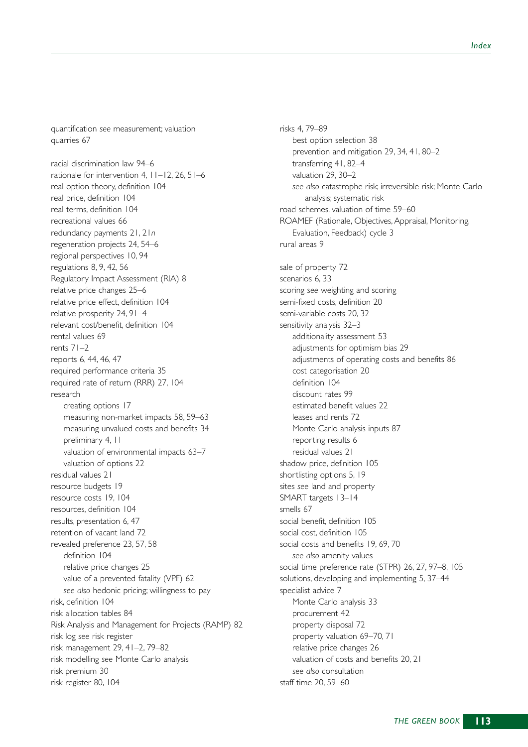quantification *see* measurement; valuation quarries 67

racial discrimination law 94–6 rationale for intervention 4, 11–12, 26, 51–6 real option theory, definition 104 real price, definition 104 real terms, definition 104 recreational values 66 redundancy payments 21, 21*n* regeneration projects 24, 54–6 regional perspectives 10, 94 regulations 8, 9, 42, 56 Regulatory Impact Assessment (RIA) 8 relative price changes 25–6 relative price effect, definition 104 relative prosperity 24, 91–4 relevant cost/benefit, definition 104 rental values 69 rents 71–2 reports 6, 44, 46, 47 required performance criteria 35 required rate of return (RRR) 27, 104 research creating options 17 measuring non-market impacts 58, 59–63 measuring unvalued costs and benefits 34 preliminary 4, 11 valuation of environmental impacts 63–7 valuation of options 22 residual values 21 resource budgets 19 resource costs 19, 104 resources, definition 104 results, presentation 6, 47 retention of vacant land 72 revealed preference 23, 57, 58 definition 104 relative price changes 25 value of a prevented fatality (VPF) 62 *see also* hedonic pricing; willingness to pay risk, definition 104 risk allocation tables 84 Risk Analysis and Management for Projects (RAMP) 82 risk log *see* risk register risk management 29, 41–2, 79–82 risk modelling *see* Monte Carlo analysis risk premium 30 risk register 80, 104

risks 4, 79–89 best option selection 38 prevention and mitigation 29, 34, 41, 80–2 transferring 41, 82–4 valuation 29, 30–2 *see also* catastrophe risk; irreversible risk; Monte Carlo analysis; systematic risk road schemes, valuation of time 59–60 ROAMEF (Rationale, Objectives, Appraisal, Monitoring, Evaluation, Feedback) cycle 3 rural areas 9 sale of property 72 scenarios 6, 33 scoring *see* weighting and scoring semi-fixed costs, definition 20 semi-variable costs 20, 32 sensitivity analysis 32–3 additionality assessment 53 adjustments for optimism bias 29 adjustments of operating costs and benefits 86 cost categorisation 20 definition 104 discount rates 99 estimated benefit values 22 leases and rents 72 Monte Carlo analysis inputs 87 reporting results 6 residual values 21 shadow price, definition 105 shortlisting options 5, 19 sites *see* land and property SMART targets 13–14 smells 67 social benefit, definition 105 social cost, definition 105 social costs and benefits 19, 69, 70 *see also* amenity values social time preference rate (STPR) 26, 27, 97–8, 105 solutions, developing and implementing 5, 37–44 specialist advice 7 Monte Carlo analysis 33 procurement 42 property disposal 72 property valuation 69–70, 71 relative price changes 26 valuation of costs and benefits 20, 21 *see also* consultation staff time 20, 59–60